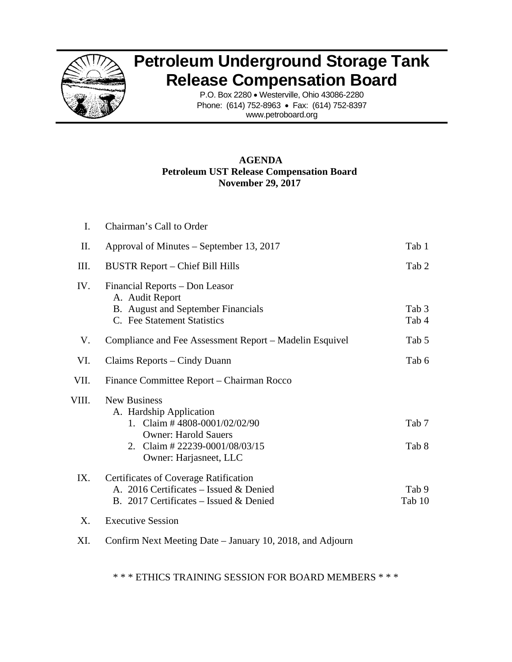

## **Petroleum Underground Storage Tank Release Compensation Board**

P.O. Box 2280 • Westerville, Ohio 43086-2280 Phone: (614) 752-8963 • Fax: (614) 752-8397 www.petroboard.org

## **AGENDA Petroleum UST Release Compensation Board November 29, 2017**

| I.    | Chairman's Call to Order                                                                                                                                                   |                 |
|-------|----------------------------------------------------------------------------------------------------------------------------------------------------------------------------|-----------------|
| II.   | Approval of Minutes – September 13, 2017                                                                                                                                   | Tab 1           |
| III.  | <b>BUSTR Report – Chief Bill Hills</b>                                                                                                                                     | Tab 2           |
| IV.   | Financial Reports – Don Leasor<br>A. Audit Report<br>B. August and September Financials<br>C. Fee Statement Statistics                                                     | Tab 3<br>Tab 4  |
| V.    | Compliance and Fee Assessment Report – Madelin Esquivel                                                                                                                    | Tab 5           |
| VI.   | Claims Reports – Cindy Duann                                                                                                                                               | Tab 6           |
| VII.  | Finance Committee Report – Chairman Rocco                                                                                                                                  |                 |
| VIII. | <b>New Business</b><br>A. Hardship Application<br>1. Claim # 4808-0001/02/02/90<br><b>Owner: Harold Sauers</b><br>2. Claim # 22239-0001/08/03/15<br>Owner: Harjasneet, LLC | Tab 7<br>Tab 8  |
| IX.   | <b>Certificates of Coverage Ratification</b><br>A. 2016 Certificates - Issued & Denied<br>B. 2017 Certificates – Issued $&$ Denied                                         | Tab 9<br>Tab 10 |
| X.    | <b>Executive Session</b>                                                                                                                                                   |                 |
|       |                                                                                                                                                                            |                 |

XI. Confirm Next Meeting Date – January 10, 2018, and Adjourn

\* \* \* ETHICS TRAINING SESSION FOR BOARD MEMBERS \* \* \*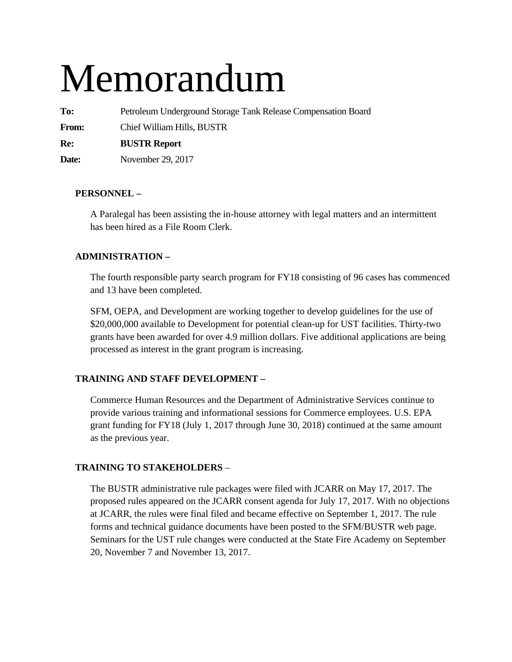# Memorandum

**To:** Petroleum Underground Storage Tank Release Compensation Board

**From:** Chief William Hills, BUSTR

**Re: BUSTR Report** 

**Date:** November 29, 2017

## **PERSONNEL –**

A Paralegal has been assisting the in-house attorney with legal matters and an intermittent has been hired as a File Room Clerk.

## **ADMINISTRATION –**

The fourth responsible party search program for FY18 consisting of 96 cases has commenced and 13 have been completed.

SFM, OEPA, and Development are working together to develop guidelines for the use of \$20,000,000 available to Development for potential clean-up for UST facilities. Thirty-two grants have been awarded for over 4.9 million dollars. Five additional applications are being processed as interest in the grant program is increasing.

## **TRAINING AND STAFF DEVELOPMENT –**

Commerce Human Resources and the Department of Administrative Services continue to provide various training and informational sessions for Commerce employees. U.S. EPA grant funding for FY18 (July 1, 2017 through June 30, 2018) continued at the same amount as the previous year.

## **TRAINING TO STAKEHOLDERS** –

The BUSTR administrative rule packages were filed with JCARR on May 17, 2017. The proposed rules appeared on the JCARR consent agenda for July 17, 2017. With no objections at JCARR, the rules were final filed and became effective on September 1, 2017. The rule forms and technical guidance documents have been posted to the SFM/BUSTR web page. Seminars for the UST rule changes were conducted at the State Fire Academy on September 20, November 7 and November 13, 2017.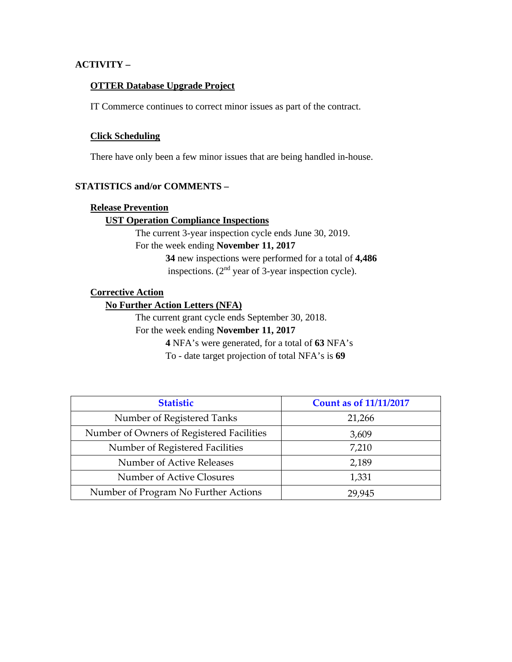## **ACTIVITY –**

#### **OTTER Database Upgrade Project**

IT Commerce continues to correct minor issues as part of the contract.

#### **Click Scheduling**

There have only been a few minor issues that are being handled in-house.

#### **STATISTICS and/or COMMENTS –**

#### **Release Prevention**

#### **UST Operation Compliance Inspections**

The current 3-year inspection cycle ends June 30, 2019. For the week ending **November 11, 2017 34** new inspections were performed for a total of **4,486**

inspections.  $(2<sup>nd</sup>$  year of 3-year inspection cycle).

## **Corrective Action**

## **No Further Action Letters (NFA)**

The current grant cycle ends September 30, 2018.

For the week ending **November 11, 2017** 

**4** NFA's were generated, for a total of **63** NFA's

To - date target projection of total NFA's is **69** 

| <b>Statistic</b>                          | <b>Count as of 11/11/2017</b> |
|-------------------------------------------|-------------------------------|
| Number of Registered Tanks                | 21,266                        |
| Number of Owners of Registered Facilities | 3,609                         |
| Number of Registered Facilities           | 7,210                         |
| Number of Active Releases                 | 2,189                         |
| Number of Active Closures                 | 1,331                         |
| Number of Program No Further Actions      | 29,945                        |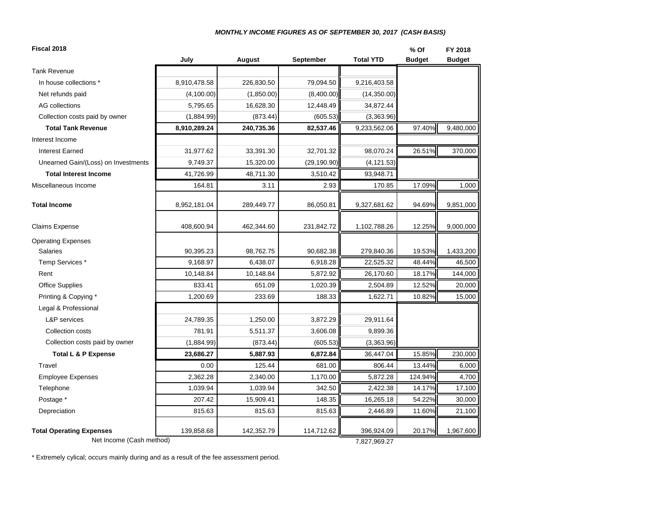#### *MONTHLY INCOME FIGURES AS OF SEPTEMBER 30, 2017 (CASH BASIS)*

| Fiscal 2018                         |              |            |                  |                  | % Of          | FY 2018       |
|-------------------------------------|--------------|------------|------------------|------------------|---------------|---------------|
|                                     | July         | August     | <b>September</b> | <b>Total YTD</b> | <b>Budget</b> | <b>Budget</b> |
| <b>Tank Revenue</b>                 |              |            |                  |                  |               |               |
| In house collections *              | 8,910,478.58 | 226,830.50 | 79,094.50        | 9,216,403.58     |               |               |
| Net refunds paid                    | (4,100.00)   | (1,850.00) | (8,400.00)       | (14,350.00)      |               |               |
| AG collections                      | 5,795.65     | 16,628.30  | 12,448.49        | 34,872.44        |               |               |
| Collection costs paid by owner      | (1,884.99)   | (873.44)   | (605.53)         | (3,363.96)       |               |               |
| <b>Total Tank Revenue</b>           | 8,910,289.24 | 240,735.36 | 82,537.46        | 9,233,562.06     | 97.40%        | 9,480,000     |
| Interest Income                     |              |            |                  |                  |               |               |
| <b>Interest Earned</b>              | 31,977.62    | 33,391.30  | 32,701.32        | 98,070.24        | 26.51%        | 370,000       |
| Unearned Gain/(Loss) on Investments | 9,749.37     | 15,320.00  | (29, 190.90)     | (4, 121.53)      |               |               |
| <b>Total Interest Income</b>        | 41,726.99    | 48,711.30  | 3,510.42         | 93,948.71        |               |               |
| Miscellaneous Income                | 164.81       | 3.11       | 2.93             | 170.85           | 17.09%        | 1,000         |
| <b>Total Income</b>                 | 8,952,181.04 | 289,449.77 | 86,050.81        | 9,327,681.62     | 94.69%        | 9,851,000     |
| Claims Expense                      | 408,600.94   | 462,344.60 | 231,842.72       | 1,102,788.26     | 12.25%        | 9,000,000     |
| <b>Operating Expenses</b>           |              |            |                  |                  |               |               |
| <b>Salaries</b>                     | 90,395.23    | 98,762.75  | 90,682.38        | 279,840.36       | 19.53%        | 1,433,200     |
| Temp Services *                     | 9,168.97     | 6.438.07   | 6,918.28         | 22,525.32        | 48.44%        | 46,500        |
| Rent                                | 10,148.84    | 10,148.84  | 5,872.92         | 26,170.60        | 18.17%        | 144,000       |
| <b>Office Supplies</b>              | 833.41       | 651.09     | 1,020.39         | 2,504.89         | 12.52%        | 20,000        |
| Printing & Copying *                | 1,200.69     | 233.69     | 188.33           | 1,622.71         | 10.82%        | 15,000        |
| Legal & Professional                |              |            |                  |                  |               |               |
| <b>L&amp;P</b> services             | 24,789.35    | 1,250.00   | 3,872.29         | 29,911.64        |               |               |
| Collection costs                    | 781.91       | 5,511.37   | 3,606.08         | 9,899.36         |               |               |
| Collection costs paid by owner      | (1,884.99)   | (873.44)   | (605.53)         | (3,363.96)       |               |               |
| <b>Total L &amp; P Expense</b>      | 23,686.27    | 5,887.93   | 6,872.84         | 36,447.04        | 15.85%        | 230,000       |
| Travel                              | 0.00         | 125.44     | 681.00           | 806.44           | 13.44%        | 6,000         |
| <b>Employee Expenses</b>            | 2,362.28     | 2,340.00   | 1,170.00         | 5,872.28         | 124.94%       | 4,700         |
| Telephone                           | 1,039.94     | 1,039.94   | 342.50           | 2,422.38         | 14.17%        | 17,100        |
| Postage *                           | 207.42       | 15,909.41  | 148.35           | 16,265.18        | 54.22%        | 30,000        |
| Depreciation                        | 815.63       | 815.63     | 815.63           | 2,446.89         | 11.60%        | 21,100        |
| <b>Total Operating Expenses</b>     | 139,858.68   | 142,352.79 | 114,712.62       | 396,924.09       | 20.17%        | 1,967,600     |
| Net Income (Cash method)            |              |            |                  | 7,827,969.27     |               |               |

\* Extremely cylical; occurs mainly during and as a result of the fee assessment period.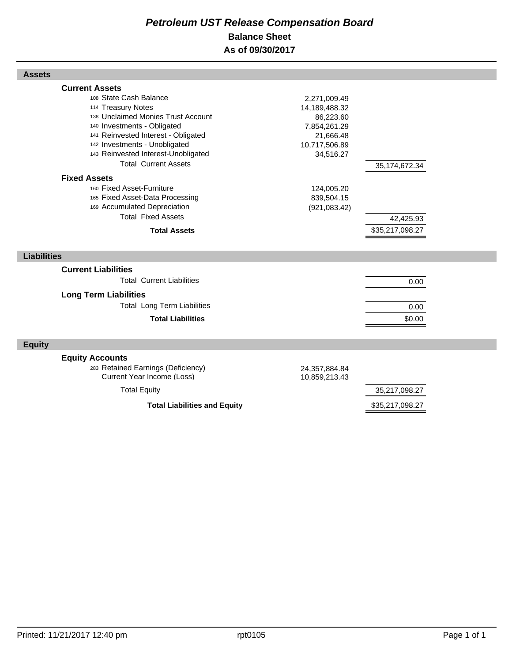## *Petroleum UST Release Compensation Board*  **Balance Sheet As of 09/30/2017**

| <b>Assets</b>                                                                                                                                                                                                                                                                            |                                                                                                       |                              |  |
|------------------------------------------------------------------------------------------------------------------------------------------------------------------------------------------------------------------------------------------------------------------------------------------|-------------------------------------------------------------------------------------------------------|------------------------------|--|
| <b>Current Assets</b><br>108 State Cash Balance<br>114 Treasury Notes<br>138 Unclaimed Monies Trust Account<br>140 Investments - Obligated<br>141 Reinvested Interest - Obligated<br>142 Investments - Unobligated<br>143 Reinvested Interest-Unobligated<br><b>Total Current Assets</b> | 2,271,009.49<br>14,189,488.32<br>86,223.60<br>7,854,261.29<br>21,666.48<br>10,717,506.89<br>34,516.27 | 35, 174, 672. 34             |  |
| <b>Fixed Assets</b><br>160 Fixed Asset-Furniture<br>165 Fixed Asset-Data Processing<br>169 Accumulated Depreciation<br><b>Total Fixed Assets</b><br><b>Total Assets</b>                                                                                                                  | 124,005.20<br>839,504.15<br>(921, 083.42)                                                             | 42,425.93<br>\$35,217,098.27 |  |
| <b>Liabilities</b>                                                                                                                                                                                                                                                                       |                                                                                                       |                              |  |
| <b>Current Liabilities</b><br><b>Total Current Liabilities</b><br><b>Long Term Liabilities</b><br><b>Total Long Term Liabilities</b><br><b>Total Liabilities</b>                                                                                                                         |                                                                                                       | 0.00<br>0.00<br>\$0.00       |  |
| <b>Equity</b>                                                                                                                                                                                                                                                                            |                                                                                                       |                              |  |
| <b>Equity Accounts</b><br>283 Retained Earnings (Deficiency)<br>Current Year Income (Loss)<br><b>Total Equity</b>                                                                                                                                                                        | 24,357,884.84<br>10,859,213.43                                                                        | 35,217,098.27                |  |
| <b>Total Liabilities and Equity</b>                                                                                                                                                                                                                                                      |                                                                                                       | \$35,217,098.27              |  |

Г

Г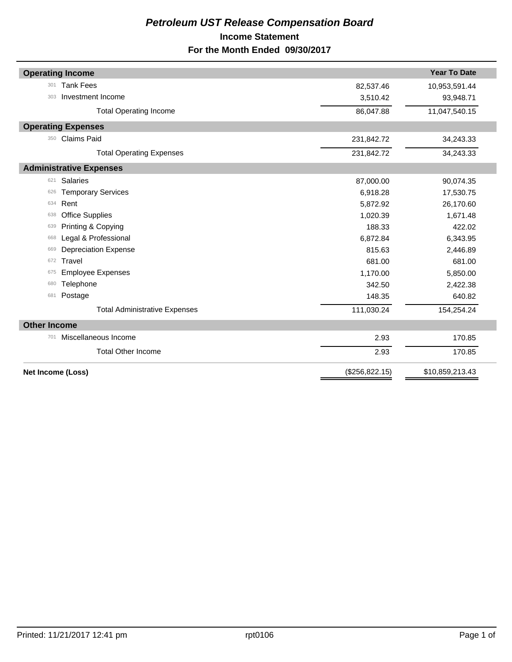## *Petroleum UST Release Compensation Board*  **Income Statement For the Month Ended 09/30/2017**

|                     | <b>Operating Income</b>              |                 | <b>Year To Date</b> |
|---------------------|--------------------------------------|-----------------|---------------------|
| 301                 | <b>Tank Fees</b>                     | 82,537.46       | 10,953,591.44       |
| 303                 | Investment Income                    | 3,510.42        | 93,948.71           |
|                     | <b>Total Operating Income</b>        | 86,047.88       | 11,047,540.15       |
|                     | <b>Operating Expenses</b>            |                 |                     |
| 350                 | <b>Claims Paid</b>                   | 231,842.72      | 34,243.33           |
|                     | <b>Total Operating Expenses</b>      | 231,842.72      | 34,243.33           |
|                     | <b>Administrative Expenses</b>       |                 |                     |
| 621                 | <b>Salaries</b>                      | 87,000.00       | 90,074.35           |
| 626                 | <b>Temporary Services</b>            | 6,918.28        | 17,530.75           |
| 634                 | Rent                                 | 5,872.92        | 26,170.60           |
| 638                 | <b>Office Supplies</b>               | 1,020.39        | 1,671.48            |
| 639                 | Printing & Copying                   | 188.33          | 422.02              |
| 668                 | Legal & Professional                 | 6,872.84        | 6,343.95            |
| 669                 | <b>Depreciation Expense</b>          | 815.63          | 2,446.89            |
| 672                 | Travel                               | 681.00          | 681.00              |
| 675                 | <b>Employee Expenses</b>             | 1,170.00        | 5,850.00            |
| 680                 | Telephone                            | 342.50          | 2,422.38            |
| 681                 | Postage                              | 148.35          | 640.82              |
|                     | <b>Total Administrative Expenses</b> | 111,030.24      | 154,254.24          |
| <b>Other Income</b> |                                      |                 |                     |
| 701                 | Miscellaneous Income                 | 2.93            | 170.85              |
|                     | <b>Total Other Income</b>            | 2.93            | 170.85              |
|                     | Net Income (Loss)                    | (\$256, 822.15) | \$10,859,213.43     |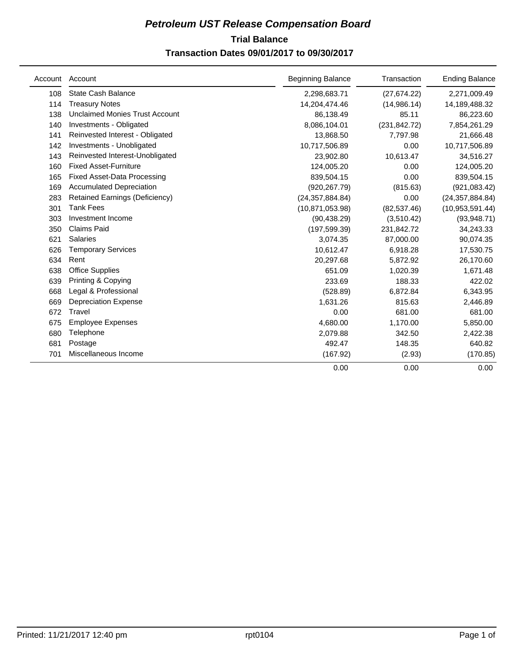## **Trial Balance** *Petroleum UST Release Compensation Board*  **Transaction Dates 09/01/2017 to 09/30/2017**

|     | Account Account                       | <b>Beginning Balance</b> | Transaction   | <b>Ending Balance</b> |
|-----|---------------------------------------|--------------------------|---------------|-----------------------|
| 108 | State Cash Balance                    | 2,298,683.71             | (27, 674.22)  | 2,271,009.49          |
| 114 | <b>Treasury Notes</b>                 | 14,204,474.46            | (14,986.14)   | 14,189,488.32         |
| 138 | <b>Unclaimed Monies Trust Account</b> | 86,138.49                | 85.11         | 86,223.60             |
| 140 | Investments - Obligated               | 8,086,104.01             | (231, 842.72) | 7,854,261.29          |
| 141 | Reinvested Interest - Obligated       | 13,868.50                | 7,797.98      | 21,666.48             |
| 142 | Investments - Unobligated             | 10,717,506.89            | 0.00          | 10,717,506.89         |
| 143 | Reinvested Interest-Unobligated       | 23,902.80                | 10,613.47     | 34,516.27             |
| 160 | <b>Fixed Asset-Furniture</b>          | 124,005.20               | 0.00          | 124,005.20            |
| 165 | <b>Fixed Asset-Data Processing</b>    | 839,504.15               | 0.00          | 839,504.15            |
| 169 | <b>Accumulated Depreciation</b>       | (920, 267.79)            | (815.63)      | (921, 083.42)         |
| 283 | <b>Retained Earnings (Deficiency)</b> | (24, 357, 884.84)        | 0.00          | (24, 357, 884.84)     |
| 301 | Tank Fees                             | (10, 871, 053.98)        | (82, 537.46)  | (10,953,591.44)       |
| 303 | Investment Income                     | (90, 438.29)             | (3,510.42)    | (93,948.71)           |
| 350 | <b>Claims Paid</b>                    | (197, 599.39)            | 231,842.72    | 34,243.33             |
| 621 | <b>Salaries</b>                       | 3,074.35                 | 87,000.00     | 90,074.35             |
| 626 | <b>Temporary Services</b>             | 10,612.47                | 6,918.28      | 17,530.75             |
| 634 | Rent                                  | 20,297.68                | 5,872.92      | 26,170.60             |
| 638 | <b>Office Supplies</b>                | 651.09                   | 1,020.39      | 1,671.48              |
| 639 | Printing & Copying                    | 233.69                   | 188.33        | 422.02                |
| 668 | Legal & Professional                  | (528.89)                 | 6,872.84      | 6,343.95              |
| 669 | <b>Depreciation Expense</b>           | 1,631.26                 | 815.63        | 2,446.89              |
| 672 | Travel                                | 0.00                     | 681.00        | 681.00                |
| 675 | <b>Employee Expenses</b>              | 4,680.00                 | 1,170.00      | 5,850.00              |
| 680 | Telephone                             | 2,079.88                 | 342.50        | 2,422.38              |
| 681 | Postage                               | 492.47                   | 148.35        | 640.82                |
| 701 | Miscellaneous Income                  | (167.92)                 | (2.93)        | (170.85)              |
|     |                                       | 0.00                     | 0.00          | 0.00                  |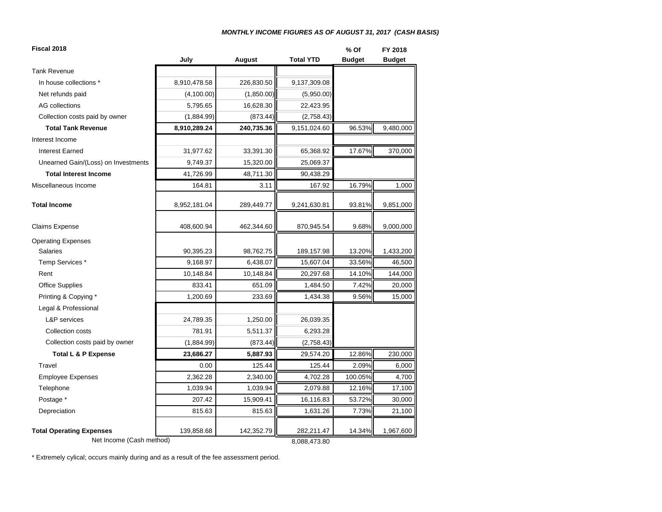#### *MONTHLY INCOME FIGURES AS OF AUGUST 31, 2017 (CASH BASIS)*

| Fiscal 2018                         |              |              |                  | % Of          | FY 2018       |
|-------------------------------------|--------------|--------------|------------------|---------------|---------------|
|                                     | July         | August       | <b>Total YTD</b> | <b>Budget</b> | <b>Budget</b> |
| <b>Tank Revenue</b>                 |              |              |                  |               |               |
| In house collections *              | 8,910,478.58 | 226,830.50   | 9,137,309.08     |               |               |
| Net refunds paid                    | (4,100.00)   | (1,850.00)   | (5,950.00)       |               |               |
| <b>AG</b> collections               | 5,795.65     | 16,628.30    | 22,423.95        |               |               |
| Collection costs paid by owner      | (1,884.99)   | (873.44)     | (2,758.43)       |               |               |
| <b>Total Tank Revenue</b>           | 8,910,289.24 | 240,735.36   | 9,151,024.60     | 96.53%        | 9,480,000     |
| Interest Income                     |              |              |                  |               |               |
| <b>Interest Earned</b>              | 31,977.62    | 33,391.30    | 65,368.92        | 17.67%        | 370,000       |
| Unearned Gain/(Loss) on Investments | 9,749.37     | 15,320.00    | 25,069.37        |               |               |
| <b>Total Interest Income</b>        | 41,726.99    | 48,711.30    | 90,438.29        |               |               |
| Miscellaneous Income                | 164.81       | 3.11         | 167.92           | 16.79%        | 1,000         |
| <b>Total Income</b>                 | 8,952,181.04 | 289,449.77   | 9,241,630.81     | 93.81%        | 9,851,000     |
| <b>Claims Expense</b>               | 408,600.94   | 462,344.60   | 870,945.54       | 9.68%         | 9,000,000     |
| <b>Operating Expenses</b>           |              |              |                  |               |               |
| <b>Salaries</b>                     | 90,395.23    | 98,762.75    | 189,157.98       | 13.20%        | 1,433,200     |
| Temp Services *                     | 9,168.97     | 6,438.07     | 15,607.04        | 33.56%        | 46,500        |
| Rent                                | 10,148.84    | 10,148.84    | 20,297.68        | 14.10%        | 144,000       |
| <b>Office Supplies</b>              | 833.41       | 651.09       | 1,484.50         | 7.42%         | 20,000        |
| Printing & Copying *                | 1,200.69     | 233.69       | 1,434.38         | 9.56%         | 15,000        |
| Legal & Professional                |              |              |                  |               |               |
| <b>L&amp;P</b> services             | 24,789.35    | 1,250.00     | 26,039.35        |               |               |
| Collection costs                    | 781.91       | 5,511.37     | 6,293.28         |               |               |
| Collection costs paid by owner      | (1,884.99)   | (873.44)     | (2,758.43)       |               |               |
| Total L & P Expense                 | 23,686.27    | 5,887.93     | 29,574.20        | 12.86%        | 230,000       |
| Travel                              | 0.00         | 125.44       | 125.44           | 2.09%         | 6,000         |
| <b>Employee Expenses</b>            | 2,362.28     | 2,340.00     | 4,702.28         | 100.05%       | 4,700         |
| Telephone                           | 1,039.94     | 1,039.94     | 2,079.88         | 12.16%        | 17,100        |
| Postage *                           | 207.42       | 15,909.41    | 16,116.83        | 53.72%        | 30,000        |
| Depreciation                        | 815.63       | 815.63       | 1,631.26         | 7.73%         | 21,100        |
| <b>Total Operating Expenses</b>     | 139,858.68   | 142,352.79   | 282,211.47       | 14.34%        | 1,967,600     |
| Net Income (Cash method)            |              | 8,088,473.80 |                  |               |               |

\* Extremely cylical; occurs mainly during and as a result of the fee assessment period.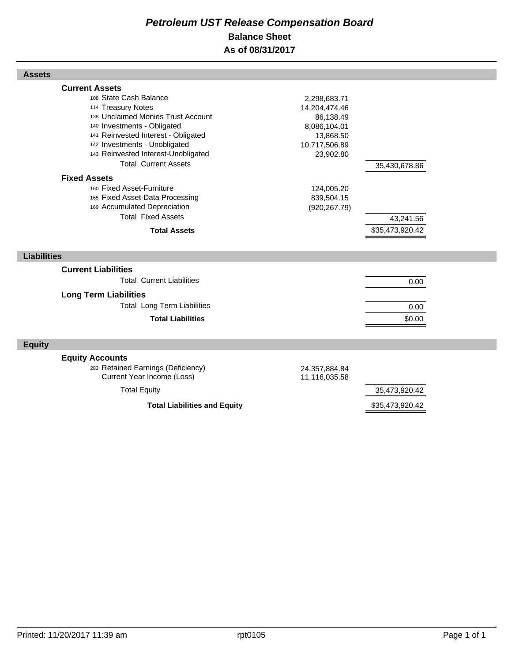## *Petroleum UST Release Compensation Board*  **Balance Sheet As of 08/31/2017**

| <b>Assets</b>                                                                                                                                                                                                                                                                            |                                                                                                       |                              |
|------------------------------------------------------------------------------------------------------------------------------------------------------------------------------------------------------------------------------------------------------------------------------------------|-------------------------------------------------------------------------------------------------------|------------------------------|
| <b>Current Assets</b><br>108 State Cash Balance<br>114 Treasury Notes<br>138 Unclaimed Monies Trust Account<br>140 Investments - Obligated<br>141 Reinvested Interest - Obligated<br>142 Investments - Unobligated<br>143 Reinvested Interest-Unobligated<br><b>Total Current Assets</b> | 2,298,683.71<br>14,204,474.46<br>86,138.49<br>8,086,104.01<br>13,868.50<br>10,717,506.89<br>23,902.80 | 35,430,678.86                |
| <b>Fixed Assets</b><br>160 Fixed Asset-Furniture<br>165 Fixed Asset-Data Processing<br>169 Accumulated Depreciation<br><b>Total Fixed Assets</b><br><b>Total Assets</b>                                                                                                                  | 124,005.20<br>839,504.15<br>(920, 267.79)                                                             | 43,241.56<br>\$35,473,920.42 |
| <b>Liabilities</b>                                                                                                                                                                                                                                                                       |                                                                                                       |                              |
| <b>Current Liabilities</b><br><b>Total Current Liabilities</b><br><b>Long Term Liabilities</b><br><b>Total Long Term Liabilities</b><br><b>Total Liabilities</b>                                                                                                                         |                                                                                                       | 0.00<br>0.00<br>\$0.00       |
| <b>Equity</b>                                                                                                                                                                                                                                                                            |                                                                                                       |                              |
| <b>Equity Accounts</b><br>283 Retained Earnings (Deficiency)<br>Current Year Income (Loss)<br><b>Total Equity</b>                                                                                                                                                                        | 24,357,884.84<br>11,116,035.58                                                                        | 35,473,920.42                |
| <b>Total Liabilities and Equity</b>                                                                                                                                                                                                                                                      |                                                                                                       | \$35,473,920.42              |

Г

Г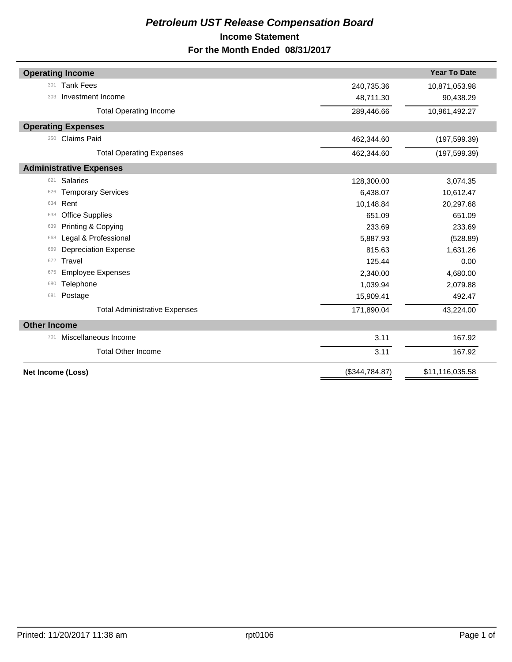## *Petroleum UST Release Compensation Board*  **Income Statement For the Month Ended 08/31/2017**

| <b>Year To Date</b><br><b>Operating Income</b><br><b>Tank Fees</b><br>301<br>10,871,053.98<br>240,735.36<br>Investment Income<br>303<br>48,711.30<br>90,438.29<br><b>Total Operating Income</b><br>10,961,492.27<br>289,446.66<br><b>Operating Expenses</b><br><b>Claims Paid</b><br>462,344.60<br>350<br>(197, 599.39)<br>462,344.60<br>(197, 599.39)<br><b>Total Operating Expenses</b><br><b>Administrative Expenses</b><br><b>Salaries</b><br>128,300.00<br>3,074.35<br>621<br><b>Temporary Services</b><br>6,438.07<br>10,612.47<br>626<br>Rent<br>10,148.84<br>20,297.68<br>634<br><b>Office Supplies</b><br>651.09<br>651.09<br>638<br>Printing & Copying<br>233.69<br>233.69<br>639<br>Legal & Professional<br>5,887.93<br>(528.89)<br>668<br><b>Depreciation Expense</b><br>815.63<br>1,631.26<br>669<br>Travel<br>125.44<br>0.00<br>672<br><b>Employee Expenses</b><br>2,340.00<br>4,680.00<br>675<br>Telephone<br>1,039.94<br>2,079.88<br>680<br>Postage<br>15,909.41<br>492.47<br>681<br>171,890.04<br>43,224.00<br><b>Total Administrative Expenses</b><br><b>Other Income</b><br>Miscellaneous Income<br>3.11<br>167.92<br>701<br><b>Total Other Income</b><br>167.92<br>3.11<br>(\$344,784.87)<br>\$11,116,035.58<br>Net Income (Loss) |  |  |
|-------------------------------------------------------------------------------------------------------------------------------------------------------------------------------------------------------------------------------------------------------------------------------------------------------------------------------------------------------------------------------------------------------------------------------------------------------------------------------------------------------------------------------------------------------------------------------------------------------------------------------------------------------------------------------------------------------------------------------------------------------------------------------------------------------------------------------------------------------------------------------------------------------------------------------------------------------------------------------------------------------------------------------------------------------------------------------------------------------------------------------------------------------------------------------------------------------------------------------------------------------|--|--|
|                                                                                                                                                                                                                                                                                                                                                                                                                                                                                                                                                                                                                                                                                                                                                                                                                                                                                                                                                                                                                                                                                                                                                                                                                                                       |  |  |
|                                                                                                                                                                                                                                                                                                                                                                                                                                                                                                                                                                                                                                                                                                                                                                                                                                                                                                                                                                                                                                                                                                                                                                                                                                                       |  |  |
|                                                                                                                                                                                                                                                                                                                                                                                                                                                                                                                                                                                                                                                                                                                                                                                                                                                                                                                                                                                                                                                                                                                                                                                                                                                       |  |  |
|                                                                                                                                                                                                                                                                                                                                                                                                                                                                                                                                                                                                                                                                                                                                                                                                                                                                                                                                                                                                                                                                                                                                                                                                                                                       |  |  |
|                                                                                                                                                                                                                                                                                                                                                                                                                                                                                                                                                                                                                                                                                                                                                                                                                                                                                                                                                                                                                                                                                                                                                                                                                                                       |  |  |
|                                                                                                                                                                                                                                                                                                                                                                                                                                                                                                                                                                                                                                                                                                                                                                                                                                                                                                                                                                                                                                                                                                                                                                                                                                                       |  |  |
|                                                                                                                                                                                                                                                                                                                                                                                                                                                                                                                                                                                                                                                                                                                                                                                                                                                                                                                                                                                                                                                                                                                                                                                                                                                       |  |  |
|                                                                                                                                                                                                                                                                                                                                                                                                                                                                                                                                                                                                                                                                                                                                                                                                                                                                                                                                                                                                                                                                                                                                                                                                                                                       |  |  |
|                                                                                                                                                                                                                                                                                                                                                                                                                                                                                                                                                                                                                                                                                                                                                                                                                                                                                                                                                                                                                                                                                                                                                                                                                                                       |  |  |
|                                                                                                                                                                                                                                                                                                                                                                                                                                                                                                                                                                                                                                                                                                                                                                                                                                                                                                                                                                                                                                                                                                                                                                                                                                                       |  |  |
|                                                                                                                                                                                                                                                                                                                                                                                                                                                                                                                                                                                                                                                                                                                                                                                                                                                                                                                                                                                                                                                                                                                                                                                                                                                       |  |  |
|                                                                                                                                                                                                                                                                                                                                                                                                                                                                                                                                                                                                                                                                                                                                                                                                                                                                                                                                                                                                                                                                                                                                                                                                                                                       |  |  |
|                                                                                                                                                                                                                                                                                                                                                                                                                                                                                                                                                                                                                                                                                                                                                                                                                                                                                                                                                                                                                                                                                                                                                                                                                                                       |  |  |
|                                                                                                                                                                                                                                                                                                                                                                                                                                                                                                                                                                                                                                                                                                                                                                                                                                                                                                                                                                                                                                                                                                                                                                                                                                                       |  |  |
|                                                                                                                                                                                                                                                                                                                                                                                                                                                                                                                                                                                                                                                                                                                                                                                                                                                                                                                                                                                                                                                                                                                                                                                                                                                       |  |  |
|                                                                                                                                                                                                                                                                                                                                                                                                                                                                                                                                                                                                                                                                                                                                                                                                                                                                                                                                                                                                                                                                                                                                                                                                                                                       |  |  |
|                                                                                                                                                                                                                                                                                                                                                                                                                                                                                                                                                                                                                                                                                                                                                                                                                                                                                                                                                                                                                                                                                                                                                                                                                                                       |  |  |
|                                                                                                                                                                                                                                                                                                                                                                                                                                                                                                                                                                                                                                                                                                                                                                                                                                                                                                                                                                                                                                                                                                                                                                                                                                                       |  |  |
|                                                                                                                                                                                                                                                                                                                                                                                                                                                                                                                                                                                                                                                                                                                                                                                                                                                                                                                                                                                                                                                                                                                                                                                                                                                       |  |  |
|                                                                                                                                                                                                                                                                                                                                                                                                                                                                                                                                                                                                                                                                                                                                                                                                                                                                                                                                                                                                                                                                                                                                                                                                                                                       |  |  |
|                                                                                                                                                                                                                                                                                                                                                                                                                                                                                                                                                                                                                                                                                                                                                                                                                                                                                                                                                                                                                                                                                                                                                                                                                                                       |  |  |
|                                                                                                                                                                                                                                                                                                                                                                                                                                                                                                                                                                                                                                                                                                                                                                                                                                                                                                                                                                                                                                                                                                                                                                                                                                                       |  |  |
|                                                                                                                                                                                                                                                                                                                                                                                                                                                                                                                                                                                                                                                                                                                                                                                                                                                                                                                                                                                                                                                                                                                                                                                                                                                       |  |  |
|                                                                                                                                                                                                                                                                                                                                                                                                                                                                                                                                                                                                                                                                                                                                                                                                                                                                                                                                                                                                                                                                                                                                                                                                                                                       |  |  |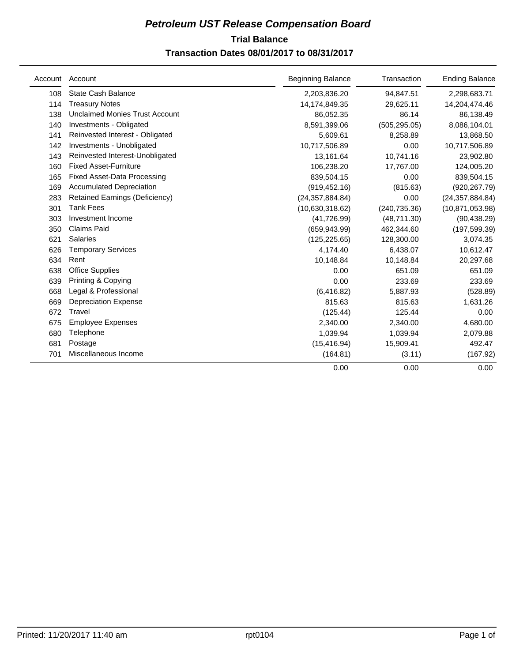## **Trial Balance** *Petroleum UST Release Compensation Board*

## **Transaction Dates 08/01/2017 to 08/31/2017**

| Account | Account                               | <b>Beginning Balance</b> | Transaction   | <b>Ending Balance</b> |
|---------|---------------------------------------|--------------------------|---------------|-----------------------|
| 108     | State Cash Balance                    | 2,203,836.20             | 94,847.51     | 2,298,683.71          |
| 114     | <b>Treasury Notes</b>                 | 14,174,849.35            | 29,625.11     | 14,204,474.46         |
| 138     | <b>Unclaimed Monies Trust Account</b> | 86,052.35                | 86.14         | 86,138.49             |
| 140     | Investments - Obligated               | 8,591,399.06             | (505, 295.05) | 8,086,104.01          |
| 141     | Reinvested Interest - Obligated       | 5,609.61                 | 8,258.89      | 13,868.50             |
| 142     | Investments - Unobligated             | 10,717,506.89            | 0.00          | 10,717,506.89         |
| 143     | Reinvested Interest-Unobligated       | 13,161.64                | 10,741.16     | 23,902.80             |
| 160     | <b>Fixed Asset-Furniture</b>          | 106,238.20               | 17,767.00     | 124,005.20            |
| 165     | <b>Fixed Asset-Data Processing</b>    | 839,504.15               | 0.00          | 839,504.15            |
| 169     | <b>Accumulated Depreciation</b>       | (919, 452.16)            | (815.63)      | (920, 267.79)         |
| 283     | <b>Retained Earnings (Deficiency)</b> | (24, 357, 884.84)        | 0.00          | (24, 357, 884.84)     |
| 301     | <b>Tank Fees</b>                      | (10,630,318.62)          | (240, 735.36) | (10, 871, 053.98)     |
| 303     | Investment Income                     | (41, 726.99)             | (48, 711.30)  | (90, 438.29)          |
| 350     | <b>Claims Paid</b>                    | (659, 943.99)            | 462,344.60    | (197, 599.39)         |
| 621     | Salaries                              | (125, 225.65)            | 128,300.00    | 3,074.35              |
| 626     | <b>Temporary Services</b>             | 4,174.40                 | 6,438.07      | 10,612.47             |
| 634     | Rent                                  | 10,148.84                | 10,148.84     | 20,297.68             |
| 638     | Office Supplies                       | 0.00                     | 651.09        | 651.09                |
| 639     | Printing & Copying                    | 0.00                     | 233.69        | 233.69                |
| 668     | Legal & Professional                  | (6, 416.82)              | 5,887.93      | (528.89)              |
| 669     | <b>Depreciation Expense</b>           | 815.63                   | 815.63        | 1,631.26              |
| 672     | Travel                                | (125.44)                 | 125.44        | 0.00                  |
| 675     | <b>Employee Expenses</b>              | 2,340.00                 | 2,340.00      | 4,680.00              |
| 680     | Telephone                             | 1,039.94                 | 1,039.94      | 2,079.88              |
| 681     | Postage                               | (15, 416.94)             | 15,909.41     | 492.47                |
| 701     | Miscellaneous Income                  | (164.81)                 | (3.11)        | (167.92)              |
|         |                                       | 0.00                     | 0.00          | 0.00                  |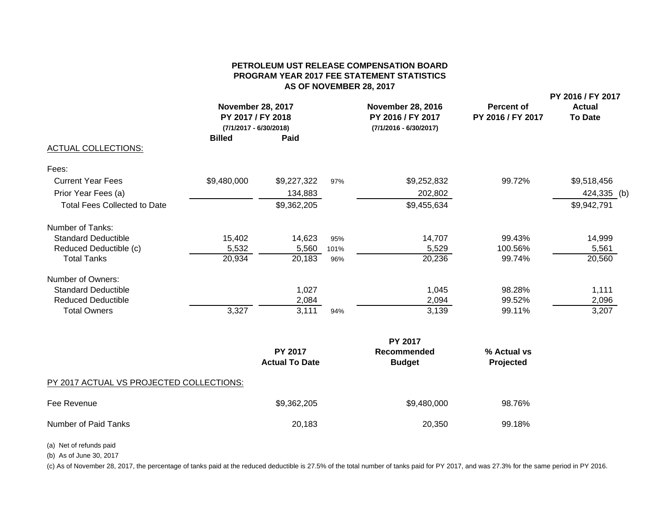#### **PETROLEUM UST RELEASE COMPENSATION BOARDPROGRAM YEAR 2017 FEE STATEMENT STATISTICS AS OF NOVEMBER 28, 2017**

| <b>ACTUAL COLLECTIONS:</b>               | <b>November 28, 2017</b><br><b>November 28, 2016</b><br><b>Percent of</b><br>PY 2017 / FY 2018<br>PY 2016 / FY 2017<br>PY 2016 / FY 2017<br>$(7/1/2017 - 6/30/2018)$<br>$(7/1/2016 - 6/30/2017)$<br><b>Billed</b><br>Paid<br>99.72%<br>\$9,480,000<br>\$9,227,322<br>\$9,252,832<br>97%<br>134,883<br>202,802<br>\$9,362,205<br>\$9,455,634 |                                         | PY 2016 / FY 2017<br><b>Actual</b><br><b>To Date</b> |                                     |                          |             |
|------------------------------------------|---------------------------------------------------------------------------------------------------------------------------------------------------------------------------------------------------------------------------------------------------------------------------------------------------------------------------------------------|-----------------------------------------|------------------------------------------------------|-------------------------------------|--------------------------|-------------|
| Fees:                                    |                                                                                                                                                                                                                                                                                                                                             |                                         |                                                      |                                     |                          |             |
| <b>Current Year Fees</b>                 |                                                                                                                                                                                                                                                                                                                                             |                                         |                                                      |                                     |                          | \$9,518,456 |
| Prior Year Fees (a)                      |                                                                                                                                                                                                                                                                                                                                             |                                         |                                                      |                                     |                          | 424,335 (b) |
| <b>Total Fees Collected to Date</b>      |                                                                                                                                                                                                                                                                                                                                             |                                         |                                                      |                                     |                          | \$9,942,791 |
| Number of Tanks:                         |                                                                                                                                                                                                                                                                                                                                             |                                         |                                                      |                                     |                          |             |
| <b>Standard Deductible</b>               | 15,402                                                                                                                                                                                                                                                                                                                                      | 14,623                                  | 95%                                                  | 14,707                              | 99.43%                   | 14,999      |
| Reduced Deductible (c)                   | 5,532                                                                                                                                                                                                                                                                                                                                       | 5,560                                   | 101%                                                 | 5,529                               | 100.56%                  | 5,561       |
| <b>Total Tanks</b>                       | 20,934                                                                                                                                                                                                                                                                                                                                      | 20,183                                  | 96%                                                  | 20,236                              | 99.74%                   | 20,560      |
| Number of Owners:                        |                                                                                                                                                                                                                                                                                                                                             |                                         |                                                      |                                     |                          |             |
| <b>Standard Deductible</b>               |                                                                                                                                                                                                                                                                                                                                             | 1,027                                   |                                                      | 1,045                               | 98.28%                   | 1,111       |
| <b>Reduced Deductible</b>                |                                                                                                                                                                                                                                                                                                                                             | 2,084                                   |                                                      | 2,094                               | 99.52%                   | 2,096       |
| <b>Total Owners</b>                      | 3,327                                                                                                                                                                                                                                                                                                                                       | 3,111                                   | 94%                                                  | 3,139                               | 99.11%                   | 3,207       |
|                                          |                                                                                                                                                                                                                                                                                                                                             |                                         |                                                      | <b>PY 2017</b>                      |                          |             |
|                                          |                                                                                                                                                                                                                                                                                                                                             | <b>PY 2017</b><br><b>Actual To Date</b> |                                                      | <b>Recommended</b><br><b>Budget</b> | % Actual vs<br>Projected |             |
| PY 2017 ACTUAL VS PROJECTED COLLECTIONS: |                                                                                                                                                                                                                                                                                                                                             |                                         |                                                      |                                     |                          |             |
| Fee Revenue                              |                                                                                                                                                                                                                                                                                                                                             | \$9,362,205                             |                                                      | \$9,480,000                         | 98.76%                   |             |

Number of Paid Tanks 20,183 20,183 20,350 99.18%

(a) Net of refunds paid

(b) As of June 30, 2017

(c) As of November 28, 2017, the percentage of tanks paid at the reduced deductible is 27.5% of the total number of tanks paid for PY 2017, and was 27.3% for the same period in PY 2016.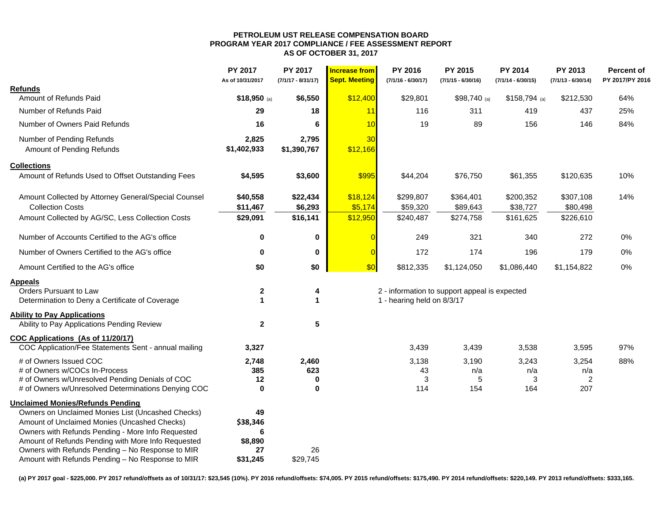#### **PETROLEUM UST RELEASE COMPENSATION BOARD PROGRAM YEAR 2017 COMPLIANCE / FEE ASSESSMENT REPORT AS OF OCTOBER 31, 2017**

|                                                      | PY 2017<br>As of 10/31/2017 | PY 2017<br>$(7/1/17 - 8/31/17)$ | <b>Increase from</b><br><b>Sept. Meeting</b> | PY 2016<br>$(7/1/16 - 6/30/17)$ | PY 2015<br>$(7/1/15 - 6/30/16)$               | <b>PY 2014</b><br>$(7/1/14 - 6/30/15)$ | PY 2013<br>$(7/1/13 - 6/30/14)$ | <b>Percent of</b><br>PY 2017/PY 2016 |
|------------------------------------------------------|-----------------------------|---------------------------------|----------------------------------------------|---------------------------------|-----------------------------------------------|----------------------------------------|---------------------------------|--------------------------------------|
| <b>Refunds</b>                                       |                             |                                 |                                              |                                 |                                               |                                        |                                 |                                      |
| Amount of Refunds Paid                               | $$18,950$ (a)               | \$6,550                         | \$12,400                                     | \$29,801                        | $$98,740$ (a)                                 | $$158,794$ (a)                         | \$212,530                       | 64%                                  |
| Number of Refunds Paid                               | 29                          | 18                              | 11                                           | 116                             | 311                                           | 419                                    | 437                             | 25%                                  |
| Number of Owners Paid Refunds                        | 16                          | 6                               | 10                                           | 19                              | 89                                            | 156                                    | 146                             | 84%                                  |
| Number of Pending Refunds                            | 2,825                       | 2,795                           | 30                                           |                                 |                                               |                                        |                                 |                                      |
| Amount of Pending Refunds                            | \$1,402,933                 | \$1,390,767                     | \$12,166                                     |                                 |                                               |                                        |                                 |                                      |
| <b>Collections</b>                                   |                             |                                 |                                              |                                 |                                               |                                        |                                 |                                      |
| Amount of Refunds Used to Offset Outstanding Fees    | \$4,595                     | \$3,600                         | \$995                                        | \$44,204                        | \$76,750                                      | \$61,355                               | \$120,635                       | 10%                                  |
| Amount Collected by Attorney General/Special Counsel | \$40,558                    | \$22,434                        | \$18,124                                     | \$299,807                       | \$364,401                                     | \$200,352                              | \$307,108                       | 14%                                  |
| <b>Collection Costs</b>                              | \$11,467                    | \$6,293                         | \$5,174                                      | \$59,320                        | \$89,643                                      | \$38,727                               | \$80,498                        |                                      |
| Amount Collected by AG/SC, Less Collection Costs     | \$29,091                    | \$16,141                        | \$12,950                                     | \$240,487                       | \$274,758                                     | \$161,625                              | \$226,610                       |                                      |
| Number of Accounts Certified to the AG's office      | $\bf{0}$                    | 0                               |                                              | 249                             | 321                                           | 340                                    | 272                             | 0%                                   |
| Number of Owners Certified to the AG's office        | $\mathbf 0$                 | 0                               |                                              | 172                             | 174                                           | 196                                    | 179                             | $0\%$                                |
| Amount Certified to the AG's office                  | \$0                         | \$0                             | \$0                                          | \$812,335                       | \$1,124,050                                   | \$1,086,440                            | \$1,154,822                     | 0%                                   |
| <b>Appeals</b>                                       |                             |                                 |                                              |                                 |                                               |                                        |                                 |                                      |
| Orders Pursuant to Law                               | $\boldsymbol{2}$            | 4                               |                                              |                                 | 2 - information to support appeal is expected |                                        |                                 |                                      |
| Determination to Deny a Certificate of Coverage      | 1                           | $\blacktriangleleft$            |                                              | 1 - hearing held on 8/3/17      |                                               |                                        |                                 |                                      |
| <b>Ability to Pay Applications</b>                   |                             |                                 |                                              |                                 |                                               |                                        |                                 |                                      |
| Ability to Pay Applications Pending Review           | $\mathbf{2}$                | 5                               |                                              |                                 |                                               |                                        |                                 |                                      |
| COC Applications (As of 11/20/17)                    |                             |                                 |                                              |                                 |                                               |                                        |                                 |                                      |
| COC Application/Fee Statements Sent - annual mailing | 3,327                       |                                 |                                              | 3,439                           | 3,439                                         | 3,538                                  | 3,595                           | 97%                                  |
| # of Owners Issued COC                               | 2,748                       | 2,460                           |                                              | 3,138                           | 3,190                                         | 3,243                                  | 3,254                           | 88%                                  |
| # of Owners w/COCs In-Process                        | 385                         | 623                             |                                              | 43                              | n/a                                           | n/a                                    | n/a                             |                                      |
| # of Owners w/Unresolved Pending Denials of COC      | 12                          | 0                               |                                              | 3                               | 5                                             | 3                                      | 2                               |                                      |
| # of Owners w/Unresolved Determinations Denying COC  | 0                           | $\bf{0}$                        |                                              | 114                             | 154                                           | 164                                    | 207                             |                                      |
| <b>Unclaimed Monies/Refunds Pending</b>              |                             |                                 |                                              |                                 |                                               |                                        |                                 |                                      |
| Owners on Unclaimed Monies List (Uncashed Checks)    | 49                          |                                 |                                              |                                 |                                               |                                        |                                 |                                      |
| Amount of Unclaimed Monies (Uncashed Checks)         | \$38,346                    |                                 |                                              |                                 |                                               |                                        |                                 |                                      |
| Owners with Refunds Pending - More Info Requested    | 6                           |                                 |                                              |                                 |                                               |                                        |                                 |                                      |
| Amount of Refunds Pending with More Info Requested   | \$8,890                     |                                 |                                              |                                 |                                               |                                        |                                 |                                      |
| Owners with Refunds Pending - No Response to MIR     | 27                          | 26                              |                                              |                                 |                                               |                                        |                                 |                                      |
| Amount with Refunds Pending - No Response to MIR     | \$31,245                    | \$29,745                        |                                              |                                 |                                               |                                        |                                 |                                      |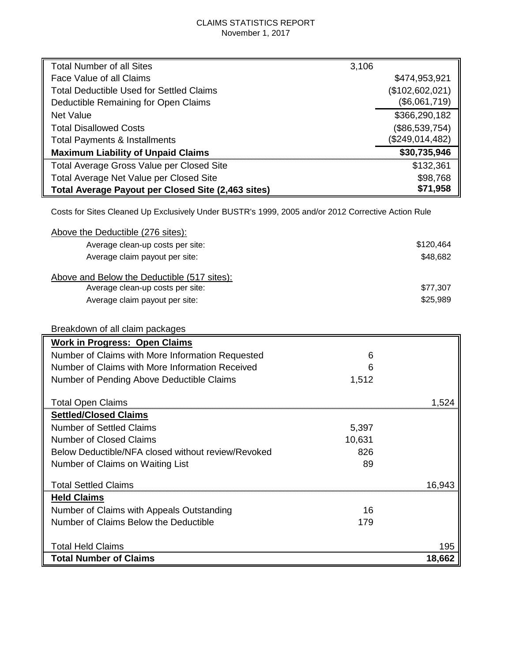## CLAIMS STATISTICS REPORT November 1, 2017

| <b>Total Number of all Sites</b>                   | 3,106           |
|----------------------------------------------------|-----------------|
| Face Value of all Claims                           | \$474,953,921   |
| <b>Total Deductible Used for Settled Claims</b>    | (\$102,602,021) |
| Deductible Remaining for Open Claims               | (\$6,061,719)   |
| <b>Net Value</b>                                   | \$366,290,182   |
| <b>Total Disallowed Costs</b>                      | (\$86,539,754)  |
| <b>Total Payments &amp; Installments</b>           | (\$249,014,482) |
| <b>Maximum Liability of Unpaid Claims</b>          | \$30,735,946    |
| Total Average Gross Value per Closed Site          | \$132,361       |
| Total Average Net Value per Closed Site            | \$98,768        |
| Total Average Payout per Closed Site (2,463 sites) | \$71,958        |

Costs for Sites Cleaned Up Exclusively Under BUSTR's 1999, 2005 and/or 2012 Corrective Action Rule

| Above the Deductible (276 sites):                  |           |
|----------------------------------------------------|-----------|
| Average clean-up costs per site:                   | \$120,464 |
| Average claim payout per site:                     | \$48,682  |
| Above and Below the Deductible (517 sites):        |           |
| Average clean-up costs per site:                   | \$77,307  |
| Average claim payout per site:                     | \$25,989  |
|                                                    |           |
| Breakdown of all claim packages                    |           |
| <b>Work in Progress: Open Claims</b>               |           |
| Number of Claims with More Information Requested   | 6         |
| Number of Claims with More Information Received    | 6         |
| Number of Pending Above Deductible Claims          | 1,512     |
| <b>Total Open Claims</b>                           | 1.524     |
| <b>Settled/Closed Claims</b>                       |           |
| <b>Number of Settled Claims</b>                    | 5,397     |
| <b>Number of Closed Claims</b>                     | 10,631    |
| Below Deductible/NFA closed without review/Revoked | 826       |
| Number of Claims on Waiting List                   | 89        |
| <b>Total Settled Claims</b>                        | 16,943    |
| <b>Held Claims</b>                                 |           |
| Number of Claims with Appeals Outstanding          | 16        |
| Number of Claims Below the Deductible              | 179       |
| <b>Total Held Claims</b>                           | 195       |
| <b>Total Number of Claims</b>                      | 18,662    |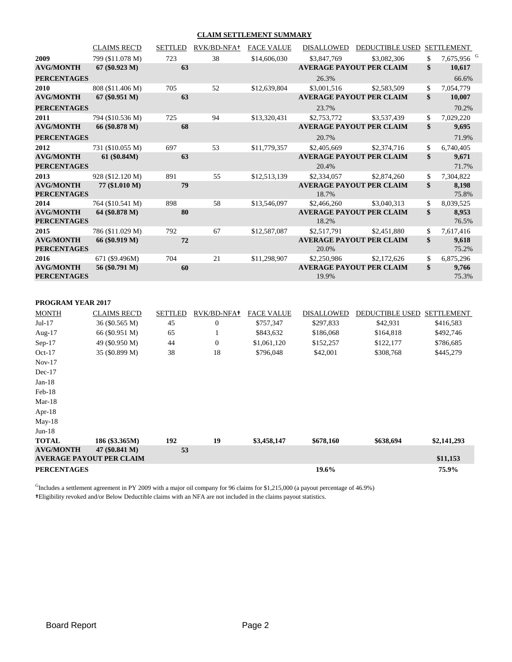#### **CLAIM SETTLEMENT SUMMARY**

|                                        | <b>CLAIMS REC'D</b> | <b>SETTLED</b> | RVK/BD-NFA+ | <b>FACE VALUE</b> | <b>DISALLOWED</b> | DEDUCTIBLE USED                 | <b>SETTLEMENT</b>            |
|----------------------------------------|---------------------|----------------|-------------|-------------------|-------------------|---------------------------------|------------------------------|
| 2009                                   | 799 (\$11.078 M)    | 723            | 38          | \$14,606,030      | \$3,847,769       | \$3,082,306                     | \$<br>7,675,956 <sup>G</sup> |
| <b>AVG/MONTH</b>                       | $67 (\$0.923 M)$    | 63             |             |                   |                   | <b>AVERAGE PAYOUT PER CLAIM</b> | \$<br>10,617                 |
| <b>PERCENTAGES</b>                     |                     |                |             |                   | 26.3%             |                                 | 66.6%                        |
| 2010                                   | 808 (\$11.406 M)    | 705            | 52          | \$12,639,804      | \$3,001,516       | \$2,583,509                     | \$<br>7,054,779              |
| <b>AVG/MONTH</b>                       | $67 (\$0.951 M)$    | 63             |             |                   |                   | <b>AVERAGE PAYOUT PER CLAIM</b> | \$<br>10,007                 |
| <b>PERCENTAGES</b>                     |                     |                |             |                   | 23.7%             |                                 | 70.2%                        |
| 2011                                   | 794 (\$10.536 M)    | 725            | 94          | \$13,320,431      | \$2,753,772       | \$3,537,439                     | \$<br>7,029,220              |
| <b>AVG/MONTH</b>                       | 66 (\$0.878 M)      | 68             |             |                   |                   | <b>AVERAGE PAYOUT PER CLAIM</b> | \$<br>9,695                  |
| <b>PERCENTAGES</b>                     |                     |                |             |                   | 20.7%             |                                 | 71.9%                        |
| 2012                                   | 731 (\$10.055 M)    | 697            | 53          | \$11,779,357      | \$2,405,669       | \$2,374,716                     | \$<br>6,740,405              |
| <b>AVG/MONTH</b>                       | 61 (\$0.84M)        | 63             |             |                   |                   | <b>AVERAGE PAYOUT PER CLAIM</b> | \$<br>9,671                  |
| <b>PERCENTAGES</b>                     |                     |                |             |                   | 20.4%             |                                 | 71.7%                        |
| 2013                                   | 928 (\$12.120 M)    | 891            | 55          | \$12,513,139      | \$2,334,057       | \$2,874,260                     | \$<br>7,304,822              |
| <b>AVG/MONTH</b><br><b>PERCENTAGES</b> | 77 (\$1.010 M)      | 79             |             |                   | 18.7%             | <b>AVERAGE PAYOUT PER CLAIM</b> | \$<br>8,198<br>75.8%         |
| 2014                                   | 764 (\$10.541 M)    | 898            | 58          | \$13,546,097      | \$2,466,260       | \$3,040,313                     | \$<br>8,039,525              |
| <b>AVG/MONTH</b><br><b>PERCENTAGES</b> | 64 (\$0.878 M)      | 80             |             |                   | 18.2%             | <b>AVERAGE PAYOUT PER CLAIM</b> | \$<br>8,953<br>76.5%         |
| 2015                                   | 786 (\$11.029 M)    | 792            | 67          | \$12,587,087      | \$2,517,791       | \$2,451,880                     | \$<br>7,617,416              |
| <b>AVG/MONTH</b><br><b>PERCENTAGES</b> | 66 (\$0.919 M)      | 72             |             |                   | 20.0%             | <b>AVERAGE PAYOUT PER CLAIM</b> | \$<br>9,618<br>75.2%         |
| 2016                                   | 671 (\$9.496M)      | 704            | 21          | \$11,298,907      | \$2,250,986       | \$2,172,626                     | \$<br>6,875,296              |
| <b>AVG/MONTH</b>                       | 56 (\$0.791 M)      | 60             |             |                   |                   | <b>AVERAGE PAYOUT PER CLAIM</b> | \$<br>9,766                  |
| <b>PERCENTAGES</b>                     |                     |                |             |                   | 19.9%             |                                 | 75.3%                        |
|                                        |                     |                |             |                   |                   |                                 |                              |

#### **PROGRAM YEAR 2017**

| <b>MONTH</b>       | <b>CLAIMS REC'D</b>             | <b>SETTLED</b> | RVK/BD-NFA+  | <b>FACE VALUE</b> | <b>DISALLOWED</b> | <b>DEDUCTIBLE USED</b> | <b>SETTLEMENT</b> |
|--------------------|---------------------------------|----------------|--------------|-------------------|-------------------|------------------------|-------------------|
| $Jul-17$           | 36 (\$0.565 M)                  | 45             | 0            | \$757,347         | \$297,833         | \$42,931               | \$416,583         |
| Aug- $17$          | 66 (\$0.951 M)                  | 65             |              | \$843,632         | \$186,068         | \$164,818              | \$492,746         |
| $Sep-17$           | 49 (\$0.950 M)                  | 44             | $\mathbf{0}$ | \$1,061,120       | \$152,257         | \$122,177              | \$786,685         |
| $Oct-17$           | 35 (\$0.899 M)                  | 38             | 18           | \$796,048         | \$42,001          | \$308,768              | \$445,279         |
| $Nov-17$           |                                 |                |              |                   |                   |                        |                   |
| $Dec-17$           |                                 |                |              |                   |                   |                        |                   |
| $Jan-18$           |                                 |                |              |                   |                   |                        |                   |
| $Feb-18$           |                                 |                |              |                   |                   |                        |                   |
| $Mar-18$           |                                 |                |              |                   |                   |                        |                   |
| Apr- $18$          |                                 |                |              |                   |                   |                        |                   |
| $May-18$           |                                 |                |              |                   |                   |                        |                   |
| $Jun-18$           |                                 |                |              |                   |                   |                        |                   |
| <b>TOTAL</b>       | 186 (\$3.365M)                  | 192            | 19           | \$3,458,147       | \$678,160         | \$638,694              | \$2,141,293       |
| <b>AVG/MONTH</b>   | 47 (\$0.841 M)                  | 53             |              |                   |                   |                        |                   |
|                    | <b>AVERAGE PAYOUT PER CLAIM</b> |                |              |                   |                   |                        | \$11,153          |
| <b>PERCENTAGES</b> |                                 |                |              |                   | 19.6%             |                        | 75.9%             |

<sup>G</sup>Includes a settlement agreement in PY 2009 with a major oil company for 96 claims for \$1,215,000 (a payout percentage of 46.9%) **†**Eligibility revoked and/or Below Deductible claims with an NFA are not included in the claims payout statistics.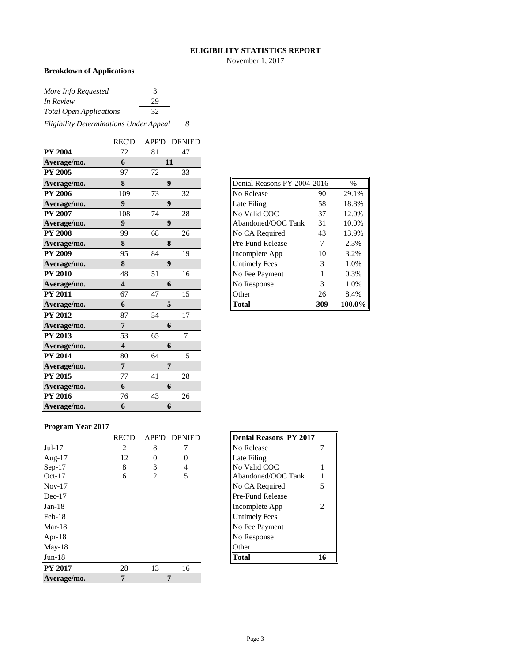#### **ELIGIBILITY STATISTICS REPORT**

November 1, 2017

## **Breakdown of Applications**

| More Info Requested                     | 3  |   |
|-----------------------------------------|----|---|
| In Review                               | 29 |   |
| <b>Total Open Applications</b>          | 32 |   |
| Eligibility Determinations Under Appeal |    | 8 |

|                | <b>REC'D</b>            |    | APP'D DENIED     |
|----------------|-------------------------|----|------------------|
| <b>PY 2004</b> | 72                      | 81 | 47               |
| Average/mo.    | 6                       |    | 11               |
| <b>PY 2005</b> | 97                      | 72 | 33               |
| Average/mo.    | 8                       |    | 9                |
| <b>PY 2006</b> | 109                     | 73 | 32               |
| Average/mo.    | 9                       |    | $\boldsymbol{9}$ |
| <b>PY 2007</b> | 108                     | 74 | 28               |
| Average/mo.    | 9                       |    | 9                |
| <b>PY 2008</b> | 99                      | 68 | 26               |
| Average/mo.    | 8                       |    | 8                |
| <b>PY 2009</b> | 95                      | 84 | 19               |
| Average/mo.    | 8                       |    | 9                |
| <b>PY 2010</b> | 48                      | 51 | 16               |
| Average/mo.    | $\overline{\mathbf{4}}$ |    | 6                |
| <b>PY 2011</b> | 67                      | 47 | 15               |
| Average/mo.    | 6                       |    | 5                |
| <b>PY 2012</b> | 87                      | 54 | 17               |
| Average/mo.    | 7                       |    | 6                |
| <b>PY 2013</b> | 53                      | 65 | $\overline{7}$   |
| Average/mo.    | $\overline{\mathbf{4}}$ |    | 6                |
| <b>PY 2014</b> | 80                      | 64 | 15               |
| Average/mo.    | $\overline{7}$          |    | 7                |
| <b>PY 2015</b> | 77                      | 41 | 28               |
| Average/mo.    | 6                       |    | 6                |
| <b>PY 2016</b> | 76                      | 43 | 26               |
| Average/mo.    | 6                       |    | 6                |

| Denial Reasons PY 2004-2016<br>$\frac{0}{0}$ |     |        |  |  |  |  |  |  |  |
|----------------------------------------------|-----|--------|--|--|--|--|--|--|--|
| No Release                                   | 90  | 29.1%  |  |  |  |  |  |  |  |
| Late Filing                                  | 58  | 18.8%  |  |  |  |  |  |  |  |
| No Valid COC                                 | 37  | 12.0%  |  |  |  |  |  |  |  |
| Abandoned/OOC Tank                           | 31  | 10.0%  |  |  |  |  |  |  |  |
| No CA Required                               | 43  | 13.9%  |  |  |  |  |  |  |  |
| Pre-Fund Release                             | 7   | 2.3%   |  |  |  |  |  |  |  |
| Incomplete App                               | 10  | 3.2%   |  |  |  |  |  |  |  |
| <b>Untimely Fees</b>                         | 3   | 1.0%   |  |  |  |  |  |  |  |
| No Fee Payment                               | 1   | 0.3%   |  |  |  |  |  |  |  |
| No Response                                  | 3   | 1.0%   |  |  |  |  |  |  |  |
| Other                                        | 26  | 8.4%   |  |  |  |  |  |  |  |
| Total                                        | 309 | 100.0% |  |  |  |  |  |  |  |

#### **Program Year 2017**

|                | <b>REC'D</b> | APP'D | <b>DENIED</b> | Denial Reasons PY 2017  |
|----------------|--------------|-------|---------------|-------------------------|
| $Jul-17$       | 2            | 8     |               | No Release              |
| Aug- $17$      | 12           | 0     | $\Omega$      | Late Filing             |
| $Sep-17$       | 8            | 3     | 4             | No Valid COC            |
| $Oct-17$       | 6            | 2     | 5             | Abandoned/OOC Tank      |
| $Nov-17$       |              |       |               | No CA Required<br>5     |
| $Dec-17$       |              |       |               | <b>Pre-Fund Release</b> |
| $Jan-18$       |              |       |               | Incomplete App<br>2     |
| $Feb-18$       |              |       |               | <b>Untimely Fees</b>    |
| $Mar-18$       |              |       |               | No Fee Payment          |
| Apr- $18$      |              |       |               | No Response             |
| $May-18$       |              |       |               | Other                   |
| $Jun-18$       |              |       |               | 16<br><b>Total</b>      |
| <b>PY 2017</b> | 28           | 13    | 16            |                         |
| Average/mo.    | 7            |       | 7             |                         |

| <b>Denial Reasons PY 2017</b> |   |
|-------------------------------|---|
| No Release                    |   |
| Late Filing                   |   |
| No Valid COC                  |   |
| Abandoned/OOC Tank            |   |
| No CA Required                | 5 |
| Pre-Fund Release              |   |
| Incomplete App                | 2 |
| Untimely Fees                 |   |
| No Fee Payment                |   |
| No Response                   |   |
| Other                         |   |
| l∩fal                         |   |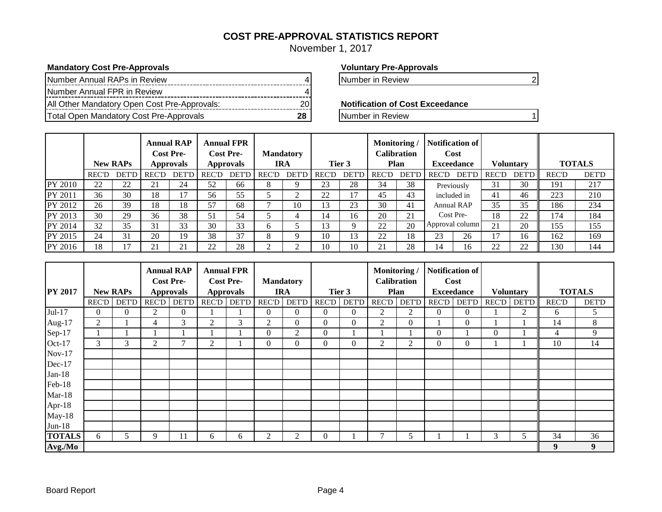## **COST PRE-APPROVAL STATISTICS REPORT**

November 1, 2017

#### **Mandatory Cost Pre-Approvals Voluntary Pre-Approvals**

| Number Annual RAPs in Review                 |  |
|----------------------------------------------|--|
| Number Annual FPR in Review                  |  |
| All Other Mandatory Open Cost Pre-Approvals: |  |
| Total Open Mandatory Cost Pre-Approvals      |  |

Number in Review 4 Number in Review 4 Number in Review 4 Number 2 Number 2 Number 2 Number 2 Number 2 Number 2

**Notification of Cost Exceedance** 

**The Total Open Mandatory Cost Pre-Approvals** 20 Number in Review 1

|         | <b>New RAPs</b> |              |              |              |              |              |              |              |              |               | <b>Annual RAP</b><br><b>Cost Pre-</b><br><b>Approvals</b> |              |                 |                   |              | <b>Annual FPR</b><br><b>Cost Pre-</b><br><b>Approvals</b> |              | <b>Mandatory</b><br><b>IRA</b> | Tier 3 |  | Monitoring | Calibration<br>Plan |  | Notification of<br>Cost<br><b>Exceedance</b> |  | <b>Voluntary</b> |  | <b>TOTALS</b> |
|---------|-----------------|--------------|--------------|--------------|--------------|--------------|--------------|--------------|--------------|---------------|-----------------------------------------------------------|--------------|-----------------|-------------------|--------------|-----------------------------------------------------------|--------------|--------------------------------|--------|--|------------|---------------------|--|----------------------------------------------|--|------------------|--|---------------|
|         | <b>REC'D</b>    | <b>DET'D</b> | <b>REC'D</b> | <b>DET'D</b> | <b>REC'D</b> | <b>DET'D</b> | <b>REC'D</b> | <b>DET'D</b> | <b>REC'D</b> | DET'D         | <b>REC'D</b>                                              | <b>DET'D</b> | <b>REC'D</b>    | DET'D             | <b>REC'D</b> | <b>DET'D</b>                                              | <b>REC'D</b> | <b>DET'D</b>                   |        |  |            |                     |  |                                              |  |                  |  |               |
| PY 2010 | 22              | 22           | 21           | 24           | 52           | 66           | 8            |              | 23           | 28            | 34                                                        | 38           | Previously      |                   | 31           | 30                                                        | 191          | 217                            |        |  |            |                     |  |                                              |  |                  |  |               |
| PY 2011 | 36              | 30           | 18           | 17           | 56           | 55           |              | ◠            | 22           | $\mathcal{L}$ | 45                                                        | 43           | included in     |                   | 41           | 46                                                        | 223          | 210                            |        |  |            |                     |  |                                              |  |                  |  |               |
| PY 2012 | 26              | 39           | 18           | 18           | 57           | 68           |              | 10           | 13           | 23            | 30                                                        | 41           |                 | <b>Annual RAP</b> | 35           | 35                                                        | 186          | 234                            |        |  |            |                     |  |                                              |  |                  |  |               |
| PY 2013 | 30              | 29           | 36           | 38           | 51           | 54           |              |              | 14           | 16            | 20                                                        | 21           | Cost Pre-       |                   | 18           | 22                                                        | 174          | 184                            |        |  |            |                     |  |                                              |  |                  |  |               |
| PY 2014 | 32              | 35           | 31           | 33           | 30           | 33           | <sub>0</sub> |              | l3           |               | 22                                                        | 20           | Approval column |                   | 21           | 20                                                        | 155          | 155                            |        |  |            |                     |  |                                              |  |                  |  |               |
| PY 2015 | 24              | 31           | 20           | 19           | 38           | 37           | 8            |              | 10           | 13            | 22                                                        | 18           | 23              | 26                | 17           | 16                                                        | 162          | 169                            |        |  |            |                     |  |                                              |  |                  |  |               |
| PY 2016 | 18              | 17           | 21           | 21           | 22           | 28           |              |              | 10           | 10            | 21                                                        | 28           | 14              | 16                | 22           | 22                                                        | 130          | 144                            |        |  |            |                     |  |                                              |  |                  |  |               |

|                |              |                 |                | <b>Annual RAP</b><br><b>Cost Pre-</b> |              | <b>Annual FPR</b><br><b>Cost Pre-</b> |                | <b>Mandatory</b> |                |              | Monitoring<br><b>Calibration</b> |                |                | <b>Notification of</b><br>Cost |                  |              |                |              |
|----------------|--------------|-----------------|----------------|---------------------------------------|--------------|---------------------------------------|----------------|------------------|----------------|--------------|----------------------------------|----------------|----------------|--------------------------------|------------------|--------------|----------------|--------------|
| <b>PY 2017</b> |              | <b>New RAPs</b> |                | <b>Approvals</b>                      |              | <b>Approvals</b>                      |                | <b>IRA</b>       |                | Tier 3       |                                  | Plan           |                | <b>Exceedance</b>              | <b>Voluntary</b> |              | <b>TOTALS</b>  |              |
|                | <b>REC'D</b> | <b>DET'D</b>    | REC'D          | <b>DET'D</b>                          | <b>REC'D</b> | <b>DET'D</b>                          | <b>REC'D</b>   | <b>DET'D</b>     | <b>REC'D</b>   | <b>DET'D</b> | <b>REC'D</b>                     | <b>DET'D</b>   | <b>REC'D</b>   | <b>DET'D</b>                   | REC'D            | <b>DET'D</b> | <b>REC'D</b>   | <b>DET'D</b> |
| Jul-17         | 0            | $\Omega$        | $\overline{2}$ | $\overline{0}$                        |              |                                       | $\Omega$       | $\Omega$         | $\Omega$       | $\Omega$     | 2                                | 2              | $\overline{0}$ | $\left($                       |                  | 2            | 6              | 5            |
| Aug-17         | 2            |                 | 4              | 3                                     | 2            | 3                                     | $\overline{2}$ | $\overline{0}$   | $\overline{0}$ | $\theta$     | 2                                | $\overline{0}$ |                | $\overline{0}$                 |                  |              | 14             | 8            |
| Sep-17         |              |                 |                |                                       |              |                                       | $\theta$       | 2                | $\overline{0}$ |              |                                  |                | $\overline{0}$ |                                | $\mathbf{0}$     |              | $\overline{4}$ | 9            |
| Oct-17         | 3            | 3               | $\overline{c}$ | 7                                     | 2            |                                       | $\mathbf{0}$   | $\overline{0}$   | $\Omega$       | $\mathbf{0}$ | 2                                | 2              | $\overline{0}$ | $\overline{0}$                 |                  |              | 10             | 14           |
| $Nov-17$       |              |                 |                |                                       |              |                                       |                |                  |                |              |                                  |                |                |                                |                  |              |                |              |
| Dec-17         |              |                 |                |                                       |              |                                       |                |                  |                |              |                                  |                |                |                                |                  |              |                |              |
| $Jan-18$       |              |                 |                |                                       |              |                                       |                |                  |                |              |                                  |                |                |                                |                  |              |                |              |
| Feb-18         |              |                 |                |                                       |              |                                       |                |                  |                |              |                                  |                |                |                                |                  |              |                |              |
| $Mar-18$       |              |                 |                |                                       |              |                                       |                |                  |                |              |                                  |                |                |                                |                  |              |                |              |
| Apr-18         |              |                 |                |                                       |              |                                       |                |                  |                |              |                                  |                |                |                                |                  |              |                |              |
| $May-18$       |              |                 |                |                                       |              |                                       |                |                  |                |              |                                  |                |                |                                |                  |              |                |              |
| $Jun-18$       |              |                 |                |                                       |              |                                       |                |                  |                |              |                                  |                |                |                                |                  |              |                |              |
| <b>TOTALS</b>  | 6            | 5.              | 9              | 11                                    | 6            | 6                                     | $\overline{c}$ | 2                | $\theta$       |              |                                  | 5              |                |                                | 3                | 5            | 34             | 36           |
| Avg./Mo        |              |                 |                |                                       |              |                                       |                |                  |                |              |                                  |                |                |                                |                  |              | 9              | 9            |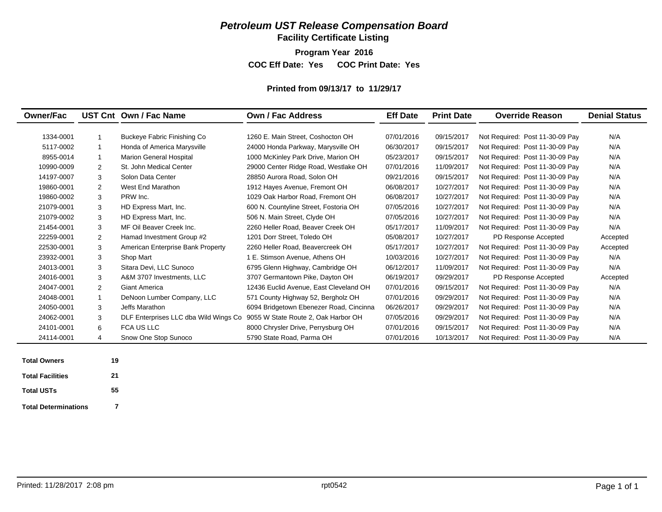**Facility Certificate Listing**

**Program Year 2016**

**COC Eff Date: Yes COC Print Date: Yes** 

#### **Printed from 09/13/17 to 11/29/17**

| <b>Owner/Fac</b> |   | UST Cnt Own / Fac Name                | Own / Fac Address                       | <b>Eff Date</b> | <b>Print Date</b> | <b>Override Reason</b>          | <b>Denial Status</b> |
|------------------|---|---------------------------------------|-----------------------------------------|-----------------|-------------------|---------------------------------|----------------------|
|                  |   |                                       |                                         |                 |                   |                                 |                      |
| 1334-0001        |   | Buckeye Fabric Finishing Co           | 1260 E. Main Street, Coshocton OH       | 07/01/2016      | 09/15/2017        | Not Required: Post 11-30-09 Pay | N/A                  |
| 5117-0002        |   | Honda of America Marysville           | 24000 Honda Parkway, Marysville OH      | 06/30/2017      | 09/15/2017        | Not Required: Post 11-30-09 Pay | N/A                  |
| 8955-0014        |   | <b>Marion General Hospital</b>        | 1000 McKinley Park Drive, Marion OH     | 05/23/2017      | 09/15/2017        | Not Required: Post 11-30-09 Pay | N/A                  |
| 10990-0009       | 2 | St. John Medical Center               | 29000 Center Ridge Road, Westlake OH    | 07/01/2016      | 11/09/2017        | Not Required: Post 11-30-09 Pay | N/A                  |
| 14197-0007       | 3 | Solon Data Center                     | 28850 Aurora Road, Solon OH             | 09/21/2016      | 09/15/2017        | Not Required: Post 11-30-09 Pay | N/A                  |
| 19860-0001       | 2 | West End Marathon                     | 1912 Hayes Avenue, Fremont OH           | 06/08/2017      | 10/27/2017        | Not Required: Post 11-30-09 Pay | N/A                  |
| 19860-0002       | 3 | PRW Inc.                              | 1029 Oak Harbor Road, Fremont OH        | 06/08/2017      | 10/27/2017        | Not Required: Post 11-30-09 Pay | N/A                  |
| 21079-0001       | 3 | HD Express Mart, Inc.                 | 600 N. Countyline Street, Fostoria OH   | 07/05/2016      | 10/27/2017        | Not Required: Post 11-30-09 Pay | N/A                  |
| 21079-0002       | 3 | HD Express Mart, Inc.                 | 506 N. Main Street, Clyde OH            | 07/05/2016      | 10/27/2017        | Not Required: Post 11-30-09 Pay | N/A                  |
| 21454-0001       | 3 | MF Oil Beaver Creek Inc.              | 2260 Heller Road, Beaver Creek OH       | 05/17/2017      | 11/09/2017        | Not Required: Post 11-30-09 Pay | N/A                  |
| 22259-0001       | 2 | Hamad Investment Group #2             | 1201 Dorr Street. Toledo OH             | 05/08/2017      | 10/27/2017        | PD Response Accepted            | Accepted             |
| 22530-0001       | 3 | American Enterprise Bank Property     | 2260 Heller Road, Beavercreek OH        | 05/17/2017      | 10/27/2017        | Not Required: Post 11-30-09 Pay | Accepted             |
| 23932-0001       | 3 | Shop Mart                             | 1 E. Stimson Avenue. Athens OH          | 10/03/2016      | 10/27/2017        | Not Required: Post 11-30-09 Pay | N/A                  |
| 24013-0001       | 3 | Sitara Devi, LLC Sunoco               | 6795 Glenn Highway, Cambridge OH        | 06/12/2017      | 11/09/2017        | Not Required: Post 11-30-09 Pay | N/A                  |
| 24016-0001       | 3 | A&M 3707 Investments, LLC             | 3707 Germantown Pike, Dayton OH         | 06/19/2017      | 09/29/2017        | PD Response Accepted            | Accepted             |
| 24047-0001       | 2 | <b>Giant America</b>                  | 12436 Euclid Avenue, East Cleveland OH  | 07/01/2016      | 09/15/2017        | Not Required: Post 11-30-09 Pay | N/A                  |
| 24048-0001       |   | DeNoon Lumber Company, LLC            | 571 County Highway 52, Bergholz OH      | 07/01/2016      | 09/29/2017        | Not Required: Post 11-30-09 Pay | N/A                  |
| 24050-0001       | 3 | Jeffs Marathon                        | 6094 Bridgetown Ebenezer Road, Cincinna | 06/26/2017      | 09/29/2017        | Not Required: Post 11-30-09 Pay | N/A                  |
| 24062-0001       | 3 | DLF Enterprises LLC dba Wild Wings Co | 9055 W State Route 2, Oak Harbor OH     | 07/05/2016      | 09/29/2017        | Not Required: Post 11-30-09 Pay | N/A                  |
| 24101-0001       | 6 | <b>FCA US LLC</b>                     | 8000 Chrysler Drive, Perrysburg OH      | 07/01/2016      | 09/15/2017        | Not Required: Post 11-30-09 Pay | N/A                  |
| 24114-0001       | 4 | Snow One Stop Sunoco                  | 5790 State Road, Parma OH               | 07/01/2016      | 10/13/2017        | Not Required: Post 11-30-09 Pay | N/A                  |

| <b>Total Owners</b>         | 19 |
|-----------------------------|----|
| <b>Total Facilities</b>     | 21 |
| <b>Total USTs</b>           | 55 |
| <b>Total Determinations</b> | 7  |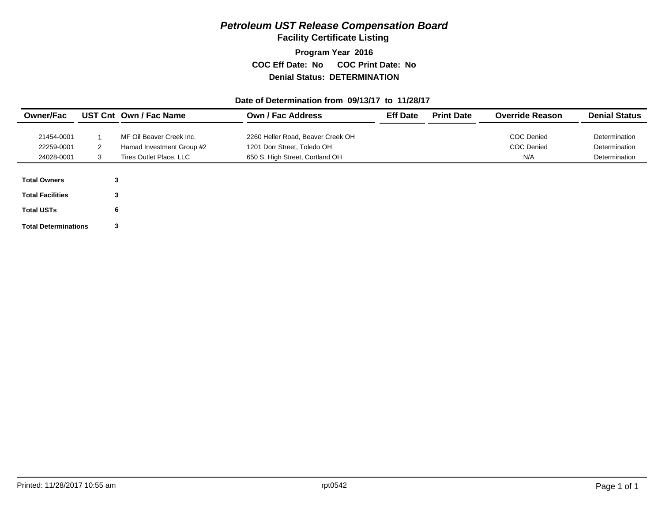**Facility Certificate Listing**

**Program Year 2016 COC Eff Date: No COC Print Date: No Denial Status: DETERMINATION**

#### **Date of Determination from 09/13/17 to 11/28/17**

| <b>Owner/Fac</b>            |   | UST Cnt Own / Fac Name    | <b>Own / Fac Address</b>          | <b>Eff Date</b> | <b>Print Date</b> | <b>Override Reason</b> | <b>Denial Status</b> |
|-----------------------------|---|---------------------------|-----------------------------------|-----------------|-------------------|------------------------|----------------------|
|                             |   |                           |                                   |                 |                   |                        |                      |
| 21454-0001                  |   | MF Oil Beaver Creek Inc.  | 2260 Heller Road, Beaver Creek OH |                 |                   | <b>COC Denied</b>      | Determination        |
| 22259-0001                  | 2 | Hamad Investment Group #2 | 1201 Dorr Street, Toledo OH       |                 |                   | <b>COC Denied</b>      | Determination        |
| 24028-0001                  |   | Tires Outlet Place, LLC   | 650 S. High Street, Cortland OH   |                 |                   | N/A                    | Determination        |
| <b>Total Owners</b>         | 3 |                           |                                   |                 |                   |                        |                      |
| <b>Total Facilities</b>     | 3 |                           |                                   |                 |                   |                        |                      |
| <b>Total USTs</b>           | 6 |                           |                                   |                 |                   |                        |                      |
| <b>Total Determinations</b> | 3 |                           |                                   |                 |                   |                        |                      |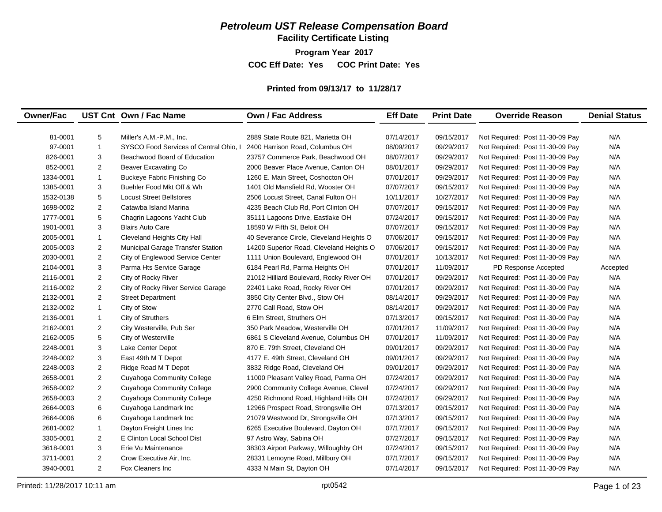**Facility Certificate Listing**

**Program Year 2017 COC Eff Date: Yes COC Print Date: Yes** 

### **Printed from 09/13/17 to 11/28/17**

| <b>Owner/Fac</b> |                         | UST Cnt Own / Fac Name                 | <b>Own / Fac Address</b>                 | <b>Eff Date</b> | <b>Print Date</b> | <b>Override Reason</b>          | <b>Denial Status</b> |
|------------------|-------------------------|----------------------------------------|------------------------------------------|-----------------|-------------------|---------------------------------|----------------------|
|                  |                         |                                        |                                          |                 |                   |                                 |                      |
| 81-0001          | 5                       | Miller's A.M.-P.M., Inc.               | 2889 State Route 821, Marietta OH        | 07/14/2017      | 09/15/2017        | Not Required: Post 11-30-09 Pay | N/A                  |
| 97-0001          | $\mathbf{1}$            | SYSCO Food Services of Central Ohio, I | 2400 Harrison Road, Columbus OH          | 08/09/2017      | 09/29/2017        | Not Required: Post 11-30-09 Pay | N/A                  |
| 826-0001         | 3                       | Beachwood Board of Education           | 23757 Commerce Park, Beachwood OH        | 08/07/2017      | 09/29/2017        | Not Required: Post 11-30-09 Pay | N/A                  |
| 852-0001         | 2                       | Beaver Excavating Co                   | 2000 Beaver Place Avenue, Canton OH      | 08/01/2017      | 09/29/2017        | Not Required: Post 11-30-09 Pay | N/A                  |
| 1334-0001        | $\mathbf{1}$            | Buckeye Fabric Finishing Co            | 1260 E. Main Street, Coshocton OH        | 07/01/2017      | 09/29/2017        | Not Required: Post 11-30-09 Pay | N/A                  |
| 1385-0001        | 3                       | Buehler Food Mkt Off & Wh              | 1401 Old Mansfield Rd, Wooster OH        | 07/07/2017      | 09/15/2017        | Not Required: Post 11-30-09 Pay | N/A                  |
| 1532-0138        | 5                       | <b>Locust Street Bellstores</b>        | 2506 Locust Street, Canal Fulton OH      | 10/11/2017      | 10/27/2017        | Not Required: Post 11-30-09 Pay | N/A                  |
| 1698-0002        | $\overline{2}$          | Catawba Island Marina                  | 4235 Beach Club Rd, Port Clinton OH      | 07/07/2017      | 09/15/2017        | Not Required: Post 11-30-09 Pay | N/A                  |
| 1777-0001        | 5                       | Chagrin Lagoons Yacht Club             | 35111 Lagoons Drive, Eastlake OH         | 07/24/2017      | 09/15/2017        | Not Required: Post 11-30-09 Pay | N/A                  |
| 1901-0001        | 3                       | <b>Blairs Auto Care</b>                | 18590 W Fifth St, Beloit OH              | 07/07/2017      | 09/15/2017        | Not Required: Post 11-30-09 Pay | N/A                  |
| 2005-0001        | $\mathbf{1}$            | Cleveland Heights City Hall            | 40 Severance Circle, Cleveland Heights O | 07/06/2017      | 09/15/2017        | Not Required: Post 11-30-09 Pay | N/A                  |
| 2005-0003        | 2                       | Municipal Garage Transfer Station      | 14200 Superior Road, Cleveland Heights O | 07/06/2017      | 09/15/2017        | Not Required: Post 11-30-09 Pay | N/A                  |
| 2030-0001        | 2                       | City of Englewood Service Center       | 1111 Union Boulevard, Englewood OH       | 07/01/2017      | 10/13/2017        | Not Required: Post 11-30-09 Pay | N/A                  |
| 2104-0001        | 3                       | Parma Hts Service Garage               | 6184 Pearl Rd, Parma Heights OH          | 07/01/2017      | 11/09/2017        | PD Response Accepted            | Accepted             |
| 2116-0001        | 2                       | City of Rocky River                    | 21012 Hilliard Boulevard, Rocky River OH | 07/01/2017      | 09/29/2017        | Not Required: Post 11-30-09 Pay | N/A                  |
| 2116-0002        | 2                       | City of Rocky River Service Garage     | 22401 Lake Road, Rocky River OH          | 07/01/2017      | 09/29/2017        | Not Required: Post 11-30-09 Pay | N/A                  |
| 2132-0001        | 2                       | <b>Street Department</b>               | 3850 City Center Blvd., Stow OH          | 08/14/2017      | 09/29/2017        | Not Required: Post 11-30-09 Pay | N/A                  |
| 2132-0002        | $\mathbf{1}$            | City of Stow                           | 2770 Call Road, Stow OH                  | 08/14/2017      | 09/29/2017        | Not Required: Post 11-30-09 Pay | N/A                  |
| 2136-0001        | $\mathbf{1}$            | City of Struthers                      | 6 Elm Street, Struthers OH               | 07/13/2017      | 09/15/2017        | Not Required: Post 11-30-09 Pay | N/A                  |
| 2162-0001        | $\overline{2}$          | City Westerville, Pub Ser              | 350 Park Meadow, Westerville OH          | 07/01/2017      | 11/09/2017        | Not Required: Post 11-30-09 Pay | N/A                  |
| 2162-0005        | 5                       | City of Westerville                    | 6861 S Cleveland Avenue, Columbus OH     | 07/01/2017      | 11/09/2017        | Not Required: Post 11-30-09 Pay | N/A                  |
| 2248-0001        | 3                       | Lake Center Depot                      | 870 E. 79th Street, Cleveland OH         | 09/01/2017      | 09/29/2017        | Not Required: Post 11-30-09 Pay | N/A                  |
| 2248-0002        | 3                       | East 49th M T Depot                    | 4177 E. 49th Street, Cleveland OH        | 09/01/2017      | 09/29/2017        | Not Required: Post 11-30-09 Pay | N/A                  |
| 2248-0003        | 2                       | Ridge Road M T Depot                   | 3832 Ridge Road, Cleveland OH            | 09/01/2017      | 09/29/2017        | Not Required: Post 11-30-09 Pay | N/A                  |
| 2658-0001        | $\overline{\mathbf{c}}$ | Cuyahoga Community College             | 11000 Pleasant Valley Road, Parma OH     | 07/24/2017      | 09/29/2017        | Not Required: Post 11-30-09 Pay | N/A                  |
| 2658-0002        | $\overline{2}$          | <b>Cuyahoga Community College</b>      | 2900 Community College Avenue, Clevel    | 07/24/2017      | 09/29/2017        | Not Required: Post 11-30-09 Pay | N/A                  |
| 2658-0003        | $\overline{2}$          | <b>Cuyahoga Community College</b>      | 4250 Richmond Road, Highland Hills OH    | 07/24/2017      | 09/29/2017        | Not Required: Post 11-30-09 Pay | N/A                  |
| 2664-0003        | 6                       | Cuyahoga Landmark Inc                  | 12966 Prospect Road, Strongsville OH     | 07/13/2017      | 09/15/2017        | Not Required: Post 11-30-09 Pay | N/A                  |
| 2664-0006        | 6                       | Cuyahoga Landmark Inc                  | 21079 Westwood Dr, Strongsville OH       | 07/13/2017      | 09/15/2017        | Not Required: Post 11-30-09 Pay | N/A                  |
| 2681-0002        | $\mathbf{1}$            | Dayton Freight Lines Inc               | 6265 Executive Boulevard, Dayton OH      | 07/17/2017      | 09/15/2017        | Not Required: Post 11-30-09 Pay | N/A                  |
| 3305-0001        | 2                       | E Clinton Local School Dist            | 97 Astro Way, Sabina OH                  | 07/27/2017      | 09/15/2017        | Not Required: Post 11-30-09 Pay | N/A                  |
| 3618-0001        | 3                       | Erie Vu Maintenance                    | 38303 Airport Parkway, Willoughby OH     | 07/24/2017      | 09/15/2017        | Not Required: Post 11-30-09 Pay | N/A                  |
| 3711-0001        | 2                       | Crow Executive Air, Inc.               | 28331 Lemoyne Road, Millbury OH          | 07/17/2017      | 09/15/2017        | Not Required: Post 11-30-09 Pay | N/A                  |
| 3940-0001        | $\mathbf{2}$            | Fox Cleaners Inc                       | 4333 N Main St, Dayton OH                | 07/14/2017      | 09/15/2017        | Not Required: Post 11-30-09 Pay | N/A                  |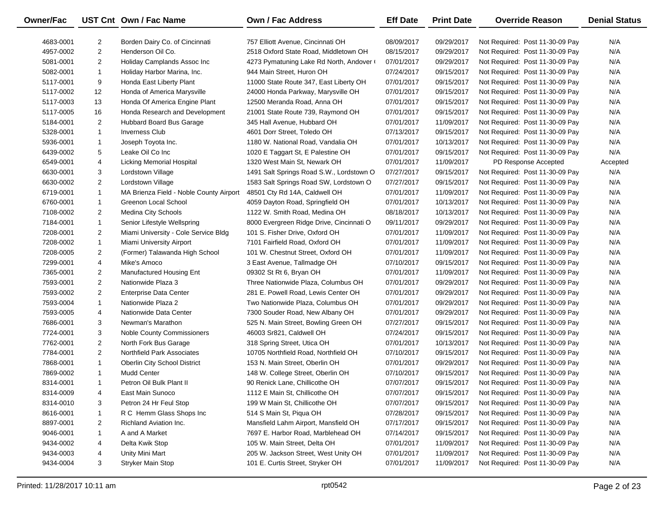| Owner/Fac |                | UST Cnt Own / Fac Name                  | <b>Own / Fac Address</b>                 | <b>Eff Date</b> | <b>Print Date</b> | <b>Override Reason</b>          | <b>Denial Status</b> |
|-----------|----------------|-----------------------------------------|------------------------------------------|-----------------|-------------------|---------------------------------|----------------------|
| 4683-0001 | 2              | Borden Dairy Co. of Cincinnati          | 757 Elliott Avenue, Cincinnati OH        | 08/09/2017      | 09/29/2017        | Not Required: Post 11-30-09 Pay | N/A                  |
| 4957-0002 | $\overline{2}$ | Henderson Oil Co.                       | 2518 Oxford State Road, Middletown OH    | 08/15/2017      | 09/29/2017        | Not Required: Post 11-30-09 Pay | N/A                  |
| 5081-0001 | 2              | Holiday Camplands Assoc Inc             | 4273 Pymatuning Lake Rd North, Andover ( | 07/01/2017      | 09/29/2017        | Not Required: Post 11-30-09 Pay | N/A                  |
| 5082-0001 | $\mathbf{1}$   | Holiday Harbor Marina, Inc.             | 944 Main Street, Huron OH                | 07/24/2017      | 09/15/2017        | Not Required: Post 11-30-09 Pay | N/A                  |
| 5117-0001 | 9              | Honda East Liberty Plant                | 11000 State Route 347, East Liberty OH   | 07/01/2017      | 09/15/2017        | Not Required: Post 11-30-09 Pay | N/A                  |
| 5117-0002 | 12             | Honda of America Marysville             | 24000 Honda Parkway, Marysville OH       | 07/01/2017      | 09/15/2017        | Not Required: Post 11-30-09 Pay | N/A                  |
| 5117-0003 | 13             | Honda Of America Engine Plant           | 12500 Meranda Road, Anna OH              | 07/01/2017      | 09/15/2017        | Not Required: Post 11-30-09 Pay | N/A                  |
| 5117-0005 | 16             | Honda Research and Development          | 21001 State Route 739, Raymond OH        | 07/01/2017      | 09/15/2017        | Not Required: Post 11-30-09 Pay | N/A                  |
| 5184-0001 | 2              | Hubbard Board Bus Garage                | 345 Hall Avenue, Hubbard OH              | 07/01/2017      | 11/09/2017        | Not Required: Post 11-30-09 Pay | N/A                  |
| 5328-0001 | $\mathbf{1}$   | <b>Inverness Club</b>                   | 4601 Dorr Street, Toledo OH              | 07/13/2017      | 09/15/2017        | Not Required: Post 11-30-09 Pay | N/A                  |
| 5936-0001 | $\mathbf{1}$   | Joseph Toyota Inc.                      | 1180 W. National Road, Vandalia OH       | 07/01/2017      | 10/13/2017        | Not Required: Post 11-30-09 Pay | N/A                  |
| 6439-0002 | 5              | Leake Oil Co Inc                        | 1020 E Taggart St, E Palestine OH        | 07/01/2017      | 09/15/2017        | Not Required: Post 11-30-09 Pay | N/A                  |
| 6549-0001 | 4              | Licking Memorial Hospital               | 1320 West Main St, Newark OH             | 07/01/2017      | 11/09/2017        | PD Response Accepted            | Accepted             |
| 6630-0001 | 3              | Lordstown Village                       | 1491 Salt Springs Road S.W., Lordstown O | 07/27/2017      | 09/15/2017        | Not Required: Post 11-30-09 Pay | N/A                  |
| 6630-0002 | $\overline{2}$ | Lordstown Village                       | 1583 Salt Springs Road SW, Lordstown O   | 07/27/2017      | 09/15/2017        | Not Required: Post 11-30-09 Pay | N/A                  |
| 6719-0001 | $\mathbf{1}$   | MA Brienza Field - Noble County Airport | 48501 Cty Rd 14A, Caldwell OH            | 07/01/2017      | 11/09/2017        | Not Required: Post 11-30-09 Pay | N/A                  |
| 6760-0001 | $\mathbf{1}$   | Greenon Local School                    | 4059 Dayton Road, Springfield OH         | 07/01/2017      | 10/13/2017        | Not Required: Post 11-30-09 Pay | N/A                  |
| 7108-0002 | $\overline{2}$ | Medina City Schools                     | 1122 W. Smith Road, Medina OH            | 08/18/2017      | 10/13/2017        | Not Required: Post 11-30-09 Pay | N/A                  |
| 7184-0001 | $\mathbf{1}$   | Senior Lifestyle Wellspring             | 8000 Evergreen Ridge Drive, Cincinnati O | 09/11/2017      | 09/29/2017        | Not Required: Post 11-30-09 Pay | N/A                  |
| 7208-0001 | $\overline{2}$ | Miami University - Cole Service Bldg    | 101 S. Fisher Drive, Oxford OH           | 07/01/2017      | 11/09/2017        | Not Required: Post 11-30-09 Pay | N/A                  |
| 7208-0002 | $\mathbf{1}$   | Miami University Airport                | 7101 Fairfield Road, Oxford OH           | 07/01/2017      | 11/09/2017        | Not Required: Post 11-30-09 Pay | N/A                  |
| 7208-0005 | $\overline{2}$ | (Former) Talawanda High School          | 101 W. Chestnut Street, Oxford OH        | 07/01/2017      | 11/09/2017        | Not Required: Post 11-30-09 Pay | N/A                  |
| 7299-0001 | 4              | Mike's Amoco                            | 3 East Avenue, Tallmadge OH              | 07/10/2017      | 09/15/2017        | Not Required: Post 11-30-09 Pay | N/A                  |
| 7365-0001 | $\overline{2}$ | Manufactured Housing Ent                | 09302 St Rt 6, Bryan OH                  | 07/01/2017      | 11/09/2017        | Not Required: Post 11-30-09 Pay | N/A                  |
| 7593-0001 | $\overline{2}$ | Nationwide Plaza 3                      | Three Nationwide Plaza, Columbus OH      | 07/01/2017      | 09/29/2017        | Not Required: Post 11-30-09 Pay | N/A                  |
| 7593-0002 | $\overline{2}$ | <b>Enterprise Data Center</b>           | 281 E. Powell Road, Lewis Center OH      | 07/01/2017      | 09/29/2017        | Not Required: Post 11-30-09 Pay | N/A                  |
| 7593-0004 | $\mathbf{1}$   | Nationwide Plaza 2                      | Two Nationwide Plaza, Columbus OH        | 07/01/2017      | 09/29/2017        | Not Required: Post 11-30-09 Pay | N/A                  |
| 7593-0005 | 4              | Nationwide Data Center                  | 7300 Souder Road, New Albany OH          | 07/01/2017      | 09/29/2017        | Not Required: Post 11-30-09 Pay | N/A                  |
| 7686-0001 | 3              | Newman's Marathon                       | 525 N. Main Street, Bowling Green OH     | 07/27/2017      | 09/15/2017        | Not Required: Post 11-30-09 Pay | N/A                  |
| 7724-0001 | 3              | <b>Noble County Commissioners</b>       | 46003 Sr821, Caldwell OH                 | 07/24/2017      | 09/15/2017        | Not Required: Post 11-30-09 Pay | N/A                  |
| 7762-0001 | $\overline{2}$ | North Fork Bus Garage                   | 318 Spring Street, Utica OH              | 07/01/2017      | 10/13/2017        | Not Required: Post 11-30-09 Pay | N/A                  |
| 7784-0001 | $\overline{2}$ | Northfield Park Associates              | 10705 Northfield Road, Northfield OH     | 07/10/2017      | 09/15/2017        | Not Required: Post 11-30-09 Pay | N/A                  |
| 7868-0001 | $\mathbf{1}$   | Oberlin City School District            | 153 N. Main Street, Oberlin OH           | 07/01/2017      | 09/29/2017        | Not Required: Post 11-30-09 Pay | N/A                  |
| 7869-0002 | $\mathbf{1}$   | Mudd Center                             | 148 W. College Street, Oberlin OH        | 07/10/2017      | 09/15/2017        | Not Required: Post 11-30-09 Pay | N/A                  |
| 8314-0001 | $\mathbf{1}$   | Petron Oil Bulk Plant II                | 90 Renick Lane, Chillicothe OH           | 07/07/2017      | 09/15/2017        | Not Required: Post 11-30-09 Pay | N/A                  |
| 8314-0009 | 4              | East Main Sunoco                        | 1112 E Main St, Chillicothe OH           | 07/07/2017      | 09/15/2017        | Not Required: Post 11-30-09 Pay | N/A                  |
| 8314-0010 | 3              | Petron 24 Hr Feul Stop                  | 199 W Main St, Chillicothe OH            | 07/07/2017      | 09/15/2017        | Not Required: Post 11-30-09 Pay | N/A                  |
| 8616-0001 | 1              | R C Hemm Glass Shops Inc                | 514 S Main St, Piqua OH                  | 07/28/2017      | 09/15/2017        | Not Required: Post 11-30-09 Pay | N/A                  |
| 8897-0001 | 2              | Richland Aviation Inc.                  | Mansfield Lahm Airport, Mansfield OH     | 07/17/2017      | 09/15/2017        | Not Required: Post 11-30-09 Pay | N/A                  |
| 9046-0001 | 1              | A and A Market                          | 7697 E. Harbor Road, Marblehead OH       | 07/14/2017      | 09/15/2017        | Not Required: Post 11-30-09 Pay | N/A                  |
| 9434-0002 | 4              | Delta Kwik Stop                         | 105 W. Main Street, Delta OH             | 07/01/2017      | 11/09/2017        | Not Required: Post 11-30-09 Pay | N/A                  |
| 9434-0003 | 4              | Unity Mini Mart                         | 205 W. Jackson Street, West Unity OH     | 07/01/2017      | 11/09/2017        | Not Required: Post 11-30-09 Pay | N/A                  |
| 9434-0004 | 3              | Stryker Main Stop                       | 101 E. Curtis Street, Stryker OH         | 07/01/2017      | 11/09/2017        | Not Required: Post 11-30-09 Pay | N/A                  |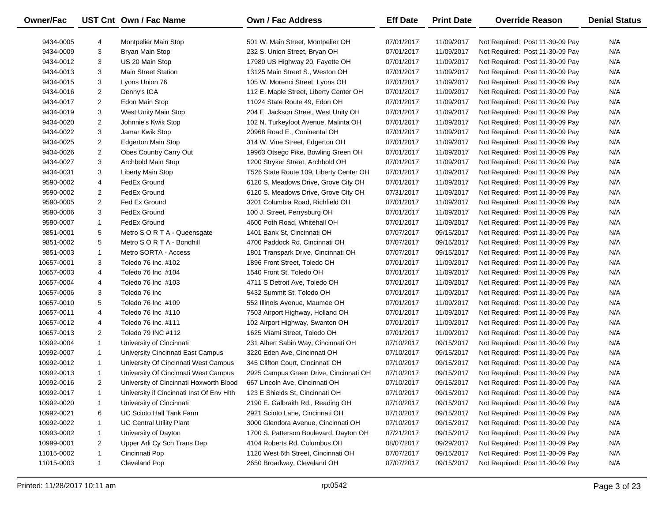| Owner/Fac  |                | UST Cnt Own / Fac Name                    | Own / Fac Address                       | <b>Eff Date</b> | <b>Print Date</b> | <b>Override Reason</b>          | <b>Denial Status</b> |
|------------|----------------|-------------------------------------------|-----------------------------------------|-----------------|-------------------|---------------------------------|----------------------|
|            |                |                                           |                                         |                 |                   |                                 |                      |
| 9434-0005  | 4              | Montpelier Main Stop                      | 501 W. Main Street, Montpelier OH       | 07/01/2017      | 11/09/2017        | Not Required: Post 11-30-09 Pay | N/A                  |
| 9434-0009  | 3              | Bryan Main Stop                           | 232 S. Union Street, Bryan OH           | 07/01/2017      | 11/09/2017        | Not Required: Post 11-30-09 Pay | N/A                  |
| 9434-0012  | 3              | US 20 Main Stop                           | 17980 US Highway 20, Fayette OH         | 07/01/2017      | 11/09/2017        | Not Required: Post 11-30-09 Pay | N/A                  |
| 9434-0013  | 3              | <b>Main Street Station</b>                | 13125 Main Street S., Weston OH         | 07/01/2017      | 11/09/2017        | Not Required: Post 11-30-09 Pay | N/A                  |
| 9434-0015  | 3              | Lyons Union 76                            | 105 W. Morenci Street, Lyons OH         | 07/01/2017      | 11/09/2017        | Not Required: Post 11-30-09 Pay | N/A                  |
| 9434-0016  | $\overline{2}$ | Denny's IGA                               | 112 E. Maple Street, Liberty Center OH  | 07/01/2017      | 11/09/2017        | Not Required: Post 11-30-09 Pay | N/A                  |
| 9434-0017  | $\overline{2}$ | Edon Main Stop                            | 11024 State Route 49, Edon OH           | 07/01/2017      | 11/09/2017        | Not Required: Post 11-30-09 Pay | N/A                  |
| 9434-0019  | 3              | West Unity Main Stop                      | 204 E. Jackson Street, West Unity OH    | 07/01/2017      | 11/09/2017        | Not Required: Post 11-30-09 Pay | N/A                  |
| 9434-0020  | $\overline{2}$ | Johnnie's Kwik Stop                       | 102 N. Turkeyfoot Avenue, Malinta OH    | 07/01/2017      | 11/09/2017        | Not Required: Post 11-30-09 Pay | N/A                  |
| 9434-0022  | 3              | Jamar Kwik Stop                           | 20968 Road E., Coninental OH            | 07/01/2017      | 11/09/2017        | Not Required: Post 11-30-09 Pay | N/A                  |
| 9434-0025  | $\overline{2}$ | <b>Edgerton Main Stop</b>                 | 314 W. Vine Street, Edgerton OH         | 07/01/2017      | 11/09/2017        | Not Required: Post 11-30-09 Pay | N/A                  |
| 9434-0026  | $\overline{2}$ | Obes Country Carry Out                    | 19963 Otsego Pike, Bowling Green OH     | 07/01/2017      | 11/09/2017        | Not Required: Post 11-30-09 Pay | N/A                  |
| 9434-0027  | 3              | Archbold Main Stop                        | 1200 Stryker Street, Archbold OH        | 07/01/2017      | 11/09/2017        | Not Required: Post 11-30-09 Pay | N/A                  |
| 9434-0031  | 3              | Liberty Main Stop                         | T526 State Route 109, Liberty Center OH | 07/01/2017      | 11/09/2017        | Not Required: Post 11-30-09 Pay | N/A                  |
| 9590-0002  | 4              | FedEx Ground                              | 6120 S. Meadows Drive, Grove City OH    | 07/01/2017      | 11/09/2017        | Not Required: Post 11-30-09 Pay | N/A                  |
| 9590-0002  | $\overline{2}$ | FedEx Ground                              | 6120 S. Meadows Drive, Grove City OH    | 07/31/2017      | 11/09/2017        | Not Required: Post 11-30-09 Pay | N/A                  |
| 9590-0005  | $\overline{2}$ | Fed Ex Ground                             | 3201 Columbia Road, Richfield OH        | 07/01/2017      | 11/09/2017        | Not Required: Post 11-30-09 Pay | N/A                  |
| 9590-0006  | 3              | FedEx Ground                              | 100 J. Street, Perrysburg OH            | 07/01/2017      | 11/09/2017        | Not Required: Post 11-30-09 Pay | N/A                  |
| 9590-0007  | $\mathbf{1}$   | FedEx Ground                              | 4600 Poth Road, Whitehall OH            | 07/01/2017      | 11/09/2017        | Not Required: Post 11-30-09 Pay | N/A                  |
| 9851-0001  | 5              | Metro S O R T A - Queensgate              | 1401 Bank St, Cincinnati OH             | 07/07/2017      | 09/15/2017        | Not Required: Post 11-30-09 Pay | N/A                  |
| 9851-0002  | 5              | Metro S O R T A - Bondhill                | 4700 Paddock Rd, Cincinnati OH          | 07/07/2017      | 09/15/2017        | Not Required: Post 11-30-09 Pay | N/A                  |
| 9851-0003  | $\mathbf{1}$   | Metro SORTA - Access                      | 1801 Transpark Drive, Cincinnati OH     | 07/07/2017      | 09/15/2017        | Not Required: Post 11-30-09 Pay | N/A                  |
| 10657-0001 | 3              | Toledo 76 Inc. #102                       | 1896 Front Street, Toledo OH            | 07/01/2017      | 11/09/2017        | Not Required: Post 11-30-09 Pay | N/A                  |
| 10657-0003 | 4              | Toledo 76 Inc #104                        | 1540 Front St, Toledo OH                | 07/01/2017      | 11/09/2017        | Not Required: Post 11-30-09 Pay | N/A                  |
| 10657-0004 | 4              | Toledo 76 Inc #103                        | 4711 S Detroit Ave, Toledo OH           | 07/01/2017      | 11/09/2017        | Not Required: Post 11-30-09 Pay | N/A                  |
| 10657-0006 | 3              | Toledo 76 Inc                             | 5432 Summit St, Toledo OH               | 07/01/2017      | 11/09/2017        | Not Required: Post 11-30-09 Pay | N/A                  |
| 10657-0010 | 5              | Toledo 76 Inc #109                        | 552 Illinois Avenue, Maumee OH          | 07/01/2017      | 11/09/2017        | Not Required: Post 11-30-09 Pay | N/A                  |
| 10657-0011 | 4              | Toledo 76 Inc #110                        | 7503 Airport Highway, Holland OH        | 07/01/2017      | 11/09/2017        | Not Required: Post 11-30-09 Pay | N/A                  |
| 10657-0012 | 4              | Toledo 76 Inc. #111                       | 102 Airport Highway, Swanton OH         | 07/01/2017      | 11/09/2017        | Not Required: Post 11-30-09 Pay | N/A                  |
| 10657-0013 | $\overline{2}$ | Toledo 79 INC #112                        | 1625 Miami Street, Toledo OH            | 07/01/2017      | 11/09/2017        | Not Required: Post 11-30-09 Pay | N/A                  |
| 10992-0004 | $\mathbf{1}$   | University of Cincinnati                  | 231 Albert Sabin Way, Cincinnati OH     | 07/10/2017      | 09/15/2017        | Not Required: Post 11-30-09 Pay | N/A                  |
| 10992-0007 | $\mathbf{1}$   | University Cincinnati East Campus         | 3220 Eden Ave, Cincinnati OH            | 07/10/2017      | 09/15/2017        | Not Required: Post 11-30-09 Pay | N/A                  |
| 10992-0012 | $\mathbf{1}$   | University Of Cincinnati West Campus      | 345 Clifton Court, Cincinnati OH        | 07/10/2017      | 09/15/2017        | Not Required: Post 11-30-09 Pay | N/A                  |
| 10992-0013 | $\mathbf{1}$   | University Of Cincinnati West Campus      | 2925 Campus Green Drive, Cincinnati OH  | 07/10/2017      | 09/15/2017        | Not Required: Post 11-30-09 Pay | N/A                  |
| 10992-0016 | 2              | University of Cincinnati Hoxworth Blood   | 667 Lincoln Ave, Cincinnati OH          | 07/10/2017      | 09/15/2017        | Not Required: Post 11-30-09 Pay | N/A                  |
| 10992-0017 | 1              | University if Cincinnati Inst Of Env Hlth | 123 E Shields St, Cincinnati OH         | 07/10/2017      | 09/15/2017        | Not Required: Post 11-30-09 Pay | N/A                  |
| 10992-0020 | 1              | University of Cincinnati                  | 2190 E. Galbraith Rd., Reading OH       | 07/10/2017      | 09/15/2017        | Not Required: Post 11-30-09 Pay | N/A                  |
| 10992-0021 | 6              | UC Scioto Hall Tank Farm                  | 2921 Scioto Lane, Cincinnati OH         | 07/10/2017      | 09/15/2017        | Not Required: Post 11-30-09 Pay | N/A                  |
| 10992-0022 | $\mathbf{1}$   | <b>UC Central Utility Plant</b>           | 3000 Glendora Avenue, Cincinnati OH     | 07/10/2017      | 09/15/2017        | Not Required: Post 11-30-09 Pay | N/A                  |
| 10993-0002 | $\mathbf{1}$   | University of Dayton                      | 1700 S. Patterson Boulevard, Dayton OH  | 07/21/2017      | 09/15/2017        | Not Required: Post 11-30-09 Pay | N/A                  |
| 10999-0001 | $\overline{2}$ | Upper Arli Cy Sch Trans Dep               | 4104 Roberts Rd, Columbus OH            | 08/07/2017      | 09/29/2017        | Not Required: Post 11-30-09 Pay | N/A                  |
| 11015-0002 | $\mathbf{1}$   | Cincinnati Pop                            | 1120 West 6th Street, Cincinnati OH     | 07/07/2017      | 09/15/2017        | Not Required: Post 11-30-09 Pay | N/A                  |
| 11015-0003 | $\mathbf{1}$   | Cleveland Pop                             | 2650 Broadway, Cleveland OH             | 07/07/2017      | 09/15/2017        | Not Required: Post 11-30-09 Pay | N/A                  |
|            |                |                                           |                                         |                 |                   |                                 |                      |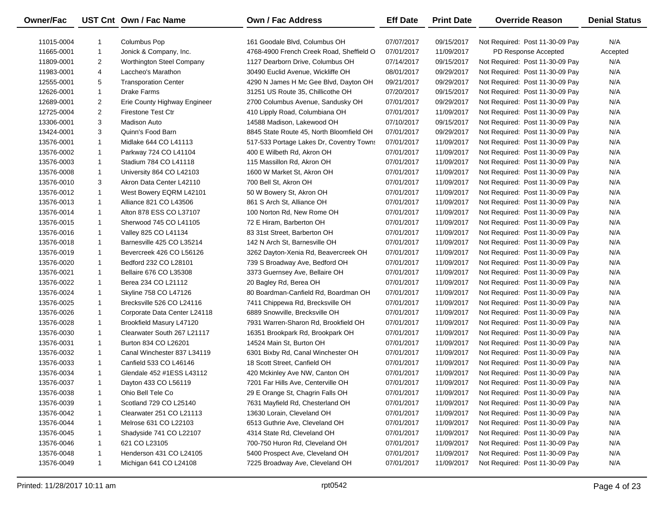| Owner/Fac  |                | UST Cnt Own / Fac Name       | Own / Fac Address                        | <b>Eff Date</b> | <b>Print Date</b> | <b>Override Reason</b>          | <b>Denial Status</b> |
|------------|----------------|------------------------------|------------------------------------------|-----------------|-------------------|---------------------------------|----------------------|
| 11015-0004 |                | Columbus Pop                 | 161 Goodale Blvd, Columbus OH            | 07/07/2017      | 09/15/2017        | Not Required: Post 11-30-09 Pay | N/A                  |
| 11665-0001 | $\mathbf{1}$   | Jonick & Company, Inc.       | 4768-4900 French Creek Road, Sheffield O | 07/01/2017      | 11/09/2017        | PD Response Accepted            | Accepted             |
| 11809-0001 | $\overline{2}$ | Worthington Steel Company    | 1127 Dearborn Drive, Columbus OH         | 07/14/2017      | 09/15/2017        | Not Required: Post 11-30-09 Pay | N/A                  |
| 11983-0001 | 4              | Laccheo's Marathon           | 30490 Euclid Avenue, Wickliffe OH        | 08/01/2017      | 09/29/2017        | Not Required: Post 11-30-09 Pay | N/A                  |
| 12555-0001 | 5              | <b>Transporation Center</b>  | 4290 N James H Mc Gee Blvd, Dayton OH    | 09/21/2017      | 09/29/2017        | Not Required: Post 11-30-09 Pay | N/A                  |
| 12626-0001 | $\mathbf{1}$   | Drake Farms                  | 31251 US Route 35, Chillicothe OH        | 07/20/2017      | 09/15/2017        | Not Required: Post 11-30-09 Pay | N/A                  |
| 12689-0001 | $\overline{2}$ | Erie County Highway Engineer | 2700 Columbus Avenue, Sandusky OH        | 07/01/2017      | 09/29/2017        | Not Required: Post 11-30-09 Pay | N/A                  |
| 12725-0004 | $\overline{2}$ | Firestone Test Ctr           | 410 Lipply Road, Columbiana OH           | 07/01/2017      | 11/09/2017        | Not Required: Post 11-30-09 Pay | N/A                  |
| 13306-0001 | 3              | <b>Madison Auto</b>          | 14588 Madison, Lakewood OH               | 07/10/2017      | 09/15/2017        | Not Required: Post 11-30-09 Pay | N/A                  |
| 13424-0001 | 3              | Quinn's Food Barn            | 8845 State Route 45, North Bloomfield OH | 07/01/2017      | 09/29/2017        | Not Required: Post 11-30-09 Pay | N/A                  |
| 13576-0001 | $\mathbf{1}$   | Midlake 644 CO L41113        | 517-533 Portage Lakes Dr, Coventry Towns | 07/01/2017      | 11/09/2017        | Not Required: Post 11-30-09 Pay | N/A                  |
| 13576-0002 | $\mathbf{1}$   | Parkway 724 CO L41104        | 400 E Wilbeth Rd, Akron OH               | 07/01/2017      | 11/09/2017        | Not Required: Post 11-30-09 Pay | N/A                  |
| 13576-0003 | $\mathbf{1}$   | Stadium 784 CO L41118        | 115 Massillon Rd, Akron OH               | 07/01/2017      | 11/09/2017        | Not Required: Post 11-30-09 Pay | N/A                  |
| 13576-0008 | $\mathbf{1}$   | University 864 CO L42103     | 1600 W Market St, Akron OH               | 07/01/2017      | 11/09/2017        | Not Required: Post 11-30-09 Pay | N/A                  |
| 13576-0010 | 3              | Akron Data Center L42110     | 700 Bell St, Akron OH                    | 07/01/2017      | 11/09/2017        | Not Required: Post 11-30-09 Pay | N/A                  |
| 13576-0012 | $\mathbf{1}$   | West Bowery EQRM L42101      | 50 W Bowery St, Akron OH                 | 07/01/2017      | 11/09/2017        | Not Required: Post 11-30-09 Pay | N/A                  |
| 13576-0013 | $\mathbf{1}$   | Alliance 821 CO L43506       | 861 S Arch St, Alliance OH               | 07/01/2017      | 11/09/2017        | Not Required: Post 11-30-09 Pay | N/A                  |
| 13576-0014 | $\mathbf{1}$   | Alton 878 ESS CO L37107      | 100 Norton Rd, New Rome OH               | 07/01/2017      | 11/09/2017        | Not Required: Post 11-30-09 Pay | N/A                  |
| 13576-0015 | $\mathbf{1}$   | Sherwood 745 CO L41105       | 72 E Hiram, Barberton OH                 | 07/01/2017      | 11/09/2017        | Not Required: Post 11-30-09 Pay | N/A                  |
| 13576-0016 | $\mathbf{1}$   | Valley 825 CO L41134         | 83 31st Street, Barberton OH             | 07/01/2017      | 11/09/2017        | Not Required: Post 11-30-09 Pay | N/A                  |
| 13576-0018 | $\mathbf{1}$   | Barnesville 425 CO L35214    | 142 N Arch St, Barnesville OH            | 07/01/2017      | 11/09/2017        | Not Required: Post 11-30-09 Pay | N/A                  |
| 13576-0019 | $\mathbf{1}$   | Bevercreek 426 CO L56126     | 3262 Dayton-Xenia Rd, Beavercreek OH     | 07/01/2017      | 11/09/2017        | Not Required: Post 11-30-09 Pay | N/A                  |
| 13576-0020 | $\mathbf{1}$   | Bedford 232 CO L28101        | 739 S Broadway Ave, Bedford OH           | 07/01/2017      | 11/09/2017        | Not Required: Post 11-30-09 Pay | N/A                  |
| 13576-0021 | $\mathbf{1}$   | Bellaire 676 CO L35308       | 3373 Guernsey Ave, Bellaire OH           | 07/01/2017      | 11/09/2017        | Not Required: Post 11-30-09 Pay | N/A                  |
| 13576-0022 | $\mathbf{1}$   | Berea 234 CO L21112          | 20 Bagley Rd, Berea OH                   | 07/01/2017      | 11/09/2017        | Not Required: Post 11-30-09 Pay | N/A                  |
| 13576-0024 | $\mathbf{1}$   | Skyline 758 CO L47126        | 80 Boardman-Canfield Rd, Boardman OH     | 07/01/2017      | 11/09/2017        | Not Required: Post 11-30-09 Pay | N/A                  |
| 13576-0025 | $\mathbf{1}$   | Brecksville 526 CO L24116    | 7411 Chippewa Rd, Brecksville OH         | 07/01/2017      | 11/09/2017        | Not Required: Post 11-30-09 Pay | N/A                  |
| 13576-0026 | $\mathbf{1}$   | Corporate Data Center L24118 | 6889 Snowville, Brecksville OH           | 07/01/2017      | 11/09/2017        | Not Required: Post 11-30-09 Pay | N/A                  |
| 13576-0028 | $\mathbf{1}$   | Brookfield Masury L47120     | 7931 Warren-Sharon Rd, Brookfield OH     | 07/01/2017      | 11/09/2017        | Not Required: Post 11-30-09 Pay | N/A                  |
| 13576-0030 | $\mathbf{1}$   | Clearwater South 267 L21117  | 16351 Brookpark Rd, Brookpark OH         | 07/01/2017      | 11/09/2017        | Not Required: Post 11-30-09 Pay | N/A                  |
| 13576-0031 | $\mathbf{1}$   | Burton 834 CO L26201         | 14524 Main St, Burton OH                 | 07/01/2017      | 11/09/2017        | Not Required: Post 11-30-09 Pay | N/A                  |
| 13576-0032 | $\mathbf{1}$   | Canal Winchester 837 L34119  | 6301 Bixby Rd, Canal Winchester OH       | 07/01/2017      | 11/09/2017        | Not Required: Post 11-30-09 Pay | N/A                  |
| 13576-0033 | $\mathbf{1}$   | Canfield 533 CO L46146       | 18 Scott Street, Canfield OH             | 07/01/2017      | 11/09/2017        | Not Required: Post 11-30-09 Pay | N/A                  |
| 13576-0034 | $\mathbf{1}$   | Glendale 452 #1ESS L43112    | 420 Mckinley Ave NW, Canton OH           | 07/01/2017      | 11/09/2017        | Not Required: Post 11-30-09 Pay | N/A                  |
| 13576-0037 | $\mathbf{1}$   | Dayton 433 CO L56119         | 7201 Far Hills Ave, Centerville OH       | 07/01/2017      | 11/09/2017        | Not Required: Post 11-30-09 Pay | N/A                  |
| 13576-0038 | -1             | Ohio Bell Tele Co            | 29 E Orange St, Chagrin Falls OH         | 07/01/2017      | 11/09/2017        | Not Required: Post 11-30-09 Pay | N/A                  |
| 13576-0039 | -1             | Scotland 729 CO L25140       | 7631 Mayfield Rd, Chesterland OH         | 07/01/2017      | 11/09/2017        | Not Required: Post 11-30-09 Pay | N/A                  |
| 13576-0042 | -1             | Clearwater 251 CO L21113     | 13630 Lorain, Cleveland OH               | 07/01/2017      | 11/09/2017        | Not Required: Post 11-30-09 Pay | N/A                  |
| 13576-0044 | 1              | Melrose 631 CO L22103        | 6513 Guthrie Ave, Cleveland OH           | 07/01/2017      | 11/09/2017        | Not Required: Post 11-30-09 Pay | N/A                  |
| 13576-0045 |                | Shadyside 741 CO L22107      | 4314 State Rd, Cleveland OH              | 07/01/2017      | 11/09/2017        | Not Required: Post 11-30-09 Pay | N/A                  |
| 13576-0046 |                | 621 CO L23105                | 700-750 Huron Rd, Cleveland OH           | 07/01/2017      | 11/09/2017        | Not Required: Post 11-30-09 Pay | N/A                  |
| 13576-0048 | 1              | Henderson 431 CO L24105      | 5400 Prospect Ave, Cleveland OH          | 07/01/2017      | 11/09/2017        | Not Required: Post 11-30-09 Pay | N/A                  |
| 13576-0049 | 1              | Michigan 641 CO L24108       | 7225 Broadway Ave, Cleveland OH          | 07/01/2017      | 11/09/2017        | Not Required: Post 11-30-09 Pay | N/A                  |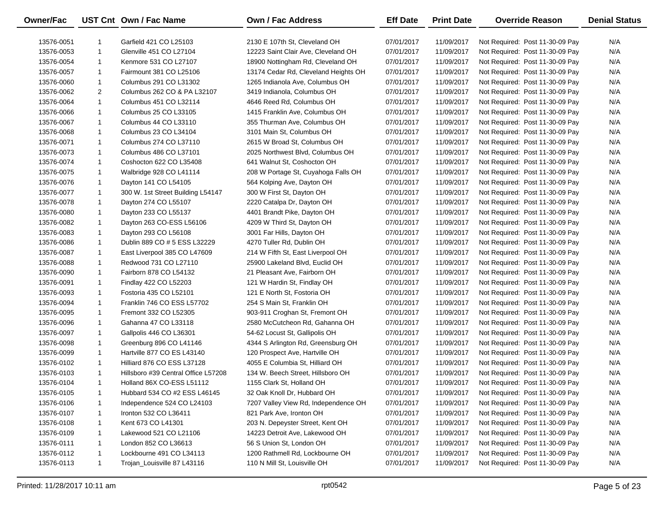| Owner/Fac  |              | UST Cnt Own / Fac Name              | <b>Own / Fac Address</b>             | <b>Eff Date</b> | <b>Print Date</b> | <b>Override Reason</b>          | <b>Denial Status</b> |
|------------|--------------|-------------------------------------|--------------------------------------|-----------------|-------------------|---------------------------------|----------------------|
| 13576-0051 | 1            | Garfield 421 CO L25103              | 2130 E 107th St. Cleveland OH        | 07/01/2017      | 11/09/2017        | Not Required: Post 11-30-09 Pay | N/A                  |
| 13576-0053 | $\mathbf{1}$ | Glenville 451 CO L27104             | 12223 Saint Clair Ave, Cleveland OH  | 07/01/2017      | 11/09/2017        | Not Required: Post 11-30-09 Pay | N/A                  |
| 13576-0054 | $\mathbf{1}$ | Kenmore 531 CO L27107               | 18900 Nottingham Rd, Cleveland OH    | 07/01/2017      | 11/09/2017        | Not Required: Post 11-30-09 Pay | N/A                  |
| 13576-0057 | $\mathbf{1}$ | Fairmount 381 CO L25106             | 13174 Cedar Rd, Cleveland Heights OH | 07/01/2017      | 11/09/2017        | Not Required: Post 11-30-09 Pay | N/A                  |
| 13576-0060 | $\mathbf{1}$ | Columbus 291 CO L31302              | 1265 Indianola Ave, Columbus OH      | 07/01/2017      | 11/09/2017        | Not Required: Post 11-30-09 Pay | N/A                  |
| 13576-0062 | 2            | Columbus 262 CO & PA L32107         | 3419 Indianola, Columbus OH          | 07/01/2017      | 11/09/2017        | Not Required: Post 11-30-09 Pay | N/A                  |
| 13576-0064 | $\mathbf{1}$ | Columbus 451 CO L32114              | 4646 Reed Rd, Columbus OH            | 07/01/2017      | 11/09/2017        | Not Required: Post 11-30-09 Pay | N/A                  |
| 13576-0066 | $\mathbf{1}$ | Columbus 25 CO L33105               | 1415 Franklin Ave, Columbus OH       | 07/01/2017      | 11/09/2017        | Not Required: Post 11-30-09 Pay | N/A                  |
| 13576-0067 | $\mathbf{1}$ | Columbus 44 CO L33110               | 355 Thurman Ave, Columbus OH         | 07/01/2017      | 11/09/2017        | Not Required: Post 11-30-09 Pay | N/A                  |
| 13576-0068 | $\mathbf{1}$ | Columbus 23 CO L34104               | 3101 Main St, Columbus OH            | 07/01/2017      | 11/09/2017        | Not Required: Post 11-30-09 Pay | N/A                  |
| 13576-0071 | $\mathbf{1}$ | Columbus 274 CO L37110              | 2615 W Broad St, Columbus OH         | 07/01/2017      | 11/09/2017        | Not Required: Post 11-30-09 Pay | N/A                  |
| 13576-0073 | $\mathbf{1}$ | Columbus 486 CO L37101              | 2025 Northwest Blvd, Columbus OH     | 07/01/2017      | 11/09/2017        | Not Required: Post 11-30-09 Pay | N/A                  |
| 13576-0074 | $\mathbf{1}$ | Coshocton 622 CO L35408             | 641 Walnut St, Coshocton OH          | 07/01/2017      | 11/09/2017        | Not Required: Post 11-30-09 Pay | N/A                  |
| 13576-0075 | $\mathbf{1}$ | Walbridge 928 CO L41114             | 208 W Portage St, Cuyahoga Falls OH  | 07/01/2017      | 11/09/2017        | Not Required: Post 11-30-09 Pay | N/A                  |
| 13576-0076 | 1            | Dayton 141 CO L54105                | 564 Kolping Ave, Dayton OH           | 07/01/2017      | 11/09/2017        | Not Required: Post 11-30-09 Pay | N/A                  |
| 13576-0077 | 1            | 300 W. 1st Street Building L54147   | 300 W First St, Dayton OH            | 07/01/2017      | 11/09/2017        | Not Required: Post 11-30-09 Pay | N/A                  |
| 13576-0078 | 1            | Dayton 274 CO L55107                | 2220 Catalpa Dr, Dayton OH           | 07/01/2017      | 11/09/2017        | Not Required: Post 11-30-09 Pay | N/A                  |
| 13576-0080 | 1            | Dayton 233 CO L55137                | 4401 Brandt Pike, Dayton OH          | 07/01/2017      | 11/09/2017        | Not Required: Post 11-30-09 Pay | N/A                  |
| 13576-0082 | 1            | Dayton 263 CO-ESS L56106            | 4209 W Third St, Dayton OH           | 07/01/2017      | 11/09/2017        | Not Required: Post 11-30-09 Pay | N/A                  |
| 13576-0083 | 1            | Dayton 293 CO L56108                | 3001 Far Hills, Dayton OH            | 07/01/2017      | 11/09/2017        | Not Required: Post 11-30-09 Pay | N/A                  |
| 13576-0086 | $\mathbf{1}$ | Dublin 889 CO # 5 ESS L32229        | 4270 Tuller Rd, Dublin OH            | 07/01/2017      | 11/09/2017        | Not Required: Post 11-30-09 Pay | N/A                  |
| 13576-0087 | $\mathbf{1}$ | East Liverpool 385 CO L47609        | 214 W Fifth St, East Liverpool OH    | 07/01/2017      | 11/09/2017        | Not Required: Post 11-30-09 Pay | N/A                  |
| 13576-0088 | $\mathbf{1}$ | Redwood 731 CO L27110               | 25900 Lakeland Blvd, Euclid OH       | 07/01/2017      | 11/09/2017        | Not Required: Post 11-30-09 Pay | N/A                  |
| 13576-0090 | $\mathbf{1}$ | Fairborn 878 CO L54132              | 21 Pleasant Ave, Fairborn OH         | 07/01/2017      | 11/09/2017        | Not Required: Post 11-30-09 Pay | N/A                  |
| 13576-0091 | $\mathbf{1}$ | Findlay 422 CO L52203               | 121 W Hardin St, Findlay OH          | 07/01/2017      | 11/09/2017        | Not Required: Post 11-30-09 Pay | N/A                  |
| 13576-0093 | $\mathbf{1}$ | Fostoria 435 CO L52101              | 121 E North St, Fostoria OH          | 07/01/2017      | 11/09/2017        | Not Required: Post 11-30-09 Pay | N/A                  |
| 13576-0094 | $\mathbf{1}$ | Franklin 746 CO ESS L57702          | 254 S Main St, Franklin OH           | 07/01/2017      | 11/09/2017        | Not Required: Post 11-30-09 Pay | N/A                  |
| 13576-0095 | $\mathbf{1}$ | Fremont 332 CO L52305               | 903-911 Croghan St, Fremont OH       | 07/01/2017      | 11/09/2017        | Not Required: Post 11-30-09 Pay | N/A                  |
| 13576-0096 | $\mathbf{1}$ | Gahanna 47 CO L33118                | 2580 McCutcheon Rd, Gahanna OH       | 07/01/2017      | 11/09/2017        | Not Required: Post 11-30-09 Pay | N/A                  |
| 13576-0097 | 1            | Gallpolis 446 CO L36301             | 54-62 Locust St, Gallipolis OH       | 07/01/2017      | 11/09/2017        | Not Required: Post 11-30-09 Pay | N/A                  |
| 13576-0098 | $\mathbf{1}$ | Greenburg 896 CO L41146             | 4344 S Arlington Rd, Greensburg OH   | 07/01/2017      | 11/09/2017        | Not Required: Post 11-30-09 Pay | N/A                  |
| 13576-0099 | 1            | Hartville 877 CO ES L43140          | 120 Prospect Ave, Hartville OH       | 07/01/2017      | 11/09/2017        | Not Required: Post 11-30-09 Pay | N/A                  |
| 13576-0102 | $\mathbf{1}$ | Hilliard 876 CO ESS L37128          | 4055 E Columbia St, Hilliard OH      | 07/01/2017      | 11/09/2017        | Not Required: Post 11-30-09 Pay | N/A                  |
| 13576-0103 | $\mathbf{1}$ | Hillsboro #39 Central Office L57208 | 134 W. Beech Street, Hillsboro OH    | 07/01/2017      | 11/09/2017        | Not Required: Post 11-30-09 Pay | N/A                  |
| 13576-0104 | $\mathbf{1}$ | Holland 86X CO-ESS L51112           | 1155 Clark St, Holland OH            | 07/01/2017      | 11/09/2017        | Not Required: Post 11-30-09 Pay | N/A                  |
| 13576-0105 | $\mathbf{1}$ | Hubbard 534 CO #2 ESS L46145        | 32 Oak Knoll Dr, Hubbard OH          | 07/01/2017      | 11/09/2017        | Not Required: Post 11-30-09 Pay | N/A                  |
| 13576-0106 | 1            | Independence 524 CO L24103          | 7207 Valley View Rd, Independence OH | 07/01/2017      | 11/09/2017        | Not Required: Post 11-30-09 Pay | N/A                  |
| 13576-0107 | 1            | Ironton 532 CO L36411               | 821 Park Ave, Ironton OH             | 07/01/2017      | 11/09/2017        | Not Required: Post 11-30-09 Pay | N/A                  |
| 13576-0108 | $\mathbf{1}$ | Kent 673 CO L41301                  | 203 N. Depeyster Street, Kent OH     | 07/01/2017      | 11/09/2017        | Not Required: Post 11-30-09 Pay | N/A                  |
| 13576-0109 | $\mathbf{1}$ | Lakewood 521 CO L21106              | 14223 Detroit Ave, Lakewood OH       | 07/01/2017      | 11/09/2017        | Not Required: Post 11-30-09 Pay | N/A                  |
| 13576-0111 | 1            | London 852 CO L36613                | 56 S Union St, London OH             | 07/01/2017      | 11/09/2017        | Not Required: Post 11-30-09 Pay | N/A                  |
| 13576-0112 | 1            | Lockbourne 491 CO L34113            | 1200 Rathmell Rd, Lockbourne OH      | 07/01/2017      | 11/09/2017        | Not Required: Post 11-30-09 Pay | N/A                  |
| 13576-0113 | $\mathbf{1}$ | Trojan_Louisville 87 L43116         | 110 N Mill St, Louisville OH         | 07/01/2017      | 11/09/2017        | Not Required: Post 11-30-09 Pay | N/A                  |
|            |              |                                     |                                      |                 |                   |                                 |                      |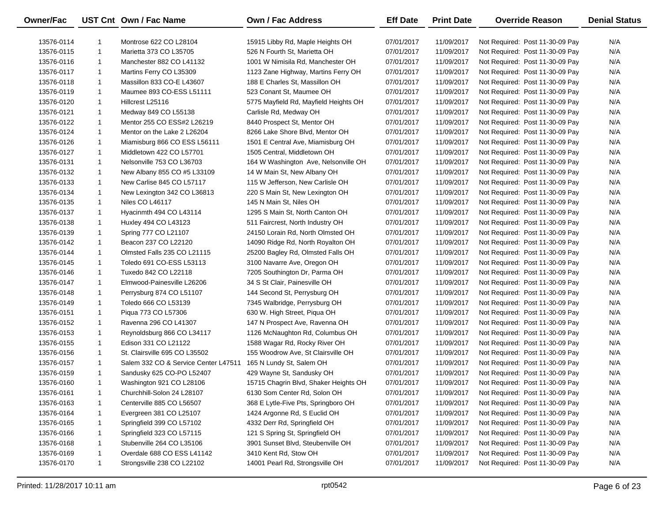| Owner/Fac  |              | UST Cnt Own / Fac Name               | Own / Fac Address                     | <b>Eff Date</b> | <b>Print Date</b> | <b>Override Reason</b>          | <b>Denial Status</b> |
|------------|--------------|--------------------------------------|---------------------------------------|-----------------|-------------------|---------------------------------|----------------------|
| 13576-0114 |              | Montrose 622 CO L28104               | 15915 Libby Rd, Maple Heights OH      | 07/01/2017      | 11/09/2017        | Not Required: Post 11-30-09 Pay | N/A                  |
| 13576-0115 | $\mathbf{1}$ | Marietta 373 CO L35705               | 526 N Fourth St, Marietta OH          | 07/01/2017      | 11/09/2017        | Not Required: Post 11-30-09 Pay | N/A                  |
| 13576-0116 | $\mathbf{1}$ | Manchester 882 CO L41132             | 1001 W Nimisila Rd, Manchester OH     | 07/01/2017      | 11/09/2017        | Not Required: Post 11-30-09 Pay | N/A                  |
| 13576-0117 | $\mathbf{1}$ | Martins Ferry CO L35309              | 1123 Zane Highway, Martins Ferry OH   | 07/01/2017      | 11/09/2017        | Not Required: Post 11-30-09 Pay | N/A                  |
| 13576-0118 | $\mathbf{1}$ | Massillon 833 CO-E L43607            | 188 E Charles St, Massillon OH        | 07/01/2017      | 11/09/2017        | Not Required: Post 11-30-09 Pay | N/A                  |
| 13576-0119 | $\mathbf{1}$ | Maumee 893 CO-ESS L51111             | 523 Conant St, Maumee OH              | 07/01/2017      | 11/09/2017        | Not Required: Post 11-30-09 Pay | N/A                  |
| 13576-0120 | $\mathbf{1}$ | Hillcrest L25116                     | 5775 Mayfield Rd, Mayfield Heights OH | 07/01/2017      | 11/09/2017        | Not Required: Post 11-30-09 Pay | N/A                  |
| 13576-0121 | $\mathbf{1}$ | Medway 849 CO L55138                 | Carlisle Rd, Medway OH                | 07/01/2017      | 11/09/2017        | Not Required: Post 11-30-09 Pay | N/A                  |
| 13576-0122 | $\mathbf{1}$ | Mentor 255 CO ESS#2 L26219           | 8440 Prospect St, Mentor OH           | 07/01/2017      | 11/09/2017        | Not Required: Post 11-30-09 Pay | N/A                  |
| 13576-0124 | $\mathbf{1}$ | Mentor on the Lake 2 L26204          | 8266 Lake Shore Blvd, Mentor OH       | 07/01/2017      | 11/09/2017        | Not Required: Post 11-30-09 Pay | N/A                  |
| 13576-0126 | $\mathbf{1}$ | Miamisburg 866 CO ESS L56111         | 1501 E Central Ave, Miamisburg OH     | 07/01/2017      | 11/09/2017        | Not Required: Post 11-30-09 Pay | N/A                  |
| 13576-0127 | $\mathbf{1}$ | Middletown 422 CO L57701             | 1505 Central, Middletown OH           | 07/01/2017      | 11/09/2017        | Not Required: Post 11-30-09 Pay | N/A                  |
| 13576-0131 | $\mathbf{1}$ | Nelsonville 753 CO L36703            | 164 W Washington Ave, Nelsonville OH  | 07/01/2017      | 11/09/2017        | Not Required: Post 11-30-09 Pay | N/A                  |
| 13576-0132 | $\mathbf{1}$ | New Albany 855 CO #5 L33109          | 14 W Main St, New Albany OH           | 07/01/2017      | 11/09/2017        | Not Required: Post 11-30-09 Pay | N/A                  |
| 13576-0133 | $\mathbf{1}$ | New Carlise 845 CO L57117            | 115 W Jefferson, New Carlisle OH      | 07/01/2017      | 11/09/2017        | Not Required: Post 11-30-09 Pay | N/A                  |
| 13576-0134 | $\mathbf{1}$ | New Lexington 342 CO L36813          | 220 S Main St, New Lexington OH       | 07/01/2017      | 11/09/2017        | Not Required: Post 11-30-09 Pay | N/A                  |
| 13576-0135 | $\mathbf{1}$ | Niles CO L46117                      | 145 N Main St, Niles OH               | 07/01/2017      | 11/09/2017        | Not Required: Post 11-30-09 Pay | N/A                  |
| 13576-0137 | $\mathbf{1}$ | Hyacinmth 494 CO L43114              | 1295 S Main St, North Canton OH       | 07/01/2017      | 11/09/2017        | Not Required: Post 11-30-09 Pay | N/A                  |
| 13576-0138 | $\mathbf{1}$ | Huxley 494 CO L43123                 | 511 Faircrest, North Industry OH      | 07/01/2017      | 11/09/2017        | Not Required: Post 11-30-09 Pay | N/A                  |
| 13576-0139 | $\mathbf{1}$ | Spring 777 CO L21107                 | 24150 Lorain Rd, North Olmsted OH     | 07/01/2017      | 11/09/2017        | Not Required: Post 11-30-09 Pay | N/A                  |
| 13576-0142 | -1           | Beacon 237 CO L22120                 | 14090 Ridge Rd, North Royalton OH     | 07/01/2017      | 11/09/2017        | Not Required: Post 11-30-09 Pay | N/A                  |
| 13576-0144 | $\mathbf{1}$ | Olmsted Falls 235 CO L21115          | 25200 Bagley Rd, Olmsted Falls OH     | 07/01/2017      | 11/09/2017        | Not Required: Post 11-30-09 Pay | N/A                  |
| 13576-0145 | $\mathbf{1}$ | Toledo 691 CO-ESS L53113             | 3100 Navarre Ave, Oregon OH           | 07/01/2017      | 11/09/2017        | Not Required: Post 11-30-09 Pay | N/A                  |
| 13576-0146 | $\mathbf{1}$ | Tuxedo 842 CO L22118                 | 7205 Southington Dr, Parma OH         | 07/01/2017      | 11/09/2017        | Not Required: Post 11-30-09 Pay | N/A                  |
| 13576-0147 | $\mathbf{1}$ | Elmwood-Painesville L26206           | 34 S St Clair, Painesville OH         | 07/01/2017      | 11/09/2017        | Not Required: Post 11-30-09 Pay | N/A                  |
| 13576-0148 | $\mathbf{1}$ | Perrysburg 874 CO L51107             | 144 Second St, Perrysburg OH          | 07/01/2017      | 11/09/2017        | Not Required: Post 11-30-09 Pay | N/A                  |
| 13576-0149 | $\mathbf{1}$ | Toledo 666 CO L53139                 | 7345 Walbridge, Perrysburg OH         | 07/01/2017      | 11/09/2017        | Not Required: Post 11-30-09 Pay | N/A                  |
| 13576-0151 | $\mathbf{1}$ | Piqua 773 CO L57306                  | 630 W. High Street, Piqua OH          | 07/01/2017      | 11/09/2017        | Not Required: Post 11-30-09 Pay | N/A                  |
| 13576-0152 | $\mathbf{1}$ | Ravenna 296 CO L41307                | 147 N Prospect Ave, Ravenna OH        | 07/01/2017      | 11/09/2017        | Not Required: Post 11-30-09 Pay | N/A                  |
| 13576-0153 | $\mathbf{1}$ | Reynoldsburg 866 CO L34117           | 1126 McNaughton Rd, Columbus OH       | 07/01/2017      | 11/09/2017        | Not Required: Post 11-30-09 Pay | N/A                  |
| 13576-0155 | $\mathbf{1}$ | Edison 331 CO L21122                 | 1588 Wagar Rd, Rocky River OH         | 07/01/2017      | 11/09/2017        | Not Required: Post 11-30-09 Pay | N/A                  |
| 13576-0156 | $\mathbf{1}$ | St. Clairsville 695 CO L35502        | 155 Woodrow Ave, St Clairsville OH    | 07/01/2017      | 11/09/2017        | Not Required: Post 11-30-09 Pay | N/A                  |
| 13576-0157 | $\mathbf{1}$ | Salem 332 CO & Service Center L47511 | 165 N Lundy St, Salem OH              | 07/01/2017      | 11/09/2017        | Not Required: Post 11-30-09 Pay | N/A                  |
| 13576-0159 | $\mathbf{1}$ | Sandusky 625 CO-PO L52407            | 429 Wayne St, Sandusky OH             | 07/01/2017      | 11/09/2017        | Not Required: Post 11-30-09 Pay | N/A                  |
| 13576-0160 | $\mathbf{1}$ | Washington 921 CO L28106             | 15715 Chagrin Blvd, Shaker Heights OH | 07/01/2017      | 11/09/2017        | Not Required: Post 11-30-09 Pay | N/A                  |
| 13576-0161 | -1           | Churchhill-Solon 24 L28107           | 6130 Som Center Rd, Solon OH          | 07/01/2017      | 11/09/2017        | Not Required: Post 11-30-09 Pay | N/A                  |
| 13576-0163 | -1           | Centerville 885 CO L56507            | 368 E Lytle-Five Pts, Springboro OH   | 07/01/2017      | 11/09/2017        | Not Required: Post 11-30-09 Pay | N/A                  |
| 13576-0164 | -1           | Evergreen 381 CO L25107              | 1424 Argonne Rd, S Euclid OH          | 07/01/2017      | 11/09/2017        | Not Required: Post 11-30-09 Pay | N/A                  |
| 13576-0165 | -1           | Springfield 399 CO L57102            | 4332 Derr Rd, Springfield OH          | 07/01/2017      | 11/09/2017        | Not Required: Post 11-30-09 Pay | N/A                  |
| 13576-0166 | -1           | Springfield 323 CO L57115            | 121 S Spring St, Springfield OH       | 07/01/2017      | 11/09/2017        | Not Required: Post 11-30-09 Pay | N/A                  |
| 13576-0168 | -1           | Stubenville 264 CO L35106            | 3901 Sunset Blvd, Steubenville OH     | 07/01/2017      | 11/09/2017        | Not Required: Post 11-30-09 Pay | N/A                  |
| 13576-0169 | 1            | Overdale 688 CO ESS L41142           | 3410 Kent Rd, Stow OH                 | 07/01/2017      | 11/09/2017        | Not Required: Post 11-30-09 Pay | N/A                  |
| 13576-0170 | $\mathbf{1}$ | Strongsville 238 CO L22102           | 14001 Pearl Rd, Strongsville OH       | 07/01/2017      | 11/09/2017        | Not Required: Post 11-30-09 Pay | N/A                  |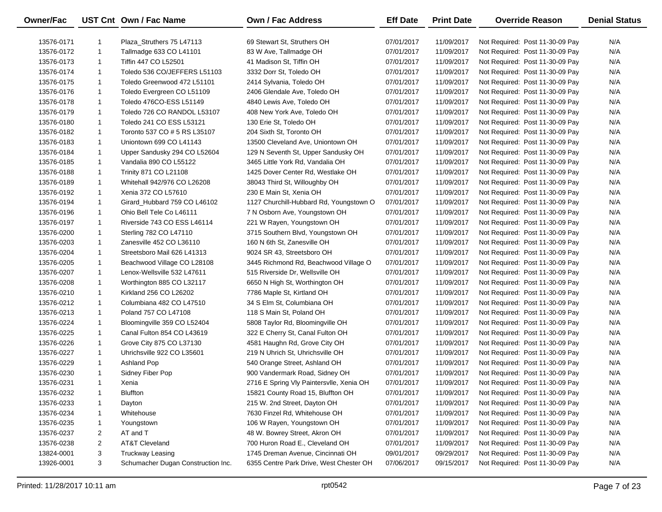| Owner/Fac  |              | UST Cnt Own / Fac Name             | <b>Own / Fac Address</b>                 | <b>Eff Date</b> | <b>Print Date</b> | <b>Override Reason</b>          | <b>Denial Status</b> |
|------------|--------------|------------------------------------|------------------------------------------|-----------------|-------------------|---------------------------------|----------------------|
| 13576-0171 | 1            | Plaza_Struthers 75 L47113          | 69 Stewart St, Struthers OH              | 07/01/2017      | 11/09/2017        | Not Required: Post 11-30-09 Pay | N/A                  |
| 13576-0172 | $\mathbf{1}$ | Tallmadge 633 CO L41101            | 83 W Ave, Tallmadge OH                   | 07/01/2017      | 11/09/2017        | Not Required: Post 11-30-09 Pay | N/A                  |
| 13576-0173 | $\mathbf{1}$ | Tiffin 447 CO L52501               | 41 Madison St, Tiffin OH                 | 07/01/2017      | 11/09/2017        | Not Required: Post 11-30-09 Pay | N/A                  |
| 13576-0174 | $\mathbf{1}$ | Toledo 536 CO/JEFFERS L51103       | 3332 Dorr St, Toledo OH                  | 07/01/2017      | 11/09/2017        | Not Required: Post 11-30-09 Pay | N/A                  |
| 13576-0175 | $\mathbf{1}$ | Toledo Greenwood 472 L51101        | 2414 Sylvania, Toledo OH                 | 07/01/2017      | 11/09/2017        | Not Required: Post 11-30-09 Pay | N/A                  |
| 13576-0176 | $\mathbf{1}$ | Toledo Evergreen CO L51109         | 2406 Glendale Ave, Toledo OH             | 07/01/2017      | 11/09/2017        | Not Required: Post 11-30-09 Pay | N/A                  |
| 13576-0178 | $\mathbf{1}$ | Toledo 476CO-ESS L51149            | 4840 Lewis Ave, Toledo OH                | 07/01/2017      | 11/09/2017        | Not Required: Post 11-30-09 Pay | N/A                  |
| 13576-0179 | $\mathbf{1}$ | Toledo 726 CO RANDOL L53107        | 408 New York Ave, Toledo OH              | 07/01/2017      | 11/09/2017        | Not Required: Post 11-30-09 Pay | N/A                  |
| 13576-0180 | $\mathbf{1}$ | Toledo 241 CO ESS L53121           | 130 Erie St, Toledo OH                   | 07/01/2017      | 11/09/2017        | Not Required: Post 11-30-09 Pay | N/A                  |
| 13576-0182 | $\mathbf{1}$ | Toronto 537 CO # 5 RS L35107       | 204 Sixth St, Toronto OH                 | 07/01/2017      | 11/09/2017        | Not Required: Post 11-30-09 Pay | N/A                  |
| 13576-0183 | $\mathbf{1}$ | Uniontown 699 CO L41143            | 13500 Cleveland Ave, Uniontown OH        | 07/01/2017      | 11/09/2017        | Not Required: Post 11-30-09 Pay | N/A                  |
| 13576-0184 | $\mathbf{1}$ | Upper Sandusky 294 CO L52604       | 129 N Seventh St, Upper Sandusky OH      | 07/01/2017      | 11/09/2017        | Not Required: Post 11-30-09 Pay | N/A                  |
| 13576-0185 | 1            | Vandalia 890 CO L55122             | 3465 Little York Rd, Vandalia OH         | 07/01/2017      | 11/09/2017        | Not Required: Post 11-30-09 Pay | N/A                  |
| 13576-0188 | $\mathbf{1}$ | Trinity 871 CO L21108              | 1425 Dover Center Rd, Westlake OH        | 07/01/2017      | 11/09/2017        | Not Required: Post 11-30-09 Pay | N/A                  |
| 13576-0189 | $\mathbf{1}$ | Whitehall 942/976 CO L26208        | 38043 Third St, Willoughby OH            | 07/01/2017      | 11/09/2017        | Not Required: Post 11-30-09 Pay | N/A                  |
| 13576-0192 | $\mathbf{1}$ | Xenia 372 CO L57610                | 230 E Main St, Xenia OH                  | 07/01/2017      | 11/09/2017        | Not Required: Post 11-30-09 Pay | N/A                  |
| 13576-0194 | 1            | Girard_Hubbard 759 CO L46102       | 1127 Churchill-Hubbard Rd, Youngstown O  | 07/01/2017      | 11/09/2017        | Not Required: Post 11-30-09 Pay | N/A                  |
| 13576-0196 | $\mathbf{1}$ | Ohio Bell Tele Co L46111           | 7 N Osborn Ave, Youngstown OH            | 07/01/2017      | 11/09/2017        | Not Required: Post 11-30-09 Pay | N/A                  |
| 13576-0197 | $\mathbf{1}$ | Riverside 743 CO ESS L46114        | 221 W Rayen, Youngstown OH               | 07/01/2017      | 11/09/2017        | Not Required: Post 11-30-09 Pay | N/A                  |
| 13576-0200 | 1            | Sterling 782 CO L47110             | 3715 Southern Blvd, Youngstown OH        | 07/01/2017      | 11/09/2017        | Not Required: Post 11-30-09 Pay | N/A                  |
| 13576-0203 | $\mathbf{1}$ | Zanesville 452 CO L36110           | 160 N 6th St, Zanesville OH              | 07/01/2017      | 11/09/2017        | Not Required: Post 11-30-09 Pay | N/A                  |
| 13576-0204 | $\mathbf{1}$ | Streetsboro Mail 626 L41313        | 9024 SR 43, Streetsboro OH               | 07/01/2017      | 11/09/2017        | Not Required: Post 11-30-09 Pay | N/A                  |
| 13576-0205 | 1            | Beachwood Village CO L28108        | 3445 Richmond Rd, Beachwood Village O    | 07/01/2017      | 11/09/2017        | Not Required: Post 11-30-09 Pay | N/A                  |
| 13576-0207 | 1            | Lenox-Wellsville 532 L47611        | 515 Riverside Dr, Wellsville OH          | 07/01/2017      | 11/09/2017        | Not Required: Post 11-30-09 Pay | N/A                  |
| 13576-0208 | 1            | Worthington 885 CO L32117          | 6650 N High St, Worthington OH           | 07/01/2017      | 11/09/2017        | Not Required: Post 11-30-09 Pay | N/A                  |
| 13576-0210 | $\mathbf{1}$ | Kirkland 256 CO L26202             | 7786 Maple St, Kirtland OH               | 07/01/2017      | 11/09/2017        | Not Required: Post 11-30-09 Pay | N/A                  |
| 13576-0212 | $\mathbf{1}$ | Columbiana 482 CO L47510           | 34 S Elm St, Columbiana OH               | 07/01/2017      | 11/09/2017        | Not Required: Post 11-30-09 Pay | N/A                  |
| 13576-0213 | $\mathbf{1}$ | Poland 757 CO L47108               | 118 S Main St, Poland OH                 | 07/01/2017      | 11/09/2017        | Not Required: Post 11-30-09 Pay | N/A                  |
| 13576-0224 | $\mathbf{1}$ | Bloomingville 359 CO L52404        | 5808 Taylor Rd, Bloomingville OH         | 07/01/2017      | 11/09/2017        | Not Required: Post 11-30-09 Pay | N/A                  |
| 13576-0225 | 1            | Canal Fulton 854 CO L43619         | 322 E Cherry St, Canal Fulton OH         | 07/01/2017      | 11/09/2017        | Not Required: Post 11-30-09 Pay | N/A                  |
| 13576-0226 | $\mathbf{1}$ | Grove City 875 CO L37130           | 4581 Haughn Rd, Grove City OH            | 07/01/2017      | 11/09/2017        | Not Required: Post 11-30-09 Pay | N/A                  |
| 13576-0227 | $\mathbf{1}$ | Uhrichsville 922 CO L35601         | 219 N Uhrich St, Uhrichsville OH         | 07/01/2017      | 11/09/2017        | Not Required: Post 11-30-09 Pay | N/A                  |
| 13576-0229 | $\mathbf{1}$ | Ashland Pop                        | 540 Orange Street, Ashland OH            | 07/01/2017      | 11/09/2017        | Not Required: Post 11-30-09 Pay | N/A                  |
| 13576-0230 | 1            | Sidney Fiber Pop                   | 900 Vandermark Road, Sidney OH           | 07/01/2017      | 11/09/2017        | Not Required: Post 11-30-09 Pay | N/A                  |
| 13576-0231 | 1            | Xenia                              | 2716 E Spring Vly Paintersvlle, Xenia OH | 07/01/2017      | 11/09/2017        | Not Required: Post 11-30-09 Pay | N/A                  |
| 13576-0232 | $\mathbf{1}$ | <b>Bluffton</b>                    | 15821 County Road 15, Bluffton OH        | 07/01/2017      | 11/09/2017        | Not Required: Post 11-30-09 Pay | N/A                  |
| 13576-0233 | 1            | Dayton                             | 215 W. 2nd Street, Dayton OH             | 07/01/2017      | 11/09/2017        | Not Required: Post 11-30-09 Pay | N/A                  |
| 13576-0234 | 1            | Whitehouse                         | 7630 Finzel Rd, Whitehouse OH            | 07/01/2017      | 11/09/2017        | Not Required: Post 11-30-09 Pay | N/A                  |
| 13576-0235 | $\mathbf{1}$ | Youngstown                         | 106 W Rayen, Youngstown OH               | 07/01/2017      | 11/09/2017        | Not Required: Post 11-30-09 Pay | N/A                  |
| 13576-0237 | 2            | AT and T                           | 48 W. Bowrey Street, Akron OH            | 07/01/2017      | 11/09/2017        | Not Required: Post 11-30-09 Pay | N/A                  |
| 13576-0238 | 2            | <b>AT&amp;T Cleveland</b>          | 700 Huron Road E., Cleveland OH          | 07/01/2017      | 11/09/2017        | Not Required: Post 11-30-09 Pay | N/A                  |
| 13824-0001 | 3            | <b>Truckway Leasing</b>            | 1745 Dreman Avenue, Cincinnati OH        | 09/01/2017      | 09/29/2017        | Not Required: Post 11-30-09 Pay | N/A                  |
| 13926-0001 | 3            | Schumacher Dugan Construction Inc. | 6355 Centre Park Drive, West Chester OH  | 07/06/2017      | 09/15/2017        | Not Required: Post 11-30-09 Pay | N/A                  |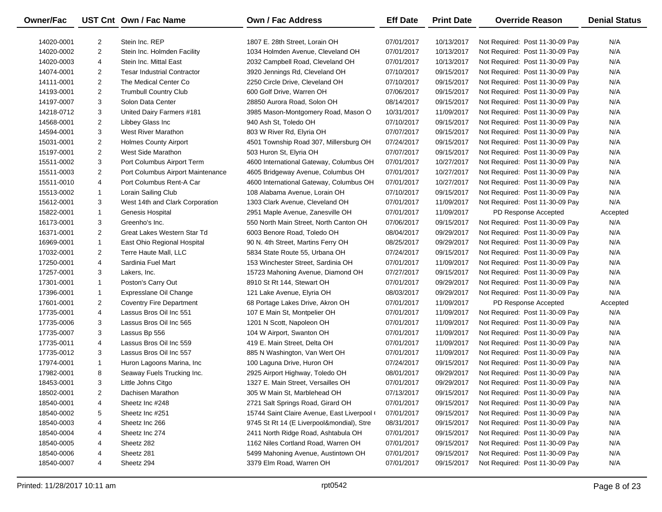| Owner/Fac  |                | UST Cnt Own / Fac Name             | Own / Fac Address                         | <b>Eff Date</b> | <b>Print Date</b> | <b>Override Reason</b>          | <b>Denial Status</b> |
|------------|----------------|------------------------------------|-------------------------------------------|-----------------|-------------------|---------------------------------|----------------------|
| 14020-0001 | $\overline{2}$ | Stein Inc. REP                     | 1807 E. 28th Street, Lorain OH            | 07/01/2017      | 10/13/2017        | Not Required: Post 11-30-09 Pay | N/A                  |
| 14020-0002 | $\overline{2}$ | Stein Inc. Holmden Facility        | 1034 Holmden Avenue, Cleveland OH         | 07/01/2017      | 10/13/2017        | Not Required: Post 11-30-09 Pay | N/A                  |
| 14020-0003 | 4              | Stein Inc. Mittal East             | 2032 Campbell Road, Cleveland OH          | 07/01/2017      | 10/13/2017        | Not Required: Post 11-30-09 Pay | N/A                  |
| 14074-0001 | $\overline{2}$ | <b>Tesar Industrial Contractor</b> | 3920 Jennings Rd, Cleveland OH            | 07/10/2017      | 09/15/2017        | Not Required: Post 11-30-09 Pay | N/A                  |
| 14111-0001 | $\overline{2}$ | The Medical Center Co              | 2250 Circle Drive, Cleveland OH           | 07/10/2017      | 09/15/2017        | Not Required: Post 11-30-09 Pay | N/A                  |
| 14193-0001 | $\overline{2}$ | <b>Trumbull Country Club</b>       | 600 Golf Drive, Warren OH                 | 07/06/2017      | 09/15/2017        | Not Required: Post 11-30-09 Pay | N/A                  |
| 14197-0007 | 3              | Solon Data Center                  | 28850 Aurora Road, Solon OH               | 08/14/2017      | 09/15/2017        | Not Required: Post 11-30-09 Pay | N/A                  |
| 14218-0712 | 3              | United Dairy Farmers #181          | 3985 Mason-Montgomery Road, Mason O       | 10/31/2017      | 11/09/2017        | Not Required: Post 11-30-09 Pay | N/A                  |
| 14568-0001 | $\overline{2}$ | Libbey Glass Inc                   | 940 Ash St, Toledo OH                     | 07/10/2017      | 09/15/2017        | Not Required: Post 11-30-09 Pay | N/A                  |
| 14594-0001 | 3              | <b>West River Marathon</b>         | 803 W River Rd, Elyria OH                 | 07/07/2017      | 09/15/2017        | Not Required: Post 11-30-09 Pay | N/A                  |
| 15031-0001 | $\overline{2}$ | <b>Holmes County Airport</b>       | 4501 Township Road 307, Millersburg OH    | 07/24/2017      | 09/15/2017        | Not Required: Post 11-30-09 Pay | N/A                  |
| 15197-0001 | $\overline{2}$ | West Side Marathon                 | 503 Huron St, Elyria OH                   | 07/07/2017      | 09/15/2017        | Not Required: Post 11-30-09 Pay | N/A                  |
| 15511-0002 | 3              | Port Columbus Airport Term         | 4600 International Gateway, Columbus OH   | 07/01/2017      | 10/27/2017        | Not Required: Post 11-30-09 Pay | N/A                  |
| 15511-0003 | $\overline{2}$ | Port Columbus Airport Maintenance  | 4605 Bridgeway Avenue, Columbus OH        | 07/01/2017      | 10/27/2017        | Not Required: Post 11-30-09 Pay | N/A                  |
| 15511-0010 | 4              | Port Columbus Rent-A Car           | 4600 International Gateway, Columbus OH   | 07/01/2017      | 10/27/2017        | Not Required: Post 11-30-09 Pay | N/A                  |
| 15513-0002 | $\mathbf{1}$   | Lorain Sailing Club                | 108 Alabama Avenue, Lorain OH             | 07/10/2017      | 09/15/2017        | Not Required: Post 11-30-09 Pay | N/A                  |
| 15612-0001 | 3              | West 14th and Clark Corporation    | 1303 Clark Avenue, Cleveland OH           | 07/01/2017      | 11/09/2017        | Not Required: Post 11-30-09 Pay | N/A                  |
| 15822-0001 | $\mathbf{1}$   | Genesis Hospital                   | 2951 Maple Avenue, Zanesville OH          | 07/01/2017      | 11/09/2017        | PD Response Accepted            | Accepted             |
| 16173-0001 | 3              | Greenho's Inc.                     | 550 North Main Street, North Canton OH    | 07/06/2017      | 09/15/2017        | Not Required: Post 11-30-09 Pay | N/A                  |
| 16371-0001 | $\overline{2}$ | Great Lakes Western Star Td        | 6003 Benore Road, Toledo OH               | 08/04/2017      | 09/29/2017        | Not Required: Post 11-30-09 Pay | N/A                  |
| 16969-0001 | $\mathbf{1}$   | East Ohio Regional Hospital        | 90 N. 4th Street, Martins Ferry OH        | 08/25/2017      | 09/29/2017        | Not Required: Post 11-30-09 Pay | N/A                  |
| 17032-0001 | $\overline{2}$ | Terre Haute Mall, LLC              | 5834 State Route 55, Urbana OH            | 07/24/2017      | 09/15/2017        | Not Required: Post 11-30-09 Pay | N/A                  |
| 17250-0001 | 4              | Sardinia Fuel Mart                 | 153 Winchester Street, Sardinia OH        | 07/01/2017      | 11/09/2017        | Not Required: Post 11-30-09 Pay | N/A                  |
| 17257-0001 | 3              | Lakers, Inc.                       | 15723 Mahoning Avenue, Diamond OH         | 07/27/2017      | 09/15/2017        | Not Required: Post 11-30-09 Pay | N/A                  |
| 17301-0001 | $\mathbf{1}$   | Poston's Carry Out                 | 8910 St Rt 144, Stewart OH                | 07/01/2017      | 09/29/2017        | Not Required: Post 11-30-09 Pay | N/A                  |
| 17396-0001 | $\mathbf{1}$   | Expresslane Oil Change             | 121 Lake Avenue, Elyria OH                | 08/03/2017      | 09/29/2017        | Not Required: Post 11-30-09 Pay | N/A                  |
| 17601-0001 | $\overline{2}$ | <b>Coventry Fire Department</b>    | 68 Portage Lakes Drive, Akron OH          | 07/01/2017      | 11/09/2017        | PD Response Accepted            | Accepted             |
| 17735-0001 | 4              | Lassus Bros Oil Inc 551            | 107 E Main St, Montpelier OH              | 07/01/2017      | 11/09/2017        | Not Required: Post 11-30-09 Pay | N/A                  |
| 17735-0006 | 3              | Lassus Bros Oil Inc 565            | 1201 N Scott, Napoleon OH                 | 07/01/2017      | 11/09/2017        | Not Required: Post 11-30-09 Pay | N/A                  |
| 17735-0007 | 3              | Lassus Bp 556                      | 104 W Airport, Swanton OH                 | 07/01/2017      | 11/09/2017        | Not Required: Post 11-30-09 Pay | N/A                  |
| 17735-0011 | 4              | Lassus Bros Oil Inc 559            | 419 E. Main Street, Delta OH              | 07/01/2017      | 11/09/2017        | Not Required: Post 11-30-09 Pay | N/A                  |
| 17735-0012 | 3              | Lassus Bros Oil Inc 557            | 885 N Washington, Van Wert OH             | 07/01/2017      | 11/09/2017        | Not Required: Post 11-30-09 Pay | N/A                  |
| 17974-0001 | $\mathbf{1}$   | Huron Lagoons Marina, Inc.         | 100 Laguna Drive, Huron OH                | 07/24/2017      | 09/15/2017        | Not Required: Post 11-30-09 Pay | N/A                  |
| 17982-0001 | 8              | Seaway Fuels Trucking Inc.         | 2925 Airport Highway, Toledo OH           | 08/01/2017      | 09/29/2017        | Not Required: Post 11-30-09 Pay | N/A                  |
| 18453-0001 | 3              | Little Johns Citgo                 | 1327 E. Main Street, Versailles OH        | 07/01/2017      | 09/29/2017        | Not Required: Post 11-30-09 Pay | N/A                  |
| 18502-0001 | 2              | Dachisen Marathon                  | 305 W Main St, Marblehead OH              | 07/13/2017      | 09/15/2017        | Not Required: Post 11-30-09 Pay | N/A                  |
| 18540-0001 | 4              | Sheetz Inc #248                    | 2721 Salt Springs Road, Girard OH         | 07/01/2017      | 09/15/2017        | Not Required: Post 11-30-09 Pay | N/A                  |
| 18540-0002 | 5              | Sheetz Inc #251                    | 15744 Saint Claire Avenue, East Liverpool | 07/01/2017      | 09/15/2017        | Not Required: Post 11-30-09 Pay | N/A                  |
| 18540-0003 | 4              | Sheetz Inc 266                     | 9745 St Rt 14 (E Liverpool&mondial), Stre | 08/31/2017      | 09/15/2017        | Not Required: Post 11-30-09 Pay | N/A                  |
| 18540-0004 | 4              | Sheetz Inc 274                     | 2411 North Ridge Road, Ashtabula OH       | 07/01/2017      | 09/15/2017        | Not Required: Post 11-30-09 Pay | N/A                  |
| 18540-0005 | 4              | Sheetz 282                         | 1162 Niles Cortland Road, Warren OH       | 07/01/2017      | 09/15/2017        | Not Required: Post 11-30-09 Pay | N/A                  |
| 18540-0006 | 4              | Sheetz 281                         | 5499 Mahoning Avenue, Austintown OH       | 07/01/2017      | 09/15/2017        | Not Required: Post 11-30-09 Pay | N/A                  |
| 18540-0007 | 4              | Sheetz 294                         | 3379 Elm Road, Warren OH                  | 07/01/2017      | 09/15/2017        | Not Required: Post 11-30-09 Pay | N/A                  |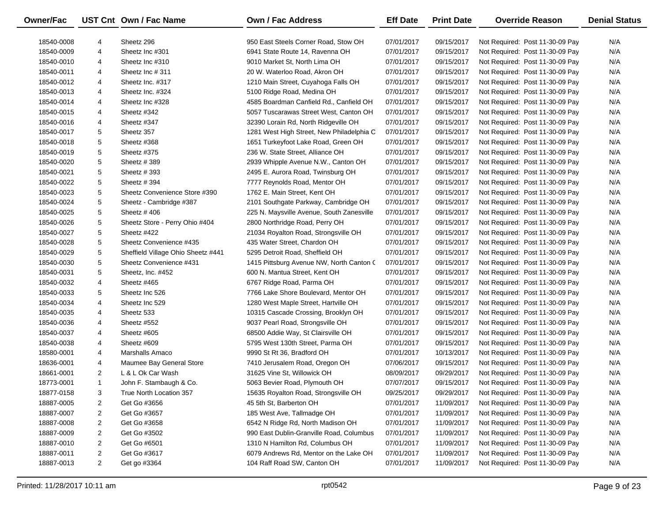| Owner/Fac  |                | UST Cnt Own / Fac Name             | <b>Own / Fac Address</b>                  | <b>Eff Date</b> | <b>Print Date</b> | <b>Override Reason</b>          | <b>Denial Status</b> |
|------------|----------------|------------------------------------|-------------------------------------------|-----------------|-------------------|---------------------------------|----------------------|
| 18540-0008 | 4              | Sheetz 296                         | 950 East Steels Corner Road, Stow OH      | 07/01/2017      | 09/15/2017        | Not Required: Post 11-30-09 Pay | N/A                  |
| 18540-0009 | 4              | Sheetz Inc #301                    | 6941 State Route 14, Ravenna OH           | 07/01/2017      | 09/15/2017        | Not Required: Post 11-30-09 Pay | N/A                  |
| 18540-0010 | 4              | Sheetz Inc #310                    | 9010 Market St, North Lima OH             | 07/01/2017      | 09/15/2017        | Not Required: Post 11-30-09 Pay | N/A                  |
| 18540-0011 | 4              | Sheetz Inc #311                    | 20 W. Waterloo Road, Akron OH             | 07/01/2017      | 09/15/2017        | Not Required: Post 11-30-09 Pay | N/A                  |
| 18540-0012 | 4              | Sheetz Inc. #317                   | 1210 Main Street, Cuyahoga Falls OH       | 07/01/2017      | 09/15/2017        | Not Required: Post 11-30-09 Pay | N/A                  |
| 18540-0013 | 4              | Sheetz Inc. #324                   | 5100 Ridge Road, Medina OH                | 07/01/2017      | 09/15/2017        | Not Required: Post 11-30-09 Pay | N/A                  |
| 18540-0014 | 4              | Sheetz Inc #328                    | 4585 Boardman Canfield Rd., Canfield OH   | 07/01/2017      | 09/15/2017        | Not Required: Post 11-30-09 Pay | N/A                  |
| 18540-0015 | 4              | Sheetz #342                        | 5057 Tuscarawas Street West, Canton OH    | 07/01/2017      | 09/15/2017        | Not Required: Post 11-30-09 Pay | N/A                  |
| 18540-0016 | 4              | Sheetz #347                        | 32390 Lorain Rd, North Ridgeville OH      | 07/01/2017      | 09/15/2017        | Not Required: Post 11-30-09 Pay | N/A                  |
| 18540-0017 | 5              | Sheetz 357                         | 1281 West High Street, New Philadelphia C | 07/01/2017      | 09/15/2017        | Not Required: Post 11-30-09 Pay | N/A                  |
| 18540-0018 | 5              | Sheetz #368                        | 1651 Turkeyfoot Lake Road, Green OH       | 07/01/2017      | 09/15/2017        | Not Required: Post 11-30-09 Pay | N/A                  |
| 18540-0019 | 5              | Sheetz #375                        | 236 W. State Street, Alliance OH          | 07/01/2017      | 09/15/2017        | Not Required: Post 11-30-09 Pay | N/A                  |
| 18540-0020 | 5              | Sheetz #389                        | 2939 Whipple Avenue N.W., Canton OH       | 07/01/2017      | 09/15/2017        | Not Required: Post 11-30-09 Pay | N/A                  |
| 18540-0021 | 5              | Sheetz #393                        | 2495 E. Aurora Road, Twinsburg OH         | 07/01/2017      | 09/15/2017        | Not Required: Post 11-30-09 Pay | N/A                  |
| 18540-0022 | 5              | Sheetz #394                        | 7777 Reynolds Road, Mentor OH             | 07/01/2017      | 09/15/2017        | Not Required: Post 11-30-09 Pay | N/A                  |
| 18540-0023 | 5              | Sheetz Convenience Store #390      | 1762 E. Main Street, Kent OH              | 07/01/2017      | 09/15/2017        | Not Required: Post 11-30-09 Pay | N/A                  |
| 18540-0024 | 5              | Sheetz - Cambridge #387            | 2101 Southgate Parkway, Cambridge OH      | 07/01/2017      | 09/15/2017        | Not Required: Post 11-30-09 Pay | N/A                  |
| 18540-0025 | 5              | Sheetz #406                        | 225 N. Maysville Avenue, South Zanesville | 07/01/2017      | 09/15/2017        | Not Required: Post 11-30-09 Pay | N/A                  |
| 18540-0026 | 5              | Sheetz Store - Perry Ohio #404     | 2800 Northridge Road, Perry OH            | 07/01/2017      | 09/15/2017        | Not Required: Post 11-30-09 Pay | N/A                  |
| 18540-0027 | 5              | Sheetz #422                        | 21034 Royalton Road, Strongsville OH      | 07/01/2017      | 09/15/2017        | Not Required: Post 11-30-09 Pay | N/A                  |
| 18540-0028 | 5              | Sheetz Convenience #435            | 435 Water Street, Chardon OH              | 07/01/2017      | 09/15/2017        | Not Required: Post 11-30-09 Pay | N/A                  |
| 18540-0029 | 5              | Sheffield Village Ohio Sheetz #441 | 5295 Detroit Road, Sheffield OH           | 07/01/2017      | 09/15/2017        | Not Required: Post 11-30-09 Pay | N/A                  |
| 18540-0030 | 5              | Sheetz Convenience #431            | 1415 Pittsburg Avenue NW, North Canton C  | 07/01/2017      | 09/15/2017        | Not Required: Post 11-30-09 Pay | N/A                  |
| 18540-0031 | 5              | Sheetz, Inc. #452                  | 600 N. Mantua Street, Kent OH             | 07/01/2017      | 09/15/2017        | Not Required: Post 11-30-09 Pay | N/A                  |
| 18540-0032 | 4              | Sheetz #465                        | 6767 Ridge Road, Parma OH                 | 07/01/2017      | 09/15/2017        | Not Required: Post 11-30-09 Pay | N/A                  |
| 18540-0033 | 5              | Sheetz Inc 526                     | 7766 Lake Shore Boulevard, Mentor OH      | 07/01/2017      | 09/15/2017        | Not Required: Post 11-30-09 Pay | N/A                  |
| 18540-0034 | 4              | Sheetz Inc 529                     | 1280 West Maple Street, Hartville OH      | 07/01/2017      | 09/15/2017        | Not Required: Post 11-30-09 Pay | N/A                  |
| 18540-0035 | 4              | Sheetz 533                         | 10315 Cascade Crossing, Brooklyn OH       | 07/01/2017      | 09/15/2017        | Not Required: Post 11-30-09 Pay | N/A                  |
| 18540-0036 | 4              | Sheetz #552                        | 9037 Pearl Road, Strongsville OH          | 07/01/2017      | 09/15/2017        | Not Required: Post 11-30-09 Pay | N/A                  |
| 18540-0037 | 4              | Sheetz #605                        | 68500 Addie Way, St Clairsville OH        | 07/01/2017      | 09/15/2017        | Not Required: Post 11-30-09 Pay | N/A                  |
| 18540-0038 | 4              | Sheetz #609                        | 5795 West 130th Street, Parma OH          | 07/01/2017      | 09/15/2017        | Not Required: Post 11-30-09 Pay | N/A                  |
| 18580-0001 | 4              | Marshalls Amaco                    | 9990 St Rt 36, Bradford OH                | 07/01/2017      | 10/13/2017        | Not Required: Post 11-30-09 Pay | N/A                  |
| 18636-0001 | 4              | Maumee Bay General Store           | 7410 Jerusalem Road, Oregon OH            | 07/06/2017      | 09/15/2017        | Not Required: Post 11-30-09 Pay | N/A                  |
| 18661-0001 | $\overline{2}$ | L & L Ok Car Wash                  | 31625 Vine St, Willowick OH               | 08/09/2017      | 09/29/2017        | Not Required: Post 11-30-09 Pay | N/A                  |
| 18773-0001 | $\mathbf{1}$   | John F. Stambaugh & Co.            | 5063 Bevier Road, Plymouth OH             | 07/07/2017      | 09/15/2017        | Not Required: Post 11-30-09 Pay | N/A                  |
| 18877-0158 | 3              | True North Location 357            | 15635 Royalton Road, Strongsville OH      | 09/25/2017      | 09/29/2017        | Not Required: Post 11-30-09 Pay | N/A                  |
| 18887-0005 | 2              | Get Go #3656                       | 45 5th St, Barberton OH                   | 07/01/2017      | 11/09/2017        | Not Required: Post 11-30-09 Pay | N/A                  |
| 18887-0007 | 2              | Get Go #3657                       | 185 West Ave, Tallmadge OH                | 07/01/2017      | 11/09/2017        | Not Required: Post 11-30-09 Pay | N/A                  |
| 18887-0008 | 2              | Get Go #3658                       | 6542 N Ridge Rd, North Madison OH         | 07/01/2017      | 11/09/2017        | Not Required: Post 11-30-09 Pay | N/A                  |
| 18887-0009 | 2              | Get Go #3502                       | 990 East Dublin-Granville Road, Columbus  | 07/01/2017      | 11/09/2017        | Not Required: Post 11-30-09 Pay | N/A                  |
| 18887-0010 | 2              | Get Go #6501                       | 1310 N Hamilton Rd, Columbus OH           | 07/01/2017      | 11/09/2017        | Not Required: Post 11-30-09 Pay | N/A                  |
| 18887-0011 | 2              | Get Go #3617                       | 6079 Andrews Rd, Mentor on the Lake OH    | 07/01/2017      | 11/09/2017        | Not Required: Post 11-30-09 Pay | N/A                  |
| 18887-0013 | $\overline{a}$ | Get go #3364                       | 104 Raff Road SW, Canton OH               | 07/01/2017      | 11/09/2017        | Not Required: Post 11-30-09 Pay | N/A                  |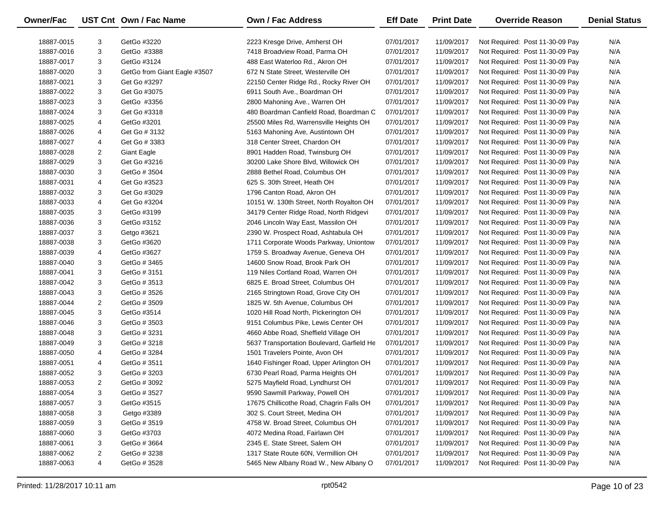| N/A<br>18887-0015<br>3<br>GetGo #3220<br>2223 Kresge Drive, Amherst OH<br>07/01/2017<br>11/09/2017<br>Not Required: Post 11-30-09 Pay<br>3<br>GetGo #3388<br>07/01/2017<br>11/09/2017<br>N/A<br>18887-0016<br>7418 Broadview Road, Parma OH<br>Not Required: Post 11-30-09 Pay<br>3<br>07/01/2017<br>N/A<br>18887-0017<br>GetGo #3124<br>488 East Waterloo Rd., Akron OH<br>11/09/2017<br>Not Required: Post 11-30-09 Pay<br>3<br>07/01/2017<br>N/A<br>18887-0020<br>GetGo from Giant Eagle #3507<br>672 N State Street, Westerville OH<br>11/09/2017<br>Not Required: Post 11-30-09 Pay<br>3<br>07/01/2017<br>N/A<br>18887-0021<br>Get Go #3297<br>22150 Center Ridge Rd., Rocky River OH<br>11/09/2017<br>Not Required: Post 11-30-09 Pay<br>3<br>N/A<br>18887-0022<br>Get Go #3075<br>6911 South Ave., Boardman OH<br>07/01/2017<br>11/09/2017<br>Not Required: Post 11-30-09 Pay<br>3<br>07/01/2017<br>N/A<br>18887-0023<br>GetGo #3356<br>2800 Mahoning Ave., Warren OH<br>11/09/2017<br>Not Required: Post 11-30-09 Pay<br>3<br>07/01/2017<br>N/A<br>18887-0024<br>Get Go #3318<br>480 Boardman Canfield Road, Boardman C<br>11/09/2017<br>Not Required: Post 11-30-09 Pay<br>N/A<br>18887-0025<br>4<br>GetGo #3201<br>25500 Miles Rd, Warrensville Heights OH<br>07/01/2017<br>11/09/2017<br>Not Required: Post 11-30-09 Pay<br>N/A<br>18887-0026<br>Get Go # 3132<br>5163 Mahoning Ave, Austintown OH<br>07/01/2017<br>11/09/2017<br>Not Required: Post 11-30-09 Pay<br>4<br>07/01/2017<br>N/A<br>18887-0027<br>4<br>Get Go # 3383<br>318 Center Street, Chardon OH<br>11/09/2017<br>Not Required: Post 11-30-09 Pay<br>07/01/2017<br>N/A<br>2<br><b>Giant Eagle</b><br>8901 Hadden Road, Twinsburg OH<br>11/09/2017<br>Not Required: Post 11-30-09 Pay<br>18887-0028<br>3<br>07/01/2017<br>N/A<br>18887-0029<br>Get Go #3216<br>30200 Lake Shore Blvd, Willowick OH<br>11/09/2017<br>Not Required: Post 11-30-09 Pay<br>3<br>N/A<br>GetGo # 3504<br>2888 Bethel Road, Columbus OH<br>07/01/2017<br>11/09/2017<br>Not Required: Post 11-30-09 Pay<br>18887-0030<br>07/01/2017<br>N/A<br>18887-0031<br>4<br>Get Go #3523<br>625 S. 30th Street, Heath OH<br>11/09/2017<br>Not Required: Post 11-30-09 Pay<br>07/01/2017<br>N/A<br>18887-0032<br>3<br>Get Go #3029<br>1796 Canton Road, Akron OH<br>11/09/2017<br>Not Required: Post 11-30-09 Pay<br>07/01/2017<br>N/A<br>18887-0033<br>4<br>Get Go #3204<br>10151 W. 130th Street, North Royalton OH<br>11/09/2017<br>Not Required: Post 11-30-09 Pay<br>N/A<br>3<br>GetGo #3199<br>34179 Center Ridge Road, North Ridgevi<br>07/01/2017<br>11/09/2017<br>Not Required: Post 11-30-09 Pay<br>18887-0035<br>3<br>07/01/2017<br>N/A<br>18887-0036<br>GetGo #3152<br>2046 Lincoln Way East, Massilon OH<br>11/09/2017<br>Not Required: Post 11-30-09 Pay<br>3<br>2390 W. Prospect Road, Ashtabula OH<br>07/01/2017<br>N/A<br>Getgo #3621<br>11/09/2017<br>Not Required: Post 11-30-09 Pay<br>18887-0037<br>3<br>07/01/2017<br>N/A<br>18887-0038<br>GetGo #3620<br>1711 Corporate Woods Parkway, Uniontow<br>11/09/2017<br>Not Required: Post 11-30-09 Pay<br>N/A<br>18887-0039<br>4<br>GetGo #3627<br>1759 S. Broadway Avenue, Geneva OH<br>07/01/2017<br>11/09/2017<br>Not Required: Post 11-30-09 Pay<br>3<br>07/01/2017<br>N/A<br>18887-0040<br>GetGo # 3465<br>14600 Snow Road, Brook Park OH<br>11/09/2017<br>Not Required: Post 11-30-09 Pay<br>3<br>07/01/2017<br>N/A<br>GetGo # 3151<br>119 Niles Cortland Road, Warren OH<br>11/09/2017<br>Not Required: Post 11-30-09 Pay<br>18887-0041<br>3<br>6825 E. Broad Street, Columbus OH<br>07/01/2017<br>N/A<br>18887-0042<br>GetGo # 3513<br>11/09/2017<br>Not Required: Post 11-30-09 Pay<br>3<br>07/01/2017<br>N/A<br>GetGo # 3526<br>2165 Stringtown Road, Grove City OH<br>11/09/2017<br>Not Required: Post 11-30-09 Pay<br>18887-0043<br>$\overline{2}$<br>07/01/2017<br>N/A<br>18887-0044<br>GetGo # 3509<br>1825 W. 5th Avenue, Columbus OH<br>11/09/2017<br>Not Required: Post 11-30-09 Pay<br>3<br>07/01/2017<br>N/A<br>18887-0045<br>GetGo #3514<br>1020 Hill Road North, Pickerington OH<br>11/09/2017<br>Not Required: Post 11-30-09 Pay<br>3<br>07/01/2017<br>N/A<br>18887-0046<br>GetGo # 3503<br>9151 Columbus Pike, Lewis Center OH<br>11/09/2017<br>Not Required: Post 11-30-09 Pay<br>3<br>07/01/2017<br>N/A<br>18887-0048<br>GetGo # 3231<br>4660 Abbe Road, Sheffield Village OH<br>11/09/2017<br>Not Required: Post 11-30-09 Pay<br>3<br>07/01/2017<br>N/A<br>18887-0049<br>GetGo # 3218<br>5637 Transportation Boulevard, Garfield He<br>11/09/2017<br>Not Required: Post 11-30-09 Pay<br>N/A<br>18887-0050<br>4<br>GetGo # 3284<br>1501 Travelers Pointe, Avon OH<br>07/01/2017<br>11/09/2017<br>Not Required: Post 11-30-09 Pay<br>07/01/2017<br>N/A<br>18887-0051<br>4<br>GetGo #3511<br>1640 Fishinger Road, Upper Arlington OH<br>11/09/2017<br>Not Required: Post 11-30-09 Pay<br>3<br>N/A<br>18887-0052<br>GetGo # 3203<br>6730 Pearl Road, Parma Heights OH<br>07/01/2017<br>11/09/2017<br>Not Required: Post 11-30-09 Pay<br>$\overline{2}$<br>N/A<br>18887-0053<br>GetGo # 3092<br>5275 Mayfield Road, Lyndhurst OH<br>07/01/2017<br>11/09/2017<br>Not Required: Post 11-30-09 Pay<br>GetGo # 3527<br>9590 Sawmill Parkway, Powell OH<br>Not Required: Post 11-30-09 Pay<br>07/01/2017<br>11/09/2017<br>18887-0054<br>З<br>N/A<br>3<br>07/01/2017<br>N/A<br>18887-0057<br>GetGo #3515<br>17675 Chillicothe Road, Chagrin Falls OH<br>11/09/2017<br>Not Required: Post 11-30-09 Pay<br>3<br>Getgo #3389<br>07/01/2017<br>11/09/2017<br>Not Required: Post 11-30-09 Pay<br>N/A<br>18887-0058<br>302 S. Court Street, Medina OH<br>N/A<br>3<br>4758 W. Broad Street, Columbus OH<br>07/01/2017<br>11/09/2017<br>18887-0059<br>GetGo # 3519<br>Not Required: Post 11-30-09 Pay<br>3<br>GetGo #3703<br>07/01/2017<br>11/09/2017<br>Not Required: Post 11-30-09 Pay<br>N/A<br>18887-0060<br>4072 Medina Road, Fairlawn OH<br>3<br>07/01/2017<br>11/09/2017<br>Not Required: Post 11-30-09 Pay<br>N/A<br>18887-0061<br>GetGo # 3664<br>2345 E. State Street, Salem OH<br>18887-0062<br>2<br>GetGo # 3238<br>1317 State Route 60N, Vermillion OH<br>07/01/2017<br>11/09/2017<br>Not Required: Post 11-30-09 Pay<br>N/A<br>18887-0063<br>GetGo # 3528<br>5465 New Albany Road W., New Albany O<br>07/01/2017<br>11/09/2017<br>Not Required: Post 11-30-09 Pay<br>N/A<br>4 | Owner/Fac | UST Cnt Own / Fac Name | <b>Own / Fac Address</b> | <b>Eff Date</b> | <b>Print Date</b> | <b>Override Reason</b> | <b>Denial Status</b> |
|-----------------------------------------------------------------------------------------------------------------------------------------------------------------------------------------------------------------------------------------------------------------------------------------------------------------------------------------------------------------------------------------------------------------------------------------------------------------------------------------------------------------------------------------------------------------------------------------------------------------------------------------------------------------------------------------------------------------------------------------------------------------------------------------------------------------------------------------------------------------------------------------------------------------------------------------------------------------------------------------------------------------------------------------------------------------------------------------------------------------------------------------------------------------------------------------------------------------------------------------------------------------------------------------------------------------------------------------------------------------------------------------------------------------------------------------------------------------------------------------------------------------------------------------------------------------------------------------------------------------------------------------------------------------------------------------------------------------------------------------------------------------------------------------------------------------------------------------------------------------------------------------------------------------------------------------------------------------------------------------------------------------------------------------------------------------------------------------------------------------------------------------------------------------------------------------------------------------------------------------------------------------------------------------------------------------------------------------------------------------------------------------------------------------------------------------------------------------------------------------------------------------------------------------------------------------------------------------------------------------------------------------------------------------------------------------------------------------------------------------------------------------------------------------------------------------------------------------------------------------------------------------------------------------------------------------------------------------------------------------------------------------------------------------------------------------------------------------------------------------------------------------------------------------------------------------------------------------------------------------------------------------------------------------------------------------------------------------------------------------------------------------------------------------------------------------------------------------------------------------------------------------------------------------------------------------------------------------------------------------------------------------------------------------------------------------------------------------------------------------------------------------------------------------------------------------------------------------------------------------------------------------------------------------------------------------------------------------------------------------------------------------------------------------------------------------------------------------------------------------------------------------------------------------------------------------------------------------------------------------------------------------------------------------------------------------------------------------------------------------------------------------------------------------------------------------------------------------------------------------------------------------------------------------------------------------------------------------------------------------------------------------------------------------------------------------------------------------------------------------------------------------------------------------------------------------------------------------------------------------------------------------------------------------------------------------------------------------------------------------------------------------------------------------------------------------------------------------------------------------------------------------------------------------------------------------------------------------------------------------------------------------------------------------------------------------------------------------------------------------------------------------------------------------------------------------------------------------------------------------------------------------------------------------------------------------------------------------------------------------------------------------------------------------------------------------------------------------------------------------------------------------------------------------------------------------------------------------------------------------------------------------------------------------------------------------------------------------------------------------------------------------------------------------------------------------------------------------------------------------------------------------------------------------------------------------------------------------------------------------------------------------------------------------------------------------------------------------------------------------------------------------------------------|-----------|------------------------|--------------------------|-----------------|-------------------|------------------------|----------------------|
|                                                                                                                                                                                                                                                                                                                                                                                                                                                                                                                                                                                                                                                                                                                                                                                                                                                                                                                                                                                                                                                                                                                                                                                                                                                                                                                                                                                                                                                                                                                                                                                                                                                                                                                                                                                                                                                                                                                                                                                                                                                                                                                                                                                                                                                                                                                                                                                                                                                                                                                                                                                                                                                                                                                                                                                                                                                                                                                                                                                                                                                                                                                                                                                                                                                                                                                                                                                                                                                                                                                                                                                                                                                                                                                                                                                                                                                                                                                                                                                                                                                                                                                                                                                                                                                                                                                                                                                                                                                                                                                                                                                                                                                                                                                                                                                                                                                                                                                                                                                                                                                                                                                                                                                                                                                                                                                                                                                                                                                                                                                                                                                                                                                                                                                                                                                                                                                                                                                                                                                                                                                                                                                                                                                                                                                                                                                                                                                                           |           |                        |                          |                 |                   |                        |                      |
|                                                                                                                                                                                                                                                                                                                                                                                                                                                                                                                                                                                                                                                                                                                                                                                                                                                                                                                                                                                                                                                                                                                                                                                                                                                                                                                                                                                                                                                                                                                                                                                                                                                                                                                                                                                                                                                                                                                                                                                                                                                                                                                                                                                                                                                                                                                                                                                                                                                                                                                                                                                                                                                                                                                                                                                                                                                                                                                                                                                                                                                                                                                                                                                                                                                                                                                                                                                                                                                                                                                                                                                                                                                                                                                                                                                                                                                                                                                                                                                                                                                                                                                                                                                                                                                                                                                                                                                                                                                                                                                                                                                                                                                                                                                                                                                                                                                                                                                                                                                                                                                                                                                                                                                                                                                                                                                                                                                                                                                                                                                                                                                                                                                                                                                                                                                                                                                                                                                                                                                                                                                                                                                                                                                                                                                                                                                                                                                                           |           |                        |                          |                 |                   |                        |                      |
|                                                                                                                                                                                                                                                                                                                                                                                                                                                                                                                                                                                                                                                                                                                                                                                                                                                                                                                                                                                                                                                                                                                                                                                                                                                                                                                                                                                                                                                                                                                                                                                                                                                                                                                                                                                                                                                                                                                                                                                                                                                                                                                                                                                                                                                                                                                                                                                                                                                                                                                                                                                                                                                                                                                                                                                                                                                                                                                                                                                                                                                                                                                                                                                                                                                                                                                                                                                                                                                                                                                                                                                                                                                                                                                                                                                                                                                                                                                                                                                                                                                                                                                                                                                                                                                                                                                                                                                                                                                                                                                                                                                                                                                                                                                                                                                                                                                                                                                                                                                                                                                                                                                                                                                                                                                                                                                                                                                                                                                                                                                                                                                                                                                                                                                                                                                                                                                                                                                                                                                                                                                                                                                                                                                                                                                                                                                                                                                                           |           |                        |                          |                 |                   |                        |                      |
|                                                                                                                                                                                                                                                                                                                                                                                                                                                                                                                                                                                                                                                                                                                                                                                                                                                                                                                                                                                                                                                                                                                                                                                                                                                                                                                                                                                                                                                                                                                                                                                                                                                                                                                                                                                                                                                                                                                                                                                                                                                                                                                                                                                                                                                                                                                                                                                                                                                                                                                                                                                                                                                                                                                                                                                                                                                                                                                                                                                                                                                                                                                                                                                                                                                                                                                                                                                                                                                                                                                                                                                                                                                                                                                                                                                                                                                                                                                                                                                                                                                                                                                                                                                                                                                                                                                                                                                                                                                                                                                                                                                                                                                                                                                                                                                                                                                                                                                                                                                                                                                                                                                                                                                                                                                                                                                                                                                                                                                                                                                                                                                                                                                                                                                                                                                                                                                                                                                                                                                                                                                                                                                                                                                                                                                                                                                                                                                                           |           |                        |                          |                 |                   |                        |                      |
|                                                                                                                                                                                                                                                                                                                                                                                                                                                                                                                                                                                                                                                                                                                                                                                                                                                                                                                                                                                                                                                                                                                                                                                                                                                                                                                                                                                                                                                                                                                                                                                                                                                                                                                                                                                                                                                                                                                                                                                                                                                                                                                                                                                                                                                                                                                                                                                                                                                                                                                                                                                                                                                                                                                                                                                                                                                                                                                                                                                                                                                                                                                                                                                                                                                                                                                                                                                                                                                                                                                                                                                                                                                                                                                                                                                                                                                                                                                                                                                                                                                                                                                                                                                                                                                                                                                                                                                                                                                                                                                                                                                                                                                                                                                                                                                                                                                                                                                                                                                                                                                                                                                                                                                                                                                                                                                                                                                                                                                                                                                                                                                                                                                                                                                                                                                                                                                                                                                                                                                                                                                                                                                                                                                                                                                                                                                                                                                                           |           |                        |                          |                 |                   |                        |                      |
|                                                                                                                                                                                                                                                                                                                                                                                                                                                                                                                                                                                                                                                                                                                                                                                                                                                                                                                                                                                                                                                                                                                                                                                                                                                                                                                                                                                                                                                                                                                                                                                                                                                                                                                                                                                                                                                                                                                                                                                                                                                                                                                                                                                                                                                                                                                                                                                                                                                                                                                                                                                                                                                                                                                                                                                                                                                                                                                                                                                                                                                                                                                                                                                                                                                                                                                                                                                                                                                                                                                                                                                                                                                                                                                                                                                                                                                                                                                                                                                                                                                                                                                                                                                                                                                                                                                                                                                                                                                                                                                                                                                                                                                                                                                                                                                                                                                                                                                                                                                                                                                                                                                                                                                                                                                                                                                                                                                                                                                                                                                                                                                                                                                                                                                                                                                                                                                                                                                                                                                                                                                                                                                                                                                                                                                                                                                                                                                                           |           |                        |                          |                 |                   |                        |                      |
|                                                                                                                                                                                                                                                                                                                                                                                                                                                                                                                                                                                                                                                                                                                                                                                                                                                                                                                                                                                                                                                                                                                                                                                                                                                                                                                                                                                                                                                                                                                                                                                                                                                                                                                                                                                                                                                                                                                                                                                                                                                                                                                                                                                                                                                                                                                                                                                                                                                                                                                                                                                                                                                                                                                                                                                                                                                                                                                                                                                                                                                                                                                                                                                                                                                                                                                                                                                                                                                                                                                                                                                                                                                                                                                                                                                                                                                                                                                                                                                                                                                                                                                                                                                                                                                                                                                                                                                                                                                                                                                                                                                                                                                                                                                                                                                                                                                                                                                                                                                                                                                                                                                                                                                                                                                                                                                                                                                                                                                                                                                                                                                                                                                                                                                                                                                                                                                                                                                                                                                                                                                                                                                                                                                                                                                                                                                                                                                                           |           |                        |                          |                 |                   |                        |                      |
|                                                                                                                                                                                                                                                                                                                                                                                                                                                                                                                                                                                                                                                                                                                                                                                                                                                                                                                                                                                                                                                                                                                                                                                                                                                                                                                                                                                                                                                                                                                                                                                                                                                                                                                                                                                                                                                                                                                                                                                                                                                                                                                                                                                                                                                                                                                                                                                                                                                                                                                                                                                                                                                                                                                                                                                                                                                                                                                                                                                                                                                                                                                                                                                                                                                                                                                                                                                                                                                                                                                                                                                                                                                                                                                                                                                                                                                                                                                                                                                                                                                                                                                                                                                                                                                                                                                                                                                                                                                                                                                                                                                                                                                                                                                                                                                                                                                                                                                                                                                                                                                                                                                                                                                                                                                                                                                                                                                                                                                                                                                                                                                                                                                                                                                                                                                                                                                                                                                                                                                                                                                                                                                                                                                                                                                                                                                                                                                                           |           |                        |                          |                 |                   |                        |                      |
|                                                                                                                                                                                                                                                                                                                                                                                                                                                                                                                                                                                                                                                                                                                                                                                                                                                                                                                                                                                                                                                                                                                                                                                                                                                                                                                                                                                                                                                                                                                                                                                                                                                                                                                                                                                                                                                                                                                                                                                                                                                                                                                                                                                                                                                                                                                                                                                                                                                                                                                                                                                                                                                                                                                                                                                                                                                                                                                                                                                                                                                                                                                                                                                                                                                                                                                                                                                                                                                                                                                                                                                                                                                                                                                                                                                                                                                                                                                                                                                                                                                                                                                                                                                                                                                                                                                                                                                                                                                                                                                                                                                                                                                                                                                                                                                                                                                                                                                                                                                                                                                                                                                                                                                                                                                                                                                                                                                                                                                                                                                                                                                                                                                                                                                                                                                                                                                                                                                                                                                                                                                                                                                                                                                                                                                                                                                                                                                                           |           |                        |                          |                 |                   |                        |                      |
|                                                                                                                                                                                                                                                                                                                                                                                                                                                                                                                                                                                                                                                                                                                                                                                                                                                                                                                                                                                                                                                                                                                                                                                                                                                                                                                                                                                                                                                                                                                                                                                                                                                                                                                                                                                                                                                                                                                                                                                                                                                                                                                                                                                                                                                                                                                                                                                                                                                                                                                                                                                                                                                                                                                                                                                                                                                                                                                                                                                                                                                                                                                                                                                                                                                                                                                                                                                                                                                                                                                                                                                                                                                                                                                                                                                                                                                                                                                                                                                                                                                                                                                                                                                                                                                                                                                                                                                                                                                                                                                                                                                                                                                                                                                                                                                                                                                                                                                                                                                                                                                                                                                                                                                                                                                                                                                                                                                                                                                                                                                                                                                                                                                                                                                                                                                                                                                                                                                                                                                                                                                                                                                                                                                                                                                                                                                                                                                                           |           |                        |                          |                 |                   |                        |                      |
|                                                                                                                                                                                                                                                                                                                                                                                                                                                                                                                                                                                                                                                                                                                                                                                                                                                                                                                                                                                                                                                                                                                                                                                                                                                                                                                                                                                                                                                                                                                                                                                                                                                                                                                                                                                                                                                                                                                                                                                                                                                                                                                                                                                                                                                                                                                                                                                                                                                                                                                                                                                                                                                                                                                                                                                                                                                                                                                                                                                                                                                                                                                                                                                                                                                                                                                                                                                                                                                                                                                                                                                                                                                                                                                                                                                                                                                                                                                                                                                                                                                                                                                                                                                                                                                                                                                                                                                                                                                                                                                                                                                                                                                                                                                                                                                                                                                                                                                                                                                                                                                                                                                                                                                                                                                                                                                                                                                                                                                                                                                                                                                                                                                                                                                                                                                                                                                                                                                                                                                                                                                                                                                                                                                                                                                                                                                                                                                                           |           |                        |                          |                 |                   |                        |                      |
|                                                                                                                                                                                                                                                                                                                                                                                                                                                                                                                                                                                                                                                                                                                                                                                                                                                                                                                                                                                                                                                                                                                                                                                                                                                                                                                                                                                                                                                                                                                                                                                                                                                                                                                                                                                                                                                                                                                                                                                                                                                                                                                                                                                                                                                                                                                                                                                                                                                                                                                                                                                                                                                                                                                                                                                                                                                                                                                                                                                                                                                                                                                                                                                                                                                                                                                                                                                                                                                                                                                                                                                                                                                                                                                                                                                                                                                                                                                                                                                                                                                                                                                                                                                                                                                                                                                                                                                                                                                                                                                                                                                                                                                                                                                                                                                                                                                                                                                                                                                                                                                                                                                                                                                                                                                                                                                                                                                                                                                                                                                                                                                                                                                                                                                                                                                                                                                                                                                                                                                                                                                                                                                                                                                                                                                                                                                                                                                                           |           |                        |                          |                 |                   |                        |                      |
|                                                                                                                                                                                                                                                                                                                                                                                                                                                                                                                                                                                                                                                                                                                                                                                                                                                                                                                                                                                                                                                                                                                                                                                                                                                                                                                                                                                                                                                                                                                                                                                                                                                                                                                                                                                                                                                                                                                                                                                                                                                                                                                                                                                                                                                                                                                                                                                                                                                                                                                                                                                                                                                                                                                                                                                                                                                                                                                                                                                                                                                                                                                                                                                                                                                                                                                                                                                                                                                                                                                                                                                                                                                                                                                                                                                                                                                                                                                                                                                                                                                                                                                                                                                                                                                                                                                                                                                                                                                                                                                                                                                                                                                                                                                                                                                                                                                                                                                                                                                                                                                                                                                                                                                                                                                                                                                                                                                                                                                                                                                                                                                                                                                                                                                                                                                                                                                                                                                                                                                                                                                                                                                                                                                                                                                                                                                                                                                                           |           |                        |                          |                 |                   |                        |                      |
|                                                                                                                                                                                                                                                                                                                                                                                                                                                                                                                                                                                                                                                                                                                                                                                                                                                                                                                                                                                                                                                                                                                                                                                                                                                                                                                                                                                                                                                                                                                                                                                                                                                                                                                                                                                                                                                                                                                                                                                                                                                                                                                                                                                                                                                                                                                                                                                                                                                                                                                                                                                                                                                                                                                                                                                                                                                                                                                                                                                                                                                                                                                                                                                                                                                                                                                                                                                                                                                                                                                                                                                                                                                                                                                                                                                                                                                                                                                                                                                                                                                                                                                                                                                                                                                                                                                                                                                                                                                                                                                                                                                                                                                                                                                                                                                                                                                                                                                                                                                                                                                                                                                                                                                                                                                                                                                                                                                                                                                                                                                                                                                                                                                                                                                                                                                                                                                                                                                                                                                                                                                                                                                                                                                                                                                                                                                                                                                                           |           |                        |                          |                 |                   |                        |                      |
|                                                                                                                                                                                                                                                                                                                                                                                                                                                                                                                                                                                                                                                                                                                                                                                                                                                                                                                                                                                                                                                                                                                                                                                                                                                                                                                                                                                                                                                                                                                                                                                                                                                                                                                                                                                                                                                                                                                                                                                                                                                                                                                                                                                                                                                                                                                                                                                                                                                                                                                                                                                                                                                                                                                                                                                                                                                                                                                                                                                                                                                                                                                                                                                                                                                                                                                                                                                                                                                                                                                                                                                                                                                                                                                                                                                                                                                                                                                                                                                                                                                                                                                                                                                                                                                                                                                                                                                                                                                                                                                                                                                                                                                                                                                                                                                                                                                                                                                                                                                                                                                                                                                                                                                                                                                                                                                                                                                                                                                                                                                                                                                                                                                                                                                                                                                                                                                                                                                                                                                                                                                                                                                                                                                                                                                                                                                                                                                                           |           |                        |                          |                 |                   |                        |                      |
|                                                                                                                                                                                                                                                                                                                                                                                                                                                                                                                                                                                                                                                                                                                                                                                                                                                                                                                                                                                                                                                                                                                                                                                                                                                                                                                                                                                                                                                                                                                                                                                                                                                                                                                                                                                                                                                                                                                                                                                                                                                                                                                                                                                                                                                                                                                                                                                                                                                                                                                                                                                                                                                                                                                                                                                                                                                                                                                                                                                                                                                                                                                                                                                                                                                                                                                                                                                                                                                                                                                                                                                                                                                                                                                                                                                                                                                                                                                                                                                                                                                                                                                                                                                                                                                                                                                                                                                                                                                                                                                                                                                                                                                                                                                                                                                                                                                                                                                                                                                                                                                                                                                                                                                                                                                                                                                                                                                                                                                                                                                                                                                                                                                                                                                                                                                                                                                                                                                                                                                                                                                                                                                                                                                                                                                                                                                                                                                                           |           |                        |                          |                 |                   |                        |                      |
|                                                                                                                                                                                                                                                                                                                                                                                                                                                                                                                                                                                                                                                                                                                                                                                                                                                                                                                                                                                                                                                                                                                                                                                                                                                                                                                                                                                                                                                                                                                                                                                                                                                                                                                                                                                                                                                                                                                                                                                                                                                                                                                                                                                                                                                                                                                                                                                                                                                                                                                                                                                                                                                                                                                                                                                                                                                                                                                                                                                                                                                                                                                                                                                                                                                                                                                                                                                                                                                                                                                                                                                                                                                                                                                                                                                                                                                                                                                                                                                                                                                                                                                                                                                                                                                                                                                                                                                                                                                                                                                                                                                                                                                                                                                                                                                                                                                                                                                                                                                                                                                                                                                                                                                                                                                                                                                                                                                                                                                                                                                                                                                                                                                                                                                                                                                                                                                                                                                                                                                                                                                                                                                                                                                                                                                                                                                                                                                                           |           |                        |                          |                 |                   |                        |                      |
|                                                                                                                                                                                                                                                                                                                                                                                                                                                                                                                                                                                                                                                                                                                                                                                                                                                                                                                                                                                                                                                                                                                                                                                                                                                                                                                                                                                                                                                                                                                                                                                                                                                                                                                                                                                                                                                                                                                                                                                                                                                                                                                                                                                                                                                                                                                                                                                                                                                                                                                                                                                                                                                                                                                                                                                                                                                                                                                                                                                                                                                                                                                                                                                                                                                                                                                                                                                                                                                                                                                                                                                                                                                                                                                                                                                                                                                                                                                                                                                                                                                                                                                                                                                                                                                                                                                                                                                                                                                                                                                                                                                                                                                                                                                                                                                                                                                                                                                                                                                                                                                                                                                                                                                                                                                                                                                                                                                                                                                                                                                                                                                                                                                                                                                                                                                                                                                                                                                                                                                                                                                                                                                                                                                                                                                                                                                                                                                                           |           |                        |                          |                 |                   |                        |                      |
|                                                                                                                                                                                                                                                                                                                                                                                                                                                                                                                                                                                                                                                                                                                                                                                                                                                                                                                                                                                                                                                                                                                                                                                                                                                                                                                                                                                                                                                                                                                                                                                                                                                                                                                                                                                                                                                                                                                                                                                                                                                                                                                                                                                                                                                                                                                                                                                                                                                                                                                                                                                                                                                                                                                                                                                                                                                                                                                                                                                                                                                                                                                                                                                                                                                                                                                                                                                                                                                                                                                                                                                                                                                                                                                                                                                                                                                                                                                                                                                                                                                                                                                                                                                                                                                                                                                                                                                                                                                                                                                                                                                                                                                                                                                                                                                                                                                                                                                                                                                                                                                                                                                                                                                                                                                                                                                                                                                                                                                                                                                                                                                                                                                                                                                                                                                                                                                                                                                                                                                                                                                                                                                                                                                                                                                                                                                                                                                                           |           |                        |                          |                 |                   |                        |                      |
|                                                                                                                                                                                                                                                                                                                                                                                                                                                                                                                                                                                                                                                                                                                                                                                                                                                                                                                                                                                                                                                                                                                                                                                                                                                                                                                                                                                                                                                                                                                                                                                                                                                                                                                                                                                                                                                                                                                                                                                                                                                                                                                                                                                                                                                                                                                                                                                                                                                                                                                                                                                                                                                                                                                                                                                                                                                                                                                                                                                                                                                                                                                                                                                                                                                                                                                                                                                                                                                                                                                                                                                                                                                                                                                                                                                                                                                                                                                                                                                                                                                                                                                                                                                                                                                                                                                                                                                                                                                                                                                                                                                                                                                                                                                                                                                                                                                                                                                                                                                                                                                                                                                                                                                                                                                                                                                                                                                                                                                                                                                                                                                                                                                                                                                                                                                                                                                                                                                                                                                                                                                                                                                                                                                                                                                                                                                                                                                                           |           |                        |                          |                 |                   |                        |                      |
|                                                                                                                                                                                                                                                                                                                                                                                                                                                                                                                                                                                                                                                                                                                                                                                                                                                                                                                                                                                                                                                                                                                                                                                                                                                                                                                                                                                                                                                                                                                                                                                                                                                                                                                                                                                                                                                                                                                                                                                                                                                                                                                                                                                                                                                                                                                                                                                                                                                                                                                                                                                                                                                                                                                                                                                                                                                                                                                                                                                                                                                                                                                                                                                                                                                                                                                                                                                                                                                                                                                                                                                                                                                                                                                                                                                                                                                                                                                                                                                                                                                                                                                                                                                                                                                                                                                                                                                                                                                                                                                                                                                                                                                                                                                                                                                                                                                                                                                                                                                                                                                                                                                                                                                                                                                                                                                                                                                                                                                                                                                                                                                                                                                                                                                                                                                                                                                                                                                                                                                                                                                                                                                                                                                                                                                                                                                                                                                                           |           |                        |                          |                 |                   |                        |                      |
|                                                                                                                                                                                                                                                                                                                                                                                                                                                                                                                                                                                                                                                                                                                                                                                                                                                                                                                                                                                                                                                                                                                                                                                                                                                                                                                                                                                                                                                                                                                                                                                                                                                                                                                                                                                                                                                                                                                                                                                                                                                                                                                                                                                                                                                                                                                                                                                                                                                                                                                                                                                                                                                                                                                                                                                                                                                                                                                                                                                                                                                                                                                                                                                                                                                                                                                                                                                                                                                                                                                                                                                                                                                                                                                                                                                                                                                                                                                                                                                                                                                                                                                                                                                                                                                                                                                                                                                                                                                                                                                                                                                                                                                                                                                                                                                                                                                                                                                                                                                                                                                                                                                                                                                                                                                                                                                                                                                                                                                                                                                                                                                                                                                                                                                                                                                                                                                                                                                                                                                                                                                                                                                                                                                                                                                                                                                                                                                                           |           |                        |                          |                 |                   |                        |                      |
|                                                                                                                                                                                                                                                                                                                                                                                                                                                                                                                                                                                                                                                                                                                                                                                                                                                                                                                                                                                                                                                                                                                                                                                                                                                                                                                                                                                                                                                                                                                                                                                                                                                                                                                                                                                                                                                                                                                                                                                                                                                                                                                                                                                                                                                                                                                                                                                                                                                                                                                                                                                                                                                                                                                                                                                                                                                                                                                                                                                                                                                                                                                                                                                                                                                                                                                                                                                                                                                                                                                                                                                                                                                                                                                                                                                                                                                                                                                                                                                                                                                                                                                                                                                                                                                                                                                                                                                                                                                                                                                                                                                                                                                                                                                                                                                                                                                                                                                                                                                                                                                                                                                                                                                                                                                                                                                                                                                                                                                                                                                                                                                                                                                                                                                                                                                                                                                                                                                                                                                                                                                                                                                                                                                                                                                                                                                                                                                                           |           |                        |                          |                 |                   |                        |                      |
|                                                                                                                                                                                                                                                                                                                                                                                                                                                                                                                                                                                                                                                                                                                                                                                                                                                                                                                                                                                                                                                                                                                                                                                                                                                                                                                                                                                                                                                                                                                                                                                                                                                                                                                                                                                                                                                                                                                                                                                                                                                                                                                                                                                                                                                                                                                                                                                                                                                                                                                                                                                                                                                                                                                                                                                                                                                                                                                                                                                                                                                                                                                                                                                                                                                                                                                                                                                                                                                                                                                                                                                                                                                                                                                                                                                                                                                                                                                                                                                                                                                                                                                                                                                                                                                                                                                                                                                                                                                                                                                                                                                                                                                                                                                                                                                                                                                                                                                                                                                                                                                                                                                                                                                                                                                                                                                                                                                                                                                                                                                                                                                                                                                                                                                                                                                                                                                                                                                                                                                                                                                                                                                                                                                                                                                                                                                                                                                                           |           |                        |                          |                 |                   |                        |                      |
|                                                                                                                                                                                                                                                                                                                                                                                                                                                                                                                                                                                                                                                                                                                                                                                                                                                                                                                                                                                                                                                                                                                                                                                                                                                                                                                                                                                                                                                                                                                                                                                                                                                                                                                                                                                                                                                                                                                                                                                                                                                                                                                                                                                                                                                                                                                                                                                                                                                                                                                                                                                                                                                                                                                                                                                                                                                                                                                                                                                                                                                                                                                                                                                                                                                                                                                                                                                                                                                                                                                                                                                                                                                                                                                                                                                                                                                                                                                                                                                                                                                                                                                                                                                                                                                                                                                                                                                                                                                                                                                                                                                                                                                                                                                                                                                                                                                                                                                                                                                                                                                                                                                                                                                                                                                                                                                                                                                                                                                                                                                                                                                                                                                                                                                                                                                                                                                                                                                                                                                                                                                                                                                                                                                                                                                                                                                                                                                                           |           |                        |                          |                 |                   |                        |                      |
|                                                                                                                                                                                                                                                                                                                                                                                                                                                                                                                                                                                                                                                                                                                                                                                                                                                                                                                                                                                                                                                                                                                                                                                                                                                                                                                                                                                                                                                                                                                                                                                                                                                                                                                                                                                                                                                                                                                                                                                                                                                                                                                                                                                                                                                                                                                                                                                                                                                                                                                                                                                                                                                                                                                                                                                                                                                                                                                                                                                                                                                                                                                                                                                                                                                                                                                                                                                                                                                                                                                                                                                                                                                                                                                                                                                                                                                                                                                                                                                                                                                                                                                                                                                                                                                                                                                                                                                                                                                                                                                                                                                                                                                                                                                                                                                                                                                                                                                                                                                                                                                                                                                                                                                                                                                                                                                                                                                                                                                                                                                                                                                                                                                                                                                                                                                                                                                                                                                                                                                                                                                                                                                                                                                                                                                                                                                                                                                                           |           |                        |                          |                 |                   |                        |                      |
|                                                                                                                                                                                                                                                                                                                                                                                                                                                                                                                                                                                                                                                                                                                                                                                                                                                                                                                                                                                                                                                                                                                                                                                                                                                                                                                                                                                                                                                                                                                                                                                                                                                                                                                                                                                                                                                                                                                                                                                                                                                                                                                                                                                                                                                                                                                                                                                                                                                                                                                                                                                                                                                                                                                                                                                                                                                                                                                                                                                                                                                                                                                                                                                                                                                                                                                                                                                                                                                                                                                                                                                                                                                                                                                                                                                                                                                                                                                                                                                                                                                                                                                                                                                                                                                                                                                                                                                                                                                                                                                                                                                                                                                                                                                                                                                                                                                                                                                                                                                                                                                                                                                                                                                                                                                                                                                                                                                                                                                                                                                                                                                                                                                                                                                                                                                                                                                                                                                                                                                                                                                                                                                                                                                                                                                                                                                                                                                                           |           |                        |                          |                 |                   |                        |                      |
|                                                                                                                                                                                                                                                                                                                                                                                                                                                                                                                                                                                                                                                                                                                                                                                                                                                                                                                                                                                                                                                                                                                                                                                                                                                                                                                                                                                                                                                                                                                                                                                                                                                                                                                                                                                                                                                                                                                                                                                                                                                                                                                                                                                                                                                                                                                                                                                                                                                                                                                                                                                                                                                                                                                                                                                                                                                                                                                                                                                                                                                                                                                                                                                                                                                                                                                                                                                                                                                                                                                                                                                                                                                                                                                                                                                                                                                                                                                                                                                                                                                                                                                                                                                                                                                                                                                                                                                                                                                                                                                                                                                                                                                                                                                                                                                                                                                                                                                                                                                                                                                                                                                                                                                                                                                                                                                                                                                                                                                                                                                                                                                                                                                                                                                                                                                                                                                                                                                                                                                                                                                                                                                                                                                                                                                                                                                                                                                                           |           |                        |                          |                 |                   |                        |                      |
|                                                                                                                                                                                                                                                                                                                                                                                                                                                                                                                                                                                                                                                                                                                                                                                                                                                                                                                                                                                                                                                                                                                                                                                                                                                                                                                                                                                                                                                                                                                                                                                                                                                                                                                                                                                                                                                                                                                                                                                                                                                                                                                                                                                                                                                                                                                                                                                                                                                                                                                                                                                                                                                                                                                                                                                                                                                                                                                                                                                                                                                                                                                                                                                                                                                                                                                                                                                                                                                                                                                                                                                                                                                                                                                                                                                                                                                                                                                                                                                                                                                                                                                                                                                                                                                                                                                                                                                                                                                                                                                                                                                                                                                                                                                                                                                                                                                                                                                                                                                                                                                                                                                                                                                                                                                                                                                                                                                                                                                                                                                                                                                                                                                                                                                                                                                                                                                                                                                                                                                                                                                                                                                                                                                                                                                                                                                                                                                                           |           |                        |                          |                 |                   |                        |                      |
|                                                                                                                                                                                                                                                                                                                                                                                                                                                                                                                                                                                                                                                                                                                                                                                                                                                                                                                                                                                                                                                                                                                                                                                                                                                                                                                                                                                                                                                                                                                                                                                                                                                                                                                                                                                                                                                                                                                                                                                                                                                                                                                                                                                                                                                                                                                                                                                                                                                                                                                                                                                                                                                                                                                                                                                                                                                                                                                                                                                                                                                                                                                                                                                                                                                                                                                                                                                                                                                                                                                                                                                                                                                                                                                                                                                                                                                                                                                                                                                                                                                                                                                                                                                                                                                                                                                                                                                                                                                                                                                                                                                                                                                                                                                                                                                                                                                                                                                                                                                                                                                                                                                                                                                                                                                                                                                                                                                                                                                                                                                                                                                                                                                                                                                                                                                                                                                                                                                                                                                                                                                                                                                                                                                                                                                                                                                                                                                                           |           |                        |                          |                 |                   |                        |                      |
|                                                                                                                                                                                                                                                                                                                                                                                                                                                                                                                                                                                                                                                                                                                                                                                                                                                                                                                                                                                                                                                                                                                                                                                                                                                                                                                                                                                                                                                                                                                                                                                                                                                                                                                                                                                                                                                                                                                                                                                                                                                                                                                                                                                                                                                                                                                                                                                                                                                                                                                                                                                                                                                                                                                                                                                                                                                                                                                                                                                                                                                                                                                                                                                                                                                                                                                                                                                                                                                                                                                                                                                                                                                                                                                                                                                                                                                                                                                                                                                                                                                                                                                                                                                                                                                                                                                                                                                                                                                                                                                                                                                                                                                                                                                                                                                                                                                                                                                                                                                                                                                                                                                                                                                                                                                                                                                                                                                                                                                                                                                                                                                                                                                                                                                                                                                                                                                                                                                                                                                                                                                                                                                                                                                                                                                                                                                                                                                                           |           |                        |                          |                 |                   |                        |                      |
|                                                                                                                                                                                                                                                                                                                                                                                                                                                                                                                                                                                                                                                                                                                                                                                                                                                                                                                                                                                                                                                                                                                                                                                                                                                                                                                                                                                                                                                                                                                                                                                                                                                                                                                                                                                                                                                                                                                                                                                                                                                                                                                                                                                                                                                                                                                                                                                                                                                                                                                                                                                                                                                                                                                                                                                                                                                                                                                                                                                                                                                                                                                                                                                                                                                                                                                                                                                                                                                                                                                                                                                                                                                                                                                                                                                                                                                                                                                                                                                                                                                                                                                                                                                                                                                                                                                                                                                                                                                                                                                                                                                                                                                                                                                                                                                                                                                                                                                                                                                                                                                                                                                                                                                                                                                                                                                                                                                                                                                                                                                                                                                                                                                                                                                                                                                                                                                                                                                                                                                                                                                                                                                                                                                                                                                                                                                                                                                                           |           |                        |                          |                 |                   |                        |                      |
|                                                                                                                                                                                                                                                                                                                                                                                                                                                                                                                                                                                                                                                                                                                                                                                                                                                                                                                                                                                                                                                                                                                                                                                                                                                                                                                                                                                                                                                                                                                                                                                                                                                                                                                                                                                                                                                                                                                                                                                                                                                                                                                                                                                                                                                                                                                                                                                                                                                                                                                                                                                                                                                                                                                                                                                                                                                                                                                                                                                                                                                                                                                                                                                                                                                                                                                                                                                                                                                                                                                                                                                                                                                                                                                                                                                                                                                                                                                                                                                                                                                                                                                                                                                                                                                                                                                                                                                                                                                                                                                                                                                                                                                                                                                                                                                                                                                                                                                                                                                                                                                                                                                                                                                                                                                                                                                                                                                                                                                                                                                                                                                                                                                                                                                                                                                                                                                                                                                                                                                                                                                                                                                                                                                                                                                                                                                                                                                                           |           |                        |                          |                 |                   |                        |                      |
|                                                                                                                                                                                                                                                                                                                                                                                                                                                                                                                                                                                                                                                                                                                                                                                                                                                                                                                                                                                                                                                                                                                                                                                                                                                                                                                                                                                                                                                                                                                                                                                                                                                                                                                                                                                                                                                                                                                                                                                                                                                                                                                                                                                                                                                                                                                                                                                                                                                                                                                                                                                                                                                                                                                                                                                                                                                                                                                                                                                                                                                                                                                                                                                                                                                                                                                                                                                                                                                                                                                                                                                                                                                                                                                                                                                                                                                                                                                                                                                                                                                                                                                                                                                                                                                                                                                                                                                                                                                                                                                                                                                                                                                                                                                                                                                                                                                                                                                                                                                                                                                                                                                                                                                                                                                                                                                                                                                                                                                                                                                                                                                                                                                                                                                                                                                                                                                                                                                                                                                                                                                                                                                                                                                                                                                                                                                                                                                                           |           |                        |                          |                 |                   |                        |                      |
|                                                                                                                                                                                                                                                                                                                                                                                                                                                                                                                                                                                                                                                                                                                                                                                                                                                                                                                                                                                                                                                                                                                                                                                                                                                                                                                                                                                                                                                                                                                                                                                                                                                                                                                                                                                                                                                                                                                                                                                                                                                                                                                                                                                                                                                                                                                                                                                                                                                                                                                                                                                                                                                                                                                                                                                                                                                                                                                                                                                                                                                                                                                                                                                                                                                                                                                                                                                                                                                                                                                                                                                                                                                                                                                                                                                                                                                                                                                                                                                                                                                                                                                                                                                                                                                                                                                                                                                                                                                                                                                                                                                                                                                                                                                                                                                                                                                                                                                                                                                                                                                                                                                                                                                                                                                                                                                                                                                                                                                                                                                                                                                                                                                                                                                                                                                                                                                                                                                                                                                                                                                                                                                                                                                                                                                                                                                                                                                                           |           |                        |                          |                 |                   |                        |                      |
|                                                                                                                                                                                                                                                                                                                                                                                                                                                                                                                                                                                                                                                                                                                                                                                                                                                                                                                                                                                                                                                                                                                                                                                                                                                                                                                                                                                                                                                                                                                                                                                                                                                                                                                                                                                                                                                                                                                                                                                                                                                                                                                                                                                                                                                                                                                                                                                                                                                                                                                                                                                                                                                                                                                                                                                                                                                                                                                                                                                                                                                                                                                                                                                                                                                                                                                                                                                                                                                                                                                                                                                                                                                                                                                                                                                                                                                                                                                                                                                                                                                                                                                                                                                                                                                                                                                                                                                                                                                                                                                                                                                                                                                                                                                                                                                                                                                                                                                                                                                                                                                                                                                                                                                                                                                                                                                                                                                                                                                                                                                                                                                                                                                                                                                                                                                                                                                                                                                                                                                                                                                                                                                                                                                                                                                                                                                                                                                                           |           |                        |                          |                 |                   |                        |                      |
|                                                                                                                                                                                                                                                                                                                                                                                                                                                                                                                                                                                                                                                                                                                                                                                                                                                                                                                                                                                                                                                                                                                                                                                                                                                                                                                                                                                                                                                                                                                                                                                                                                                                                                                                                                                                                                                                                                                                                                                                                                                                                                                                                                                                                                                                                                                                                                                                                                                                                                                                                                                                                                                                                                                                                                                                                                                                                                                                                                                                                                                                                                                                                                                                                                                                                                                                                                                                                                                                                                                                                                                                                                                                                                                                                                                                                                                                                                                                                                                                                                                                                                                                                                                                                                                                                                                                                                                                                                                                                                                                                                                                                                                                                                                                                                                                                                                                                                                                                                                                                                                                                                                                                                                                                                                                                                                                                                                                                                                                                                                                                                                                                                                                                                                                                                                                                                                                                                                                                                                                                                                                                                                                                                                                                                                                                                                                                                                                           |           |                        |                          |                 |                   |                        |                      |
|                                                                                                                                                                                                                                                                                                                                                                                                                                                                                                                                                                                                                                                                                                                                                                                                                                                                                                                                                                                                                                                                                                                                                                                                                                                                                                                                                                                                                                                                                                                                                                                                                                                                                                                                                                                                                                                                                                                                                                                                                                                                                                                                                                                                                                                                                                                                                                                                                                                                                                                                                                                                                                                                                                                                                                                                                                                                                                                                                                                                                                                                                                                                                                                                                                                                                                                                                                                                                                                                                                                                                                                                                                                                                                                                                                                                                                                                                                                                                                                                                                                                                                                                                                                                                                                                                                                                                                                                                                                                                                                                                                                                                                                                                                                                                                                                                                                                                                                                                                                                                                                                                                                                                                                                                                                                                                                                                                                                                                                                                                                                                                                                                                                                                                                                                                                                                                                                                                                                                                                                                                                                                                                                                                                                                                                                                                                                                                                                           |           |                        |                          |                 |                   |                        |                      |
|                                                                                                                                                                                                                                                                                                                                                                                                                                                                                                                                                                                                                                                                                                                                                                                                                                                                                                                                                                                                                                                                                                                                                                                                                                                                                                                                                                                                                                                                                                                                                                                                                                                                                                                                                                                                                                                                                                                                                                                                                                                                                                                                                                                                                                                                                                                                                                                                                                                                                                                                                                                                                                                                                                                                                                                                                                                                                                                                                                                                                                                                                                                                                                                                                                                                                                                                                                                                                                                                                                                                                                                                                                                                                                                                                                                                                                                                                                                                                                                                                                                                                                                                                                                                                                                                                                                                                                                                                                                                                                                                                                                                                                                                                                                                                                                                                                                                                                                                                                                                                                                                                                                                                                                                                                                                                                                                                                                                                                                                                                                                                                                                                                                                                                                                                                                                                                                                                                                                                                                                                                                                                                                                                                                                                                                                                                                                                                                                           |           |                        |                          |                 |                   |                        |                      |
|                                                                                                                                                                                                                                                                                                                                                                                                                                                                                                                                                                                                                                                                                                                                                                                                                                                                                                                                                                                                                                                                                                                                                                                                                                                                                                                                                                                                                                                                                                                                                                                                                                                                                                                                                                                                                                                                                                                                                                                                                                                                                                                                                                                                                                                                                                                                                                                                                                                                                                                                                                                                                                                                                                                                                                                                                                                                                                                                                                                                                                                                                                                                                                                                                                                                                                                                                                                                                                                                                                                                                                                                                                                                                                                                                                                                                                                                                                                                                                                                                                                                                                                                                                                                                                                                                                                                                                                                                                                                                                                                                                                                                                                                                                                                                                                                                                                                                                                                                                                                                                                                                                                                                                                                                                                                                                                                                                                                                                                                                                                                                                                                                                                                                                                                                                                                                                                                                                                                                                                                                                                                                                                                                                                                                                                                                                                                                                                                           |           |                        |                          |                 |                   |                        |                      |
|                                                                                                                                                                                                                                                                                                                                                                                                                                                                                                                                                                                                                                                                                                                                                                                                                                                                                                                                                                                                                                                                                                                                                                                                                                                                                                                                                                                                                                                                                                                                                                                                                                                                                                                                                                                                                                                                                                                                                                                                                                                                                                                                                                                                                                                                                                                                                                                                                                                                                                                                                                                                                                                                                                                                                                                                                                                                                                                                                                                                                                                                                                                                                                                                                                                                                                                                                                                                                                                                                                                                                                                                                                                                                                                                                                                                                                                                                                                                                                                                                                                                                                                                                                                                                                                                                                                                                                                                                                                                                                                                                                                                                                                                                                                                                                                                                                                                                                                                                                                                                                                                                                                                                                                                                                                                                                                                                                                                                                                                                                                                                                                                                                                                                                                                                                                                                                                                                                                                                                                                                                                                                                                                                                                                                                                                                                                                                                                                           |           |                        |                          |                 |                   |                        |                      |
|                                                                                                                                                                                                                                                                                                                                                                                                                                                                                                                                                                                                                                                                                                                                                                                                                                                                                                                                                                                                                                                                                                                                                                                                                                                                                                                                                                                                                                                                                                                                                                                                                                                                                                                                                                                                                                                                                                                                                                                                                                                                                                                                                                                                                                                                                                                                                                                                                                                                                                                                                                                                                                                                                                                                                                                                                                                                                                                                                                                                                                                                                                                                                                                                                                                                                                                                                                                                                                                                                                                                                                                                                                                                                                                                                                                                                                                                                                                                                                                                                                                                                                                                                                                                                                                                                                                                                                                                                                                                                                                                                                                                                                                                                                                                                                                                                                                                                                                                                                                                                                                                                                                                                                                                                                                                                                                                                                                                                                                                                                                                                                                                                                                                                                                                                                                                                                                                                                                                                                                                                                                                                                                                                                                                                                                                                                                                                                                                           |           |                        |                          |                 |                   |                        |                      |
|                                                                                                                                                                                                                                                                                                                                                                                                                                                                                                                                                                                                                                                                                                                                                                                                                                                                                                                                                                                                                                                                                                                                                                                                                                                                                                                                                                                                                                                                                                                                                                                                                                                                                                                                                                                                                                                                                                                                                                                                                                                                                                                                                                                                                                                                                                                                                                                                                                                                                                                                                                                                                                                                                                                                                                                                                                                                                                                                                                                                                                                                                                                                                                                                                                                                                                                                                                                                                                                                                                                                                                                                                                                                                                                                                                                                                                                                                                                                                                                                                                                                                                                                                                                                                                                                                                                                                                                                                                                                                                                                                                                                                                                                                                                                                                                                                                                                                                                                                                                                                                                                                                                                                                                                                                                                                                                                                                                                                                                                                                                                                                                                                                                                                                                                                                                                                                                                                                                                                                                                                                                                                                                                                                                                                                                                                                                                                                                                           |           |                        |                          |                 |                   |                        |                      |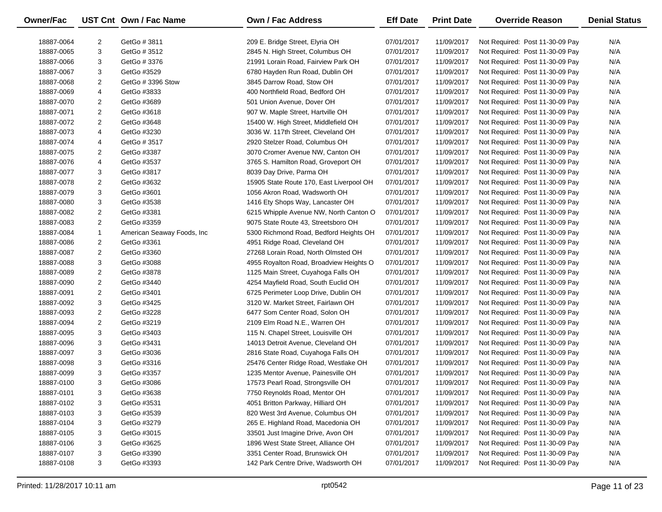| Owner/Fac  |                | UST Cnt Own / Fac Name     | <b>Own / Fac Address</b>                 | <b>Eff Date</b> | <b>Print Date</b> | <b>Override Reason</b>          | <b>Denial Status</b> |
|------------|----------------|----------------------------|------------------------------------------|-----------------|-------------------|---------------------------------|----------------------|
| 18887-0064 | 2              | GetGo # 3811               | 209 E. Bridge Street, Elyria OH          | 07/01/2017      | 11/09/2017        | Not Required: Post 11-30-09 Pay | N/A                  |
| 18887-0065 | 3              | GetGo # 3512               | 2845 N. High Street, Columbus OH         | 07/01/2017      | 11/09/2017        | Not Required: Post 11-30-09 Pay | N/A                  |
| 18887-0066 | 3              | GetGo # 3376               | 21991 Lorain Road, Fairview Park OH      | 07/01/2017      | 11/09/2017        | Not Required: Post 11-30-09 Pay | N/A                  |
| 18887-0067 | 3              | GetGo #3529                | 6780 Hayden Run Road, Dublin OH          | 07/01/2017      | 11/09/2017        | Not Required: Post 11-30-09 Pay | N/A                  |
| 18887-0068 | 2              | GetGo # 3396 Stow          | 3845 Darrow Road, Stow OH                | 07/01/2017      | 11/09/2017        | Not Required: Post 11-30-09 Pay | N/A                  |
| 18887-0069 | 4              | GetGo #3833                | 400 Northfield Road, Bedford OH          | 07/01/2017      | 11/09/2017        | Not Required: Post 11-30-09 Pay | N/A                  |
| 18887-0070 | 2              | GetGo #3689                | 501 Union Avenue, Dover OH               | 07/01/2017      | 11/09/2017        | Not Required: Post 11-30-09 Pay | N/A                  |
| 18887-0071 | 2              | GetGo #3618                | 907 W. Maple Street, Hartville OH        | 07/01/2017      | 11/09/2017        | Not Required: Post 11-30-09 Pay | N/A                  |
| 18887-0072 | 2              | GetGo #3648                | 15400 W. High Street, Middlefield OH     | 07/01/2017      | 11/09/2017        | Not Required: Post 11-30-09 Pay | N/A                  |
| 18887-0073 | 4              | GetGo #3230                | 3036 W. 117th Street, Cleveland OH       | 07/01/2017      | 11/09/2017        | Not Required: Post 11-30-09 Pay | N/A                  |
| 18887-0074 | 4              | GetGo # 3517               | 2920 Stelzer Road, Columbus OH           | 07/01/2017      | 11/09/2017        | Not Required: Post 11-30-09 Pay | N/A                  |
| 18887-0075 | 2              | GetGo #3387                | 3070 Cromer Avenue NW, Canton OH         | 07/01/2017      | 11/09/2017        | Not Required: Post 11-30-09 Pay | N/A                  |
| 18887-0076 | 4              | GetGo #3537                | 3765 S. Hamilton Road, Groveport OH      | 07/01/2017      | 11/09/2017        | Not Required: Post 11-30-09 Pay | N/A                  |
| 18887-0077 | 3              | GetGo #3817                | 8039 Day Drive, Parma OH                 | 07/01/2017      | 11/09/2017        | Not Required: Post 11-30-09 Pay | N/A                  |
| 18887-0078 | $\overline{c}$ | GetGo #3632                | 15905 State Route 170, East Liverpool OH | 07/01/2017      | 11/09/2017        | Not Required: Post 11-30-09 Pay | N/A                  |
| 18887-0079 | 3              | GetGo #3601                | 1056 Akron Road, Wadsworth OH            | 07/01/2017      | 11/09/2017        | Not Required: Post 11-30-09 Pay | N/A                  |
| 18887-0080 | 3              | GetGo #3538                | 1416 Ety Shops Way, Lancaster OH         | 07/01/2017      | 11/09/2017        | Not Required: Post 11-30-09 Pay | N/A                  |
| 18887-0082 | $\overline{2}$ | GetGo #3381                | 6215 Whipple Avenue NW, North Canton O   | 07/01/2017      | 11/09/2017        | Not Required: Post 11-30-09 Pay | N/A                  |
| 18887-0083 | 2              | GetGo #3359                | 9075 State Route 43, Streetsboro OH      | 07/01/2017      | 11/09/2017        | Not Required: Post 11-30-09 Pay | N/A                  |
| 18887-0084 | $\mathbf{1}$   | American Seaway Foods, Inc | 5300 Richmond Road, Bedford Heights OH   | 07/01/2017      | 11/09/2017        | Not Required: Post 11-30-09 Pay | N/A                  |
| 18887-0086 | $\overline{2}$ | GetGo #3361                | 4951 Ridge Road, Cleveland OH            | 07/01/2017      | 11/09/2017        | Not Required: Post 11-30-09 Pay | N/A                  |
| 18887-0087 | 2              | GetGo #3360                | 27268 Lorain Road, North Olmsted OH      | 07/01/2017      | 11/09/2017        | Not Required: Post 11-30-09 Pay | N/A                  |
| 18887-0088 | 3              | GetGo #3088                | 4955 Royalton Road, Broadview Heights O  | 07/01/2017      | 11/09/2017        | Not Required: Post 11-30-09 Pay | N/A                  |
| 18887-0089 | 2              | GetGo #3878                | 1125 Main Street, Cuyahoga Falls OH      | 07/01/2017      | 11/09/2017        | Not Required: Post 11-30-09 Pay | N/A                  |
| 18887-0090 | 2              | GetGo #3440                | 4254 Mayfield Road, South Euclid OH      | 07/01/2017      | 11/09/2017        | Not Required: Post 11-30-09 Pay | N/A                  |
| 18887-0091 | 2              | GetGo #3401                | 6725 Perimeter Loop Drive, Dublin OH     | 07/01/2017      | 11/09/2017        | Not Required: Post 11-30-09 Pay | N/A                  |
| 18887-0092 | 3              | GetGo #3425                | 3120 W. Market Street, Fairlawn OH       | 07/01/2017      | 11/09/2017        | Not Required: Post 11-30-09 Pay | N/A                  |
| 18887-0093 | 2              | GetGo #3228                | 6477 Som Center Road, Solon OH           | 07/01/2017      | 11/09/2017        | Not Required: Post 11-30-09 Pay | N/A                  |
| 18887-0094 | $\overline{2}$ | GetGo #3219                | 2109 Elm Road N.E., Warren OH            | 07/01/2017      | 11/09/2017        | Not Required: Post 11-30-09 Pay | N/A                  |
| 18887-0095 | 3              | GetGo #3403                | 115 N. Chapel Street, Louisville OH      | 07/01/2017      | 11/09/2017        | Not Required: Post 11-30-09 Pay | N/A                  |
| 18887-0096 | 3              | GetGo #3431                | 14013 Detroit Avenue, Cleveland OH       | 07/01/2017      | 11/09/2017        | Not Required: Post 11-30-09 Pay | N/A                  |
| 18887-0097 | 3              | GetGo #3036                | 2816 State Road, Cuyahoga Falls OH       | 07/01/2017      | 11/09/2017        | Not Required: Post 11-30-09 Pay | N/A                  |
| 18887-0098 | 3              | GetGo #3316                | 25476 Center Ridge Road, Westlake OH     | 07/01/2017      | 11/09/2017        | Not Required: Post 11-30-09 Pay | N/A                  |
| 18887-0099 | 3              | GetGo #3357                | 1235 Mentor Avenue, Painesville OH       | 07/01/2017      | 11/09/2017        | Not Required: Post 11-30-09 Pay | N/A                  |
| 18887-0100 | 3              | GetGo #3086                | 17573 Pearl Road, Strongsville OH        | 07/01/2017      | 11/09/2017        | Not Required: Post 11-30-09 Pay | N/A                  |
| 18887-0101 | 3              | GetGo #3638                | 7750 Reynolds Road, Mentor OH            | 07/01/2017      | 11/09/2017        | Not Required: Post 11-30-09 Pay | N/A                  |
| 18887-0102 | 3              | GetGo #3531                | 4051 Britton Parkway, Hilliard OH        | 07/01/2017      | 11/09/2017        | Not Required: Post 11-30-09 Pay | N/A                  |
| 18887-0103 | 3              | GetGo #3539                | 820 West 3rd Avenue, Columbus OH         | 07/01/2017      | 11/09/2017        | Not Required: Post 11-30-09 Pay | N/A                  |
| 18887-0104 | 3              | GetGo #3279                | 265 E. Highland Road, Macedonia OH       | 07/01/2017      | 11/09/2017        | Not Required: Post 11-30-09 Pay | N/A                  |
| 18887-0105 | 3              | GetGo #3015                | 33501 Just Imagine Drive, Avon OH        | 07/01/2017      | 11/09/2017        | Not Required: Post 11-30-09 Pay | N/A                  |
| 18887-0106 | 3              | GetGo #3625                | 1896 West State Street, Alliance OH      | 07/01/2017      | 11/09/2017        | Not Required: Post 11-30-09 Pay | N/A                  |
| 18887-0107 | 3              | GetGo #3390                | 3351 Center Road, Brunswick OH           | 07/01/2017      | 11/09/2017        | Not Required: Post 11-30-09 Pay | N/A                  |
| 18887-0108 | 3              | GetGo #3393                | 142 Park Centre Drive, Wadsworth OH      | 07/01/2017      | 11/09/2017        | Not Required: Post 11-30-09 Pay | N/A                  |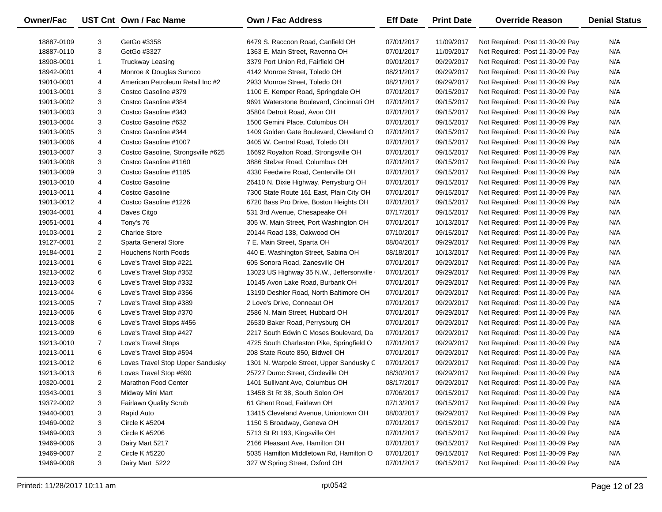| Owner/Fac  |                | UST Cnt Own / Fac Name             | <b>Own / Fac Address</b>                  | <b>Eff Date</b> | <b>Print Date</b> | <b>Override Reason</b>          | <b>Denial Status</b> |
|------------|----------------|------------------------------------|-------------------------------------------|-----------------|-------------------|---------------------------------|----------------------|
| 18887-0109 | 3              | GetGo #3358                        | 6479 S. Raccoon Road, Canfield OH         | 07/01/2017      | 11/09/2017        | Not Required: Post 11-30-09 Pay | N/A                  |
| 18887-0110 | 3              | GetGo #3327                        | 1363 E. Main Street, Ravenna OH           | 07/01/2017      | 11/09/2017        | Not Required: Post 11-30-09 Pay | N/A                  |
| 18908-0001 | $\mathbf{1}$   | <b>Truckway Leasing</b>            | 3379 Port Union Rd, Fairfield OH          | 09/01/2017      | 09/29/2017        | Not Required: Post 11-30-09 Pay | N/A                  |
| 18942-0001 | 4              | Monroe & Douglas Sunoco            | 4142 Monroe Street, Toledo OH             | 08/21/2017      | 09/29/2017        | Not Required: Post 11-30-09 Pay | N/A                  |
| 19010-0001 | 4              | American Petroleum Retail Inc #2   | 2933 Monroe Street, Toledo OH             | 08/21/2017      | 09/29/2017        | Not Required: Post 11-30-09 Pay | N/A                  |
| 19013-0001 | 3              | Costco Gasoline #379               | 1100 E. Kemper Road, Springdale OH        | 07/01/2017      | 09/15/2017        | Not Required: Post 11-30-09 Pay | N/A                  |
| 19013-0002 | 3              | Costco Gasoline #384               | 9691 Waterstone Boulevard, Cincinnati OH  | 07/01/2017      | 09/15/2017        | Not Required: Post 11-30-09 Pay | N/A                  |
| 19013-0003 | 3              | Costco Gasoline #343               | 35804 Detroit Road, Avon OH               | 07/01/2017      | 09/15/2017        | Not Required: Post 11-30-09 Pay | N/A                  |
| 19013-0004 | 3              | Costco Gasoline #632               | 1500 Gemini Place, Columbus OH            | 07/01/2017      | 09/15/2017        | Not Required: Post 11-30-09 Pay | N/A                  |
| 19013-0005 | 3              | Costco Gasoline #344               | 1409 Golden Gate Boulevard, Cleveland O   | 07/01/2017      | 09/15/2017        | Not Required: Post 11-30-09 Pay | N/A                  |
| 19013-0006 | 4              | Costco Gasoline #1007              | 3405 W. Central Road, Toledo OH           | 07/01/2017      | 09/15/2017        | Not Required: Post 11-30-09 Pay | N/A                  |
| 19013-0007 | 3              | Costco Gasoline, Strongsville #625 | 16692 Royalton Road, Strongsville OH      | 07/01/2017      | 09/15/2017        | Not Required: Post 11-30-09 Pay | N/A                  |
| 19013-0008 | 3              | Costco Gasoline #1160              | 3886 Stelzer Road, Columbus OH            | 07/01/2017      | 09/15/2017        | Not Required: Post 11-30-09 Pay | N/A                  |
| 19013-0009 | 3              | Costco Gasoline #1185              | 4330 Feedwire Road, Centerville OH        | 07/01/2017      | 09/15/2017        | Not Required: Post 11-30-09 Pay | N/A                  |
| 19013-0010 | 4              | Costco Gasoline                    | 26410 N. Dixie Highway, Perrysburg OH     | 07/01/2017      | 09/15/2017        | Not Required: Post 11-30-09 Pay | N/A                  |
| 19013-0011 | 4              | Costco Gasoline                    | 7300 State Route 161 East, Plain City OH  | 07/01/2017      | 09/15/2017        | Not Required: Post 11-30-09 Pay | N/A                  |
| 19013-0012 | 4              | Costco Gasoline #1226              | 6720 Bass Pro Drive, Boston Heights OH    | 07/01/2017      | 09/15/2017        | Not Required: Post 11-30-09 Pay | N/A                  |
| 19034-0001 | 4              | Daves Citgo                        | 531 3rd Avenue, Chesapeake OH             | 07/17/2017      | 09/15/2017        | Not Required: Post 11-30-09 Pay | N/A                  |
| 19051-0001 | 4              | Tony's 76                          | 305 W. Main Street, Port Washington OH    | 07/01/2017      | 10/13/2017        | Not Required: Post 11-30-09 Pay | N/A                  |
| 19103-0001 | $\overline{2}$ | <b>Charloe Store</b>               | 20144 Road 138, Oakwood OH                | 07/10/2017      | 09/15/2017        | Not Required: Post 11-30-09 Pay | N/A                  |
| 19127-0001 | $\overline{2}$ | Sparta General Store               | 7 E. Main Street, Sparta OH               | 08/04/2017      | 09/29/2017        | Not Required: Post 11-30-09 Pay | N/A                  |
| 19184-0001 | $\overline{2}$ | Houchens North Foods               | 440 E. Washington Street, Sabina OH       | 08/18/2017      | 10/13/2017        | Not Required: Post 11-30-09 Pay | N/A                  |
| 19213-0001 | 6              | Love's Travel Stop #221            | 605 Sonora Road, Zanesville OH            | 07/01/2017      | 09/29/2017        | Not Required: Post 11-30-09 Pay | N/A                  |
| 19213-0002 | 6              | Love's Travel Stop #352            | 13023 US Highway 35 N.W., Jeffersonville  | 07/01/2017      | 09/29/2017        | Not Required: Post 11-30-09 Pay | N/A                  |
| 19213-0003 | 6              | Love's Travel Stop #332            | 10145 Avon Lake Road, Burbank OH          | 07/01/2017      | 09/29/2017        | Not Required: Post 11-30-09 Pay | N/A                  |
| 19213-0004 | 6              | Love's Travel Stop #356            | 13190 Deshler Road, North Baltimore OH    | 07/01/2017      | 09/29/2017        | Not Required: Post 11-30-09 Pay | N/A                  |
| 19213-0005 | $\overline{7}$ | Love's Travel Stop #389            | 2 Love's Drive, Conneaut OH               | 07/01/2017      | 09/29/2017        | Not Required: Post 11-30-09 Pay | N/A                  |
| 19213-0006 | 6              | Love's Travel Stop #370            | 2586 N. Main Street, Hubbard OH           | 07/01/2017      | 09/29/2017        | Not Required: Post 11-30-09 Pay | N/A                  |
| 19213-0008 | 6              | Love's Travel Stops #456           | 26530 Baker Road, Perrysburg OH           | 07/01/2017      | 09/29/2017        | Not Required: Post 11-30-09 Pay | N/A                  |
| 19213-0009 | 6              | Love's Travel Stop #427            | 2217 South Edwin C Moses Boulevard, Da    | 07/01/2017      | 09/29/2017        | Not Required: Post 11-30-09 Pay | N/A                  |
| 19213-0010 | $\overline{7}$ | Love's Travel Stops                | 4725 South Charleston Pike, Springfield O | 07/01/2017      | 09/29/2017        | Not Required: Post 11-30-09 Pay | N/A                  |
| 19213-0011 | 6              | Love's Travel Stop #594            | 208 State Route 850, Bidwell OH           | 07/01/2017      | 09/29/2017        | Not Required: Post 11-30-09 Pay | N/A                  |
| 19213-0012 | 6              | Loves Travel Stop Upper Sandusky   | 1301 N. Warpole Street, Upper Sandusky C  | 07/01/2017      | 09/29/2017        | Not Required: Post 11-30-09 Pay | N/A                  |
| 19213-0013 | 6              | Loves Travel Stop #690             | 25727 Duroc Street, Circleville OH        | 08/30/2017      | 09/29/2017        | Not Required: Post 11-30-09 Pay | N/A                  |
| 19320-0001 | $\overline{2}$ | Marathon Food Center               | 1401 Sullivant Ave, Columbus OH           | 08/17/2017      | 09/29/2017        | Not Required: Post 11-30-09 Pay | N/A                  |
| 19343-0001 | 3              | Midway Mini Mart                   | 13458 St Rt 38, South Solon OH            | 07/06/2017      | 09/15/2017        | Not Required: Post 11-30-09 Pay | N/A                  |
| 19372-0002 | 3              | Fairlawn Quality Scrub             | 61 Ghent Road, Fairlawn OH                | 07/13/2017      | 09/15/2017        | Not Required: Post 11-30-09 Pay | N/A                  |
| 19440-0001 | 3              | Rapid Auto                         | 13415 Cleveland Avenue, Uniontown OH      | 08/03/2017      | 09/29/2017        | Not Required: Post 11-30-09 Pay | N/A                  |
| 19469-0002 | 3              | <b>Circle K #5204</b>              | 1150 S Broadway, Geneva OH                | 07/01/2017      | 09/15/2017        | Not Required: Post 11-30-09 Pay | N/A                  |
| 19469-0003 | 3              | <b>Circle K #5206</b>              | 5713 St Rt 193, Kingsville OH             | 07/01/2017      | 09/15/2017        | Not Required: Post 11-30-09 Pay | N/A                  |
| 19469-0006 | 3              | Dairy Mart 5217                    | 2166 Pleasant Ave, Hamilton OH            | 07/01/2017      | 09/15/2017        | Not Required: Post 11-30-09 Pay | N/A                  |
| 19469-0007 | 2              | <b>Circle K #5220</b>              | 5035 Hamilton Middletown Rd, Hamilton O   | 07/01/2017      | 09/15/2017        | Not Required: Post 11-30-09 Pay | N/A                  |
| 19469-0008 | 3              | Dairy Mart 5222                    | 327 W Spring Street, Oxford OH            | 07/01/2017      | 09/15/2017        | Not Required: Post 11-30-09 Pay | N/A                  |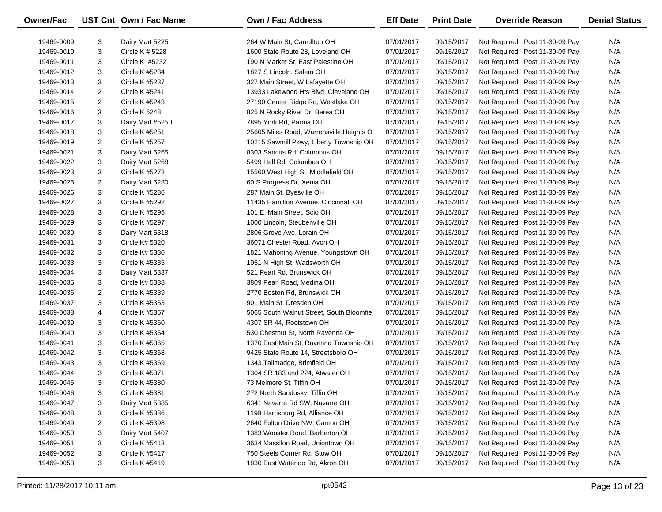| Owner/Fac  |                | UST Cnt Own / Fac Name | <b>Own / Fac Address</b>                 | <b>Eff Date</b> | <b>Print Date</b> | <b>Override Reason</b>          | <b>Denial Status</b> |
|------------|----------------|------------------------|------------------------------------------|-----------------|-------------------|---------------------------------|----------------------|
| 19469-0009 | 3              | Dairy Mart 5225        | 264 W Main St, Carrollton OH             | 07/01/2017      | 09/15/2017        | Not Required: Post 11-30-09 Pay | N/A                  |
| 19469-0010 | 3              | Circle K # 5228        | 1600 State Route 28, Loveland OH         | 07/01/2017      | 09/15/2017        | Not Required: Post 11-30-09 Pay | N/A                  |
| 19469-0011 | 3              | Circle K #5232         | 190 N Market St, East Palestine OH       | 07/01/2017      | 09/15/2017        | Not Required: Post 11-30-09 Pay | N/A                  |
| 19469-0012 | 3              | Circle K #5234         | 1827 S Lincoln, Salem OH                 | 07/01/2017      | 09/15/2017        | Not Required: Post 11-30-09 Pay | N/A                  |
| 19469-0013 | 3              | Circle K #5237         | 327 Main Street, W Lafayette OH          | 07/01/2017      | 09/15/2017        | Not Required: Post 11-30-09 Pay | N/A                  |
| 19469-0014 | 2              | Circle K #5241         | 13933 Lakewood Hts Blvd, Cleveland OH    | 07/01/2017      | 09/15/2017        | Not Required: Post 11-30-09 Pay | N/A                  |
| 19469-0015 | 2              | Circle K #5243         | 27190 Center Ridge Rd, Westlake OH       | 07/01/2017      | 09/15/2017        | Not Required: Post 11-30-09 Pay | N/A                  |
| 19469-0016 | 3              | Circle K 5248          | 825 N Rocky River Dr, Berea OH           | 07/01/2017      | 09/15/2017        | Not Required: Post 11-30-09 Pay | N/A                  |
| 19469-0017 | 3              | Dairy Mart #5250       | 7895 York Rd, Parma OH                   | 07/01/2017      | 09/15/2017        | Not Required: Post 11-30-09 Pay | N/A                  |
| 19469-0018 | 3              | Circle K #5251         | 25605 Miles Road, Warrensville Heights O | 07/01/2017      | 09/15/2017        | Not Required: Post 11-30-09 Pay | N/A                  |
| 19469-0019 | 2              | Circle K #5257         | 10215 Sawmill Pkwy, Liberty Township OH  | 07/01/2017      | 09/15/2017        | Not Required: Post 11-30-09 Pay | N/A                  |
| 19469-0021 | 3              | Dairy Mart 5265        | 8303 Sancus Rd, Columbus OH              | 07/01/2017      | 09/15/2017        | Not Required: Post 11-30-09 Pay | N/A                  |
| 19469-0022 | 3              | Dairy Mart 5268        | 5499 Hall Rd, Columbus OH                | 07/01/2017      | 09/15/2017        | Not Required: Post 11-30-09 Pay | N/A                  |
| 19469-0023 | 3              | Circle K #5278         | 15560 West High St, Middlefield OH       | 07/01/2017      | 09/15/2017        | Not Required: Post 11-30-09 Pay | N/A                  |
| 19469-0025 | 2              | Dairy Mart 5280        | 60 S Progress Dr, Xenia OH               | 07/01/2017      | 09/15/2017        | Not Required: Post 11-30-09 Pay | N/A                  |
| 19469-0026 | 3              | Circle K #5286         | 287 Main St, Byesville OH                | 07/01/2017      | 09/15/2017        | Not Required: Post 11-30-09 Pay | N/A                  |
| 19469-0027 | 3              | Circle K #5292         | 11435 Hamilton Avenue, Cincinnati OH     | 07/01/2017      | 09/15/2017        | Not Required: Post 11-30-09 Pay | N/A                  |
| 19469-0028 | 3              | Circle K #5295         | 101 E. Main Street, Scio OH              | 07/01/2017      | 09/15/2017        | Not Required: Post 11-30-09 Pay | N/A                  |
| 19469-0029 | 3              | Circle K #5297         | 1000 Lincoln, Steubenville OH            | 07/01/2017      | 09/15/2017        | Not Required: Post 11-30-09 Pay | N/A                  |
| 19469-0030 | 3              | Dairy Mart 5318        | 2806 Grove Ave, Lorain OH                | 07/01/2017      | 09/15/2017        | Not Required: Post 11-30-09 Pay | N/A                  |
| 19469-0031 | 3              | Circle K# 5320         | 36071 Chester Road, Avon OH              | 07/01/2017      | 09/15/2017        | Not Required: Post 11-30-09 Pay | N/A                  |
| 19469-0032 | 3              | Circle K# 5330         | 1821 Mahoning Avenue, Youngstown OH      | 07/01/2017      | 09/15/2017        | Not Required: Post 11-30-09 Pay | N/A                  |
| 19469-0033 | 3              | Circle K #5335         | 1051 N High St, Wadsworth OH             | 07/01/2017      | 09/15/2017        | Not Required: Post 11-30-09 Pay | N/A                  |
| 19469-0034 | 3              | Dairy Mart 5337        | 521 Pearl Rd, Brunswick OH               | 07/01/2017      | 09/15/2017        | Not Required: Post 11-30-09 Pay | N/A                  |
| 19469-0035 | 3              | Circle K# 5338         | 3809 Pearl Road, Medina OH               | 07/01/2017      | 09/15/2017        | Not Required: Post 11-30-09 Pay | N/A                  |
| 19469-0036 | $\overline{2}$ | Circle K #5339         | 2770 Boston Rd, Brunswick OH             | 07/01/2017      | 09/15/2017        | Not Required: Post 11-30-09 Pay | N/A                  |
| 19469-0037 | 3              | Circle K #5353         | 901 Main St, Dresden OH                  | 07/01/2017      | 09/15/2017        | Not Required: Post 11-30-09 Pay | N/A                  |
| 19469-0038 | 4              | Circle K #5357         | 5065 South Walnut Street, South Bloomfie | 07/01/2017      | 09/15/2017        | Not Required: Post 11-30-09 Pay | N/A                  |
| 19469-0039 | 3              | Circle K #5360         | 4307 SR 44, Rootstown OH                 | 07/01/2017      | 09/15/2017        | Not Required: Post 11-30-09 Pay | N/A                  |
| 19469-0040 | 3              | Circle K #5364         | 530 Chestnut St, North Ravenna OH        | 07/01/2017      | 09/15/2017        | Not Required: Post 11-30-09 Pay | N/A                  |
| 19469-0041 | 3              | Circle K #5365         | 1370 East Main St, Ravenna Township OH   | 07/01/2017      | 09/15/2017        | Not Required: Post 11-30-09 Pay | N/A                  |
| 19469-0042 | 3              | Circle K #5368         | 9425 State Route 14, Streetsboro OH      | 07/01/2017      | 09/15/2017        | Not Required: Post 11-30-09 Pay | N/A                  |
| 19469-0043 | 3              | Circle K #5369         | 1343 Tallmadge, Brimfield OH             | 07/01/2017      | 09/15/2017        | Not Required: Post 11-30-09 Pay | N/A                  |
| 19469-0044 | 3              | Circle K #5371         | 1304 SR 183 and 224, Atwater OH          | 07/01/2017      | 09/15/2017        | Not Required: Post 11-30-09 Pay | N/A                  |
| 19469-0045 | 3              | Circle K #5380         | 73 Melmore St, Tiffin OH                 | 07/01/2017      | 09/15/2017        | Not Required: Post 11-30-09 Pay | N/A                  |
| 19469-0046 | 3              | Circle K #5381         | 272 North Sandusky, Tiffin OH            | 07/01/2017      | 09/15/2017        | Not Required: Post 11-30-09 Pay | N/A                  |
| 19469-0047 | 3              | Dairy Mart 5385        | 6341 Navarre Rd SW, Navarre OH           | 07/01/2017      | 09/15/2017        | Not Required: Post 11-30-09 Pay | N/A                  |
| 19469-0048 | 3              | Circle K #5386         | 1198 Harrisburg Rd, Alliance OH          | 07/01/2017      | 09/15/2017        | Not Required: Post 11-30-09 Pay | N/A                  |
| 19469-0049 | 2              | Circle K #5398         | 2640 Fulton Drive NW, Canton OH          | 07/01/2017      | 09/15/2017        | Not Required: Post 11-30-09 Pay | N/A                  |
| 19469-0050 | 3              | Dairy Mart 5407        | 1383 Wooster Road, Barberton OH          | 07/01/2017      | 09/15/2017        | Not Required: Post 11-30-09 Pay | N/A                  |
| 19469-0051 | 3              | Circle K #5413         | 3634 Massilon Road, Uniontown OH         | 07/01/2017      | 09/15/2017        | Not Required: Post 11-30-09 Pay | N/A                  |
| 19469-0052 | 3              | Circle K #5417         | 750 Steels Corner Rd, Stow OH            | 07/01/2017      | 09/15/2017        | Not Required: Post 11-30-09 Pay | N/A                  |
| 19469-0053 | 3              | Circle K #5419         | 1830 East Waterloo Rd, Akron OH          | 07/01/2017      | 09/15/2017        | Not Required: Post 11-30-09 Pay | N/A                  |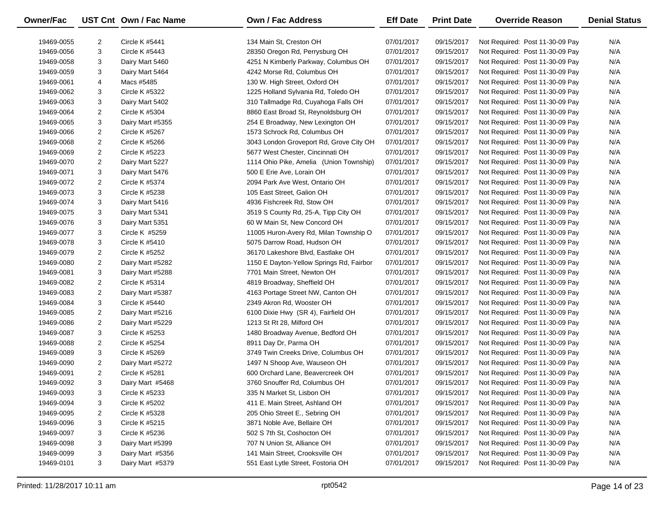| Owner/Fac                |                | UST Cnt Own / Fac Name            | <b>Own / Fac Address</b>                                    | <b>Eff Date</b>          | <b>Print Date</b>        | <b>Override Reason</b>                                             | <b>Denial Status</b> |
|--------------------------|----------------|-----------------------------------|-------------------------------------------------------------|--------------------------|--------------------------|--------------------------------------------------------------------|----------------------|
| 19469-0055               | $\overline{2}$ | Circle K #5441                    | 134 Main St, Creston OH                                     | 07/01/2017               | 09/15/2017               | Not Required: Post 11-30-09 Pay                                    | N/A                  |
| 19469-0056               | 3              | <b>Circle K #5443</b>             | 28350 Oregon Rd, Perrysburg OH                              | 07/01/2017               | 09/15/2017               | Not Required: Post 11-30-09 Pay                                    | N/A                  |
| 19469-0058               | 3              | Dairy Mart 5460                   | 4251 N Kimberly Parkway, Columbus OH                        | 07/01/2017               | 09/15/2017               | Not Required: Post 11-30-09 Pay                                    | N/A                  |
| 19469-0059               | 3              | Dairy Mart 5464                   | 4242 Morse Rd, Columbus OH                                  | 07/01/2017               | 09/15/2017               | Not Required: Post 11-30-09 Pay                                    | N/A                  |
| 19469-0061               | 4              | Macs #5485                        | 130 W. High Street, Oxford OH                               | 07/01/2017               | 09/15/2017               | Not Required: Post 11-30-09 Pay                                    | N/A                  |
| 19469-0062               | 3              | Circle K #5322                    | 1225 Holland Sylvania Rd, Toledo OH                         | 07/01/2017               | 09/15/2017               | Not Required: Post 11-30-09 Pay                                    | N/A                  |
| 19469-0063               | 3              | Dairy Mart 5402                   | 310 Tallmadge Rd, Cuyahoga Falls OH                         | 07/01/2017               | 09/15/2017               | Not Required: Post 11-30-09 Pay                                    | N/A                  |
| 19469-0064               | $\overline{2}$ | Circle K #5304                    | 8860 East Broad St, Reynoldsburg OH                         | 07/01/2017               | 09/15/2017               | Not Required: Post 11-30-09 Pay                                    | N/A                  |
| 19469-0065               | 3              | Dairy Mart #5355                  | 254 E Broadway, New Lexington OH                            | 07/01/2017               | 09/15/2017               | Not Required: Post 11-30-09 Pay                                    | N/A                  |
| 19469-0066               | $\overline{2}$ | Circle K #5267                    | 1573 Schrock Rd, Columbus OH                                | 07/01/2017               | 09/15/2017               | Not Required: Post 11-30-09 Pay                                    | N/A                  |
| 19469-0068               | $\overline{2}$ | Circle K #5266                    | 3043 London Groveport Rd, Grove City OH                     | 07/01/2017               | 09/15/2017               | Not Required: Post 11-30-09 Pay                                    | N/A                  |
| 19469-0069               | $\overline{2}$ | Circle K #5223                    | 5677 West Chester, Cincinnati OH                            | 07/01/2017               | 09/15/2017               | Not Required: Post 11-30-09 Pay                                    | N/A                  |
|                          | $\overline{2}$ |                                   |                                                             |                          |                          |                                                                    | N/A                  |
| 19469-0070               | 3              | Dairy Mart 5227                   | 1114 Ohio Pike, Amelia (Union Township)                     | 07/01/2017               | 09/15/2017               | Not Required: Post 11-30-09 Pay                                    | N/A                  |
| 19469-0071               | $\overline{2}$ | Dairy Mart 5476<br>Circle K #5374 | 500 E Erie Ave, Lorain OH<br>2094 Park Ave West, Ontario OH | 07/01/2017<br>07/01/2017 | 09/15/2017               | Not Required: Post 11-30-09 Pay                                    | N/A                  |
| 19469-0072<br>19469-0073 | 3              | Circle K #5238                    | 105 East Street, Galion OH                                  | 07/01/2017               | 09/15/2017<br>09/15/2017 | Not Required: Post 11-30-09 Pay<br>Not Required: Post 11-30-09 Pay | N/A                  |
| 19469-0074               | 3              | Dairy Mart 5416                   | 4936 Fishcreek Rd, Stow OH                                  | 07/01/2017               | 09/15/2017               | Not Required: Post 11-30-09 Pay                                    | N/A                  |
| 19469-0075               | 3              | Dairy Mart 5341                   | 3519 S County Rd, 25-A, Tipp City OH                        | 07/01/2017               | 09/15/2017               | Not Required: Post 11-30-09 Pay                                    | N/A                  |
| 19469-0076               | 3              | Dairy Mart 5351                   | 60 W Main St, New Concord OH                                | 07/01/2017               | 09/15/2017               | Not Required: Post 11-30-09 Pay                                    | N/A                  |
| 19469-0077               | 3              | Circle K #5259                    | 11005 Huron-Avery Rd, Milan Township O                      | 07/01/2017               | 09/15/2017               | Not Required: Post 11-30-09 Pay                                    | N/A                  |
| 19469-0078               | 3              | Circle K #5410                    | 5075 Darrow Road, Hudson OH                                 | 07/01/2017               | 09/15/2017               | Not Required: Post 11-30-09 Pay                                    | N/A                  |
| 19469-0079               | $\overline{2}$ | Circle K #5252                    | 36170 Lakeshore Blvd, Eastlake OH                           | 07/01/2017               | 09/15/2017               | Not Required: Post 11-30-09 Pay                                    | N/A                  |
| 19469-0080               | $\overline{2}$ | Dairy Mart #5282                  | 1150 E Dayton-Yellow Springs Rd, Fairbor                    | 07/01/2017               | 09/15/2017               | Not Required: Post 11-30-09 Pay                                    | N/A                  |
| 19469-0081               | 3              | Dairy Mart #5288                  | 7701 Main Street, Newton OH                                 | 07/01/2017               | 09/15/2017               | Not Required: Post 11-30-09 Pay                                    | N/A                  |
| 19469-0082               | $\overline{2}$ | Circle K #5314                    | 4819 Broadway, Sheffield OH                                 | 07/01/2017               | 09/15/2017               | Not Required: Post 11-30-09 Pay                                    | N/A                  |
| 19469-0083               | $\overline{2}$ | Dairy Mart #5387                  | 4163 Portage Street NW, Canton OH                           | 07/01/2017               | 09/15/2017               | Not Required: Post 11-30-09 Pay                                    | N/A                  |
| 19469-0084               | 3              | Circle K #5440                    | 2349 Akron Rd, Wooster OH                                   | 07/01/2017               | 09/15/2017               | Not Required: Post 11-30-09 Pay                                    | N/A                  |
| 19469-0085               | $\overline{2}$ | Dairy Mart #5216                  | 6100 Dixie Hwy (SR 4), Fairfield OH                         | 07/01/2017               | 09/15/2017               | Not Required: Post 11-30-09 Pay                                    | N/A                  |
| 19469-0086               | $\overline{2}$ | Dairy Mart #5229                  | 1213 St Rt 28, Milford OH                                   | 07/01/2017               | 09/15/2017               | Not Required: Post 11-30-09 Pay                                    | N/A                  |
| 19469-0087               | 3              | Circle K #5253                    | 1480 Broadway Avenue, Bedford OH                            | 07/01/2017               | 09/15/2017               | Not Required: Post 11-30-09 Pay                                    | N/A                  |
| 19469-0088               | $\overline{2}$ | <b>Circle K #5254</b>             | 8911 Day Dr, Parma OH                                       | 07/01/2017               | 09/15/2017               | Not Required: Post 11-30-09 Pay                                    | N/A                  |
| 19469-0089               | 3              | Circle K #5269                    | 3749 Twin Creeks Drive, Columbus OH                         | 07/01/2017               | 09/15/2017               | Not Required: Post 11-30-09 Pay                                    | N/A                  |
| 19469-0090               | $\overline{2}$ | Dairy Mart #5272                  | 1497 N Shoop Ave, Wauseon OH                                | 07/01/2017               | 09/15/2017               | Not Required: Post 11-30-09 Pay                                    | N/A                  |
| 19469-0091               | $\overline{2}$ | Circle K #5281                    | 600 Orchard Lane, Beavercreek OH                            | 07/01/2017               | 09/15/2017               | Not Required: Post 11-30-09 Pay                                    | N/A                  |
| 19469-0092               | 3              | Dairy Mart #5468                  | 3760 Snouffer Rd, Columbus OH                               | 07/01/2017               | 09/15/2017               | Not Required: Post 11-30-09 Pay                                    | N/A                  |
| 19469-0093               | 3              | Circle K #5233                    | 335 N Market St, Lisbon OH                                  | 07/01/2017               | 09/15/2017               | Not Required: Post 11-30-09 Pay                                    | N/A                  |
| 19469-0094               | 3              | Circle K #5202                    | 411 E. Main Street, Ashland OH                              | 07/01/2017               | 09/15/2017               | Not Required: Post 11-30-09 Pay                                    | N/A                  |
| 19469-0095               | 2              | Circle K #5328                    | 205 Ohio Street E., Sebring OH                              | 07/01/2017               | 09/15/2017               | Not Required: Post 11-30-09 Pay                                    | N/A                  |
| 19469-0096               | 3              | Circle K #5215                    | 3871 Noble Ave, Bellaire OH                                 | 07/01/2017               | 09/15/2017               | Not Required: Post 11-30-09 Pay                                    | N/A                  |
| 19469-0097               | 3              | Circle K #5236                    | 502 S 7th St, Coshocton OH                                  | 07/01/2017               | 09/15/2017               | Not Required: Post 11-30-09 Pay                                    | N/A                  |
| 19469-0098               | 3              | Dairy Mart #5399                  | 707 N Union St, Alliance OH                                 | 07/01/2017               | 09/15/2017               | Not Required: Post 11-30-09 Pay                                    | N/A                  |
| 19469-0099               | 3              | Dairy Mart #5356                  | 141 Main Street, Crooksville OH                             | 07/01/2017               | 09/15/2017               | Not Required: Post 11-30-09 Pay                                    | N/A                  |
| 19469-0101               | 3              | Dairy Mart #5379                  | 551 East Lytle Street, Fostoria OH                          | 07/01/2017               | 09/15/2017               | Not Required: Post 11-30-09 Pay                                    | N/A                  |
|                          |                |                                   |                                                             |                          |                          |                                                                    |                      |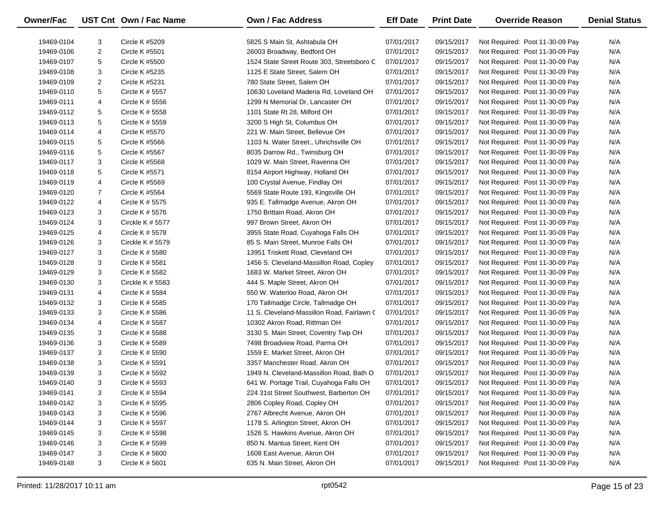| Owner/Fac  |                | UST Cnt Own / Fac Name | <b>Own / Fac Address</b>                   | <b>Eff Date</b> | <b>Print Date</b> | <b>Override Reason</b>          | <b>Denial Status</b> |
|------------|----------------|------------------------|--------------------------------------------|-----------------|-------------------|---------------------------------|----------------------|
| 19469-0104 | 3              | Circle K #5209         | 5825 S Main St, Ashtabula OH               | 07/01/2017      | 09/15/2017        | Not Required: Post 11-30-09 Pay | N/A                  |
| 19469-0106 | $\overline{2}$ | <b>Circle K #5501</b>  | 26003 Broadway, Bedford OH                 | 07/01/2017      | 09/15/2017        | Not Required: Post 11-30-09 Pay | N/A                  |
| 19469-0107 | 5              | Circle K #5500         | 1524 State Street Route 303, Streetsboro C | 07/01/2017      | 09/15/2017        | Not Required: Post 11-30-09 Pay | N/A                  |
| 19469-0108 | 3              | Circle K #5235         | 1125 E State Street, Salem OH              | 07/01/2017      | 09/15/2017        | Not Required: Post 11-30-09 Pay | N/A                  |
| 19469-0109 | $\overline{2}$ | Circle K #5231         | 780 State Street, Salem OH                 | 07/01/2017      | 09/15/2017        | Not Required: Post 11-30-09 Pay | N/A                  |
| 19469-0110 | 5              | Circle K # 5557        | 10630 Loveland Maderia Rd, Loveland OH     | 07/01/2017      | 09/15/2017        | Not Required: Post 11-30-09 Pay | N/A                  |
| 19469-0111 | 4              | Circle K # 5556        | 1299 N Memorial Dr, Lancaster OH           | 07/01/2017      | 09/15/2017        | Not Required: Post 11-30-09 Pay | N/A                  |
| 19469-0112 | 5              | Circle K # 5558        | 1101 State Rt 28, Milford OH               | 07/01/2017      | 09/15/2017        | Not Required: Post 11-30-09 Pay | N/A                  |
| 19469-0113 | 5              | Circle K # 5559        | 3200 S High St, Columbus OH                | 07/01/2017      | 09/15/2017        | Not Required: Post 11-30-09 Pay | N/A                  |
| 19469-0114 | 4              | Circle K #5570         | 221 W. Main Street, Bellevue OH            | 07/01/2017      | 09/15/2017        | Not Required: Post 11-30-09 Pay | N/A                  |
| 19469-0115 | 5              | Circle K #5566         | 1103 N. Water Street., Uhrichsville OH     | 07/01/2017      | 09/15/2017        | Not Required: Post 11-30-09 Pay | N/A                  |
| 19469-0116 | 5              | Circle K #5567         | 8035 Darrow Rd., Twinsburg OH              | 07/01/2017      | 09/15/2017        | Not Required: Post 11-30-09 Pay | N/A                  |
| 19469-0117 | 3              | Circle K #5568         | 1029 W. Main Street, Ravenna OH            | 07/01/2017      | 09/15/2017        | Not Required: Post 11-30-09 Pay | N/A                  |
| 19469-0118 | 5              | Circle K #5571         | 8154 Airport Highway, Holland OH           | 07/01/2017      | 09/15/2017        | Not Required: Post 11-30-09 Pay | N/A                  |
| 19469-0119 | 4              | Circle K #5569         | 100 Crystal Avenue, Findlay OH             | 07/01/2017      | 09/15/2017        | Not Required: Post 11-30-09 Pay | N/A                  |
| 19469-0120 | $\overline{7}$ | Circle K #5564         | 5569 State Route 193, Kingsville OH        | 07/01/2017      | 09/15/2017        | Not Required: Post 11-30-09 Pay | N/A                  |
| 19469-0122 | 4              | Circle K # 5575        | 935 E. Tallmadge Avenue, Akron OH          | 07/01/2017      | 09/15/2017        | Not Required: Post 11-30-09 Pay | N/A                  |
| 19469-0123 | 3              | Circle K # 5576        | 1750 Brittain Road, Akron OH               | 07/01/2017      | 09/15/2017        | Not Required: Post 11-30-09 Pay | N/A                  |
| 19469-0124 | 3              | Circkle K $#$ 5577     | 997 Brown Street, Akron OH                 | 07/01/2017      | 09/15/2017        | Not Required: Post 11-30-09 Pay | N/A                  |
| 19469-0125 | 4              | Circle K # 5578        | 3955 State Road, Cuyahoga Falls OH         | 07/01/2017      | 09/15/2017        | Not Required: Post 11-30-09 Pay | N/A                  |
| 19469-0126 | 3              | Circkle K # 5579       | 85 S. Main Street, Munroe Falls OH         | 07/01/2017      | 09/15/2017        | Not Required: Post 11-30-09 Pay | N/A                  |
| 19469-0127 | 3              | Circle K # 5580        | 13951 Triskett Road, Cleveland OH          | 07/01/2017      | 09/15/2017        | Not Required: Post 11-30-09 Pay | N/A                  |
| 19469-0128 | 3              | Circle K # 5581        | 1456 S. Cleveland-Massillon Road, Copley   | 07/01/2017      | 09/15/2017        | Not Required: Post 11-30-09 Pay | N/A                  |
| 19469-0129 | 3              | Circle K # 5582        | 1683 W. Market Street, Akron OH            | 07/01/2017      | 09/15/2017        | Not Required: Post 11-30-09 Pay | N/A                  |
| 19469-0130 | 3              | Circkle K $# 5583$     | 444 S. Maple Street, Akron OH              | 07/01/2017      | 09/15/2017        | Not Required: Post 11-30-09 Pay | N/A                  |
| 19469-0131 | 4              | Circle K # 5584        | 550 W. Waterloo Road, Akron OH             | 07/01/2017      | 09/15/2017        | Not Required: Post 11-30-09 Pay | N/A                  |
| 19469-0132 | 3              | Circle K # 5585        | 170 Tallmadge Circle, Tallmadge OH         | 07/01/2017      | 09/15/2017        | Not Required: Post 11-30-09 Pay | N/A                  |
| 19469-0133 | 3              | Circle K # 5586        | 11 S. Cleveland-Massillon Road, Fairlawn ( | 07/01/2017      | 09/15/2017        | Not Required: Post 11-30-09 Pay | N/A                  |
| 19469-0134 | 4              | Circle K # 5587        | 10302 Akron Road, Rittman OH               | 07/01/2017      | 09/15/2017        | Not Required: Post 11-30-09 Pay | N/A                  |
| 19469-0135 | 3              | Circle K # 5588        | 3130 S. Main Street, Coventry Twp OH       | 07/01/2017      | 09/15/2017        | Not Required: Post 11-30-09 Pay | N/A                  |
| 19469-0136 | 3              | Circle K # 5589        | 7498 Broadview Road, Parma OH              | 07/01/2017      | 09/15/2017        | Not Required: Post 11-30-09 Pay | N/A                  |
| 19469-0137 | 3              | Circle K # 5590        | 1559 E. Market Street, Akron OH            | 07/01/2017      | 09/15/2017        | Not Required: Post 11-30-09 Pay | N/A                  |
| 19469-0138 | 3              | Circle K # 5591        | 3357 Manchester Road, Akron OH             | 07/01/2017      | 09/15/2017        | Not Required: Post 11-30-09 Pay | N/A                  |
| 19469-0139 | 3              | Circle K # 5592        | 1949 N. Cleveland-Massillon Road, Bath O   | 07/01/2017      | 09/15/2017        | Not Required: Post 11-30-09 Pay | N/A                  |
| 19469-0140 | 3              | Circle K # 5593        | 641 W. Portage Trail, Cuyahoga Falls OH    | 07/01/2017      | 09/15/2017        | Not Required: Post 11-30-09 Pay | N/A                  |
| 19469-0141 | 3              | Circle K $# 5594$      | 224 31st Street Southwest, Barberton OH    | 07/01/2017      | 09/15/2017        | Not Required: Post 11-30-09 Pay | N/A                  |
| 19469-0142 | 3              | Circle K # 5595        | 2806 Copley Road, Copley OH                | 07/01/2017      | 09/15/2017        | Not Required: Post 11-30-09 Pay | N/A                  |
| 19469-0143 | 3              | Circle K # 5596        | 2767 Albrecht Avenue, Akron OH             | 07/01/2017      | 09/15/2017        | Not Required: Post 11-30-09 Pay | N/A                  |
| 19469-0144 | 3              | Circle K # 5597        | 1178 S. Arlington Street, Akron OH         | 07/01/2017      | 09/15/2017        | Not Required: Post 11-30-09 Pay | N/A                  |
| 19469-0145 | 3              | Circle K # 5598        | 1526 S. Hawkins Avenue, Akron OH           | 07/01/2017      | 09/15/2017        | Not Required: Post 11-30-09 Pay | N/A                  |
| 19469-0146 | 3              | Circle K # 5599        | 850 N. Mantua Street, Kent OH              | 07/01/2017      | 09/15/2017        | Not Required: Post 11-30-09 Pay | N/A                  |
| 19469-0147 | 3              | Circle K # 5600        | 1608 East Avenue, Akron OH                 | 07/01/2017      | 09/15/2017        | Not Required: Post 11-30-09 Pay | N/A                  |
| 19469-0148 | 3              | Circle K # 5601        | 635 N. Main Street, Akron OH               | 07/01/2017      | 09/15/2017        | Not Required: Post 11-30-09 Pay | N/A                  |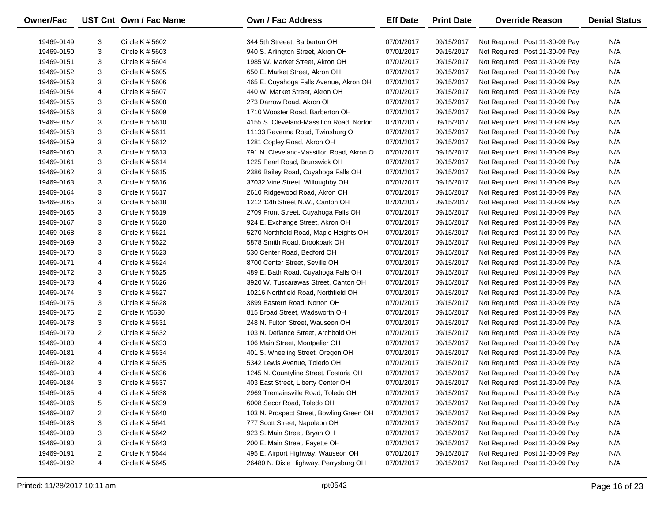| Owner/Fac                |                | UST Cnt Own / Fac Name             | Own / Fac Address                                                        | <b>Eff Date</b>          | <b>Print Date</b>        | <b>Override Reason</b>                                             | <b>Denial Status</b> |
|--------------------------|----------------|------------------------------------|--------------------------------------------------------------------------|--------------------------|--------------------------|--------------------------------------------------------------------|----------------------|
| 19469-0149               | 3              | Circle K $# 5602$                  | 344 5th Streeet, Barberton OH                                            | 07/01/2017               | 09/15/2017               |                                                                    | N/A                  |
| 19469-0150               | 3              | Circle K # 5603                    | 940 S. Arlington Street, Akron OH                                        | 07/01/2017               | 09/15/2017               | Not Required: Post 11-30-09 Pay<br>Not Required: Post 11-30-09 Pay | N/A                  |
| 19469-0151               | 3              | Circle K # 5604                    | 1985 W. Market Street, Akron OH                                          | 07/01/2017               | 09/15/2017               | Not Required: Post 11-30-09 Pay                                    | N/A                  |
|                          | 3              |                                    | 650 E. Market Street, Akron OH                                           |                          |                          |                                                                    | N/A                  |
| 19469-0152               | 3              | Circle K # 5605<br>Circle K # 5606 |                                                                          | 07/01/2017               | 09/15/2017               | Not Required: Post 11-30-09 Pay                                    | N/A                  |
| 19469-0153               |                | Circle K # 5607                    | 465 E. Cuyahoga Falls Avenue, Akron OH<br>440 W. Market Street, Akron OH | 07/01/2017               | 09/15/2017               | Not Required: Post 11-30-09 Pay                                    | N/A                  |
| 19469-0154               | 4<br>3         |                                    | 273 Darrow Road, Akron OH                                                | 07/01/2017               | 09/15/2017               | Not Required: Post 11-30-09 Pay                                    | N/A                  |
| 19469-0155<br>19469-0156 | 3              | Circle K # 5608<br>Circle K # 5609 | 1710 Wooster Road, Barberton OH                                          | 07/01/2017<br>07/01/2017 | 09/15/2017<br>09/15/2017 | Not Required: Post 11-30-09 Pay<br>Not Required: Post 11-30-09 Pay | N/A                  |
|                          | 3              |                                    | 4155 S. Cleveland-Massillon Road, Norton                                 |                          |                          |                                                                    | N/A                  |
| 19469-0157               |                | Circle K # 5610                    |                                                                          | 07/01/2017               | 09/15/2017               | Not Required: Post 11-30-09 Pay                                    |                      |
| 19469-0158               | 3              | Circle K # 5611                    | 11133 Ravenna Road, Twinsburg OH                                         | 07/01/2017               | 09/15/2017               | Not Required: Post 11-30-09 Pay                                    | N/A                  |
| 19469-0159               | 3              | Circle K # 5612                    | 1281 Copley Road, Akron OH                                               | 07/01/2017               | 09/15/2017               | Not Required: Post 11-30-09 Pay                                    | N/A                  |
| 19469-0160               | 3              | Circle K # 5613                    | 791 N. Cleveland-Massillon Road, Akron O                                 | 07/01/2017               | 09/15/2017               | Not Required: Post 11-30-09 Pay                                    | N/A                  |
| 19469-0161               | 3              | Circle K # 5614                    | 1225 Pearl Road, Brunswick OH                                            | 07/01/2017               | 09/15/2017               | Not Required: Post 11-30-09 Pay                                    | N/A                  |
| 19469-0162               | 3              | Circle K # 5615                    | 2386 Bailey Road, Cuyahoga Falls OH                                      | 07/01/2017               | 09/15/2017               | Not Required: Post 11-30-09 Pay                                    | N/A                  |
| 19469-0163               | 3              | Circle K # 5616                    | 37032 Vine Street, Willoughby OH                                         | 07/01/2017               | 09/15/2017               | Not Required: Post 11-30-09 Pay                                    | N/A                  |
| 19469-0164               | 3              | Circle K # 5617                    | 2610 Ridgewood Road, Akron OH                                            | 07/01/2017               | 09/15/2017               | Not Required: Post 11-30-09 Pay                                    | N/A                  |
| 19469-0165               | 3              | Circle K # 5618                    | 1212 12th Street N.W., Canton OH                                         | 07/01/2017               | 09/15/2017               | Not Required: Post 11-30-09 Pay                                    | N/A                  |
| 19469-0166               | 3              | Circle K # 5619                    | 2709 Front Street, Cuyahoga Falls OH                                     | 07/01/2017               | 09/15/2017               | Not Required: Post 11-30-09 Pay                                    | N/A                  |
| 19469-0167               | 3              | Circle K # 5620                    | 924 E. Exchange Street, Akron OH                                         | 07/01/2017               | 09/15/2017               | Not Required: Post 11-30-09 Pay                                    | N/A                  |
| 19469-0168               | 3              | Circle K # 5621                    | 5270 Northfield Road, Maple Heights OH                                   | 07/01/2017               | 09/15/2017               | Not Required: Post 11-30-09 Pay                                    | N/A                  |
| 19469-0169               | 3              | Circle K # 5622                    | 5878 Smith Road, Brookpark OH                                            | 07/01/2017               | 09/15/2017               | Not Required: Post 11-30-09 Pay                                    | N/A                  |
| 19469-0170               | 3              | Circle K # 5623                    | 530 Center Road, Bedford OH                                              | 07/01/2017               | 09/15/2017               | Not Required: Post 11-30-09 Pay                                    | N/A                  |
| 19469-0171               | 4              | Circle K # 5624                    | 8700 Center Street, Seville OH                                           | 07/01/2017               | 09/15/2017               | Not Required: Post 11-30-09 Pay                                    | N/A                  |
| 19469-0172               | 3              | Circle K # 5625                    | 489 E. Bath Road, Cuyahoga Falls OH                                      | 07/01/2017               | 09/15/2017               | Not Required: Post 11-30-09 Pay                                    | N/A                  |
| 19469-0173               | 4              | Circle K # 5626                    | 3920 W. Tuscarawas Street, Canton OH                                     | 07/01/2017               | 09/15/2017               | Not Required: Post 11-30-09 Pay                                    | N/A                  |
| 19469-0174               | 3              | Circle K # 5627                    | 10216 Northfield Road, Northfield OH                                     | 07/01/2017               | 09/15/2017               | Not Required: Post 11-30-09 Pay                                    | N/A                  |
| 19469-0175               | 3              | Circle K # 5628                    | 3899 Eastern Road, Norton OH                                             | 07/01/2017               | 09/15/2017               | Not Required: Post 11-30-09 Pay                                    | N/A                  |
| 19469-0176               | $\overline{2}$ | Circle K #5630                     | 815 Broad Street, Wadsworth OH                                           | 07/01/2017               | 09/15/2017               | Not Required: Post 11-30-09 Pay                                    | N/A                  |
| 19469-0178               | 3              | Circle K # 5631                    | 248 N. Fulton Street, Wauseon OH                                         | 07/01/2017               | 09/15/2017               | Not Required: Post 11-30-09 Pay                                    | N/A                  |
| 19469-0179               | $\overline{2}$ | Circle K # 5632                    | 103 N. Defiance Street, Archbold OH                                      | 07/01/2017               | 09/15/2017               | Not Required: Post 11-30-09 Pay                                    | N/A                  |
| 19469-0180               | 4              | Circle K # 5633                    | 106 Main Street, Montpelier OH                                           | 07/01/2017               | 09/15/2017               | Not Required: Post 11-30-09 Pay                                    | N/A                  |
| 19469-0181               | 4              | Circle K # 5634                    | 401 S. Wheeling Street, Oregon OH                                        | 07/01/2017               | 09/15/2017               | Not Required: Post 11-30-09 Pay                                    | N/A                  |
| 19469-0182               | 4              | Circle K # 5635                    | 5342 Lewis Avenue, Toledo OH                                             | 07/01/2017               | 09/15/2017               | Not Required: Post 11-30-09 Pay                                    | N/A                  |
| 19469-0183               | 4              | Circle K # 5636                    | 1245 N. Countyline Street, Fostoria OH                                   | 07/01/2017               | 09/15/2017               | Not Required: Post 11-30-09 Pay                                    | N/A                  |
| 19469-0184               | 3              | Circle K # 5637                    | 403 East Street, Liberty Center OH                                       | 07/01/2017               | 09/15/2017               | Not Required: Post 11-30-09 Pay                                    | N/A                  |
| 19469-0185               | 4              | Circle K # 5638                    | 2969 Tremainsville Road, Toledo OH                                       | 07/01/2017               | 09/15/2017               | Not Required: Post 11-30-09 Pay                                    | N/A                  |
| 19469-0186               | 5              | Circle K # 5639                    | 6008 Secor Road, Toledo OH                                               | 07/01/2017               | 09/15/2017               | Not Required: Post 11-30-09 Pay                                    | N/A                  |
| 19469-0187               | 2              | Circle K # 5640                    | 103 N. Prospect Street, Bowling Green OH                                 | 07/01/2017               | 09/15/2017               | Not Required: Post 11-30-09 Pay                                    | N/A                  |
| 19469-0188               | 3              | Circle K # 5641                    | 777 Scott Street, Napoleon OH                                            | 07/01/2017               | 09/15/2017               | Not Required: Post 11-30-09 Pay                                    | N/A                  |
| 19469-0189               | 3              | Circle K # 5642                    | 923 S. Main Street, Bryan OH                                             | 07/01/2017               | 09/15/2017               | Not Required: Post 11-30-09 Pay                                    | N/A                  |
| 19469-0190               | 3              | Circle K # 5643                    | 200 E. Main Street, Fayette OH                                           | 07/01/2017               | 09/15/2017               | Not Required: Post 11-30-09 Pay                                    | N/A                  |
| 19469-0191               | $\overline{2}$ | Circle K # 5644                    | 495 E. Airport Highway, Wauseon OH                                       | 07/01/2017               | 09/15/2017               | Not Required: Post 11-30-09 Pay                                    | N/A                  |
| 19469-0192               | 4              | Circle K # 5645                    | 26480 N. Dixie Highway, Perrysburg OH                                    | 07/01/2017               | 09/15/2017               | Not Required: Post 11-30-09 Pay                                    | N/A                  |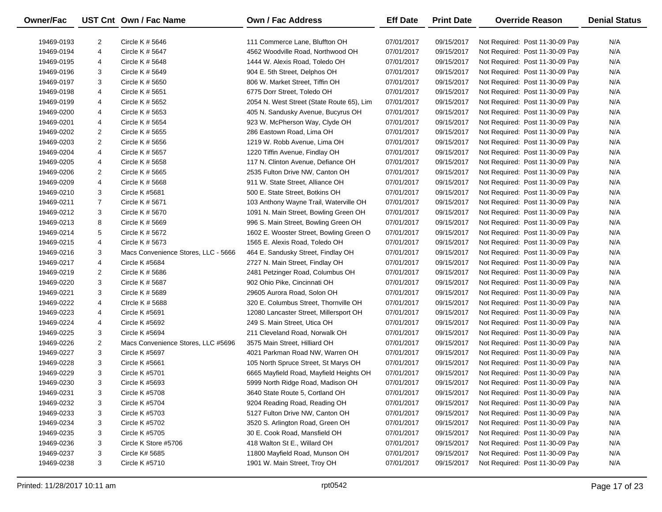| Owner/Fac  |                | UST Cnt Own / Fac Name              | <b>Own / Fac Address</b>                  | <b>Eff Date</b> | <b>Print Date</b> | <b>Override Reason</b>          | <b>Denial Status</b> |
|------------|----------------|-------------------------------------|-------------------------------------------|-----------------|-------------------|---------------------------------|----------------------|
| 19469-0193 | 2              | Circle K # 5646                     | 111 Commerce Lane, Bluffton OH            | 07/01/2017      | 09/15/2017        | Not Required: Post 11-30-09 Pay | N/A                  |
| 19469-0194 | 4              | Circle K # 5647                     | 4562 Woodville Road, Northwood OH         | 07/01/2017      | 09/15/2017        | Not Required: Post 11-30-09 Pay | N/A                  |
| 19469-0195 | 4              | Circle K # 5648                     | 1444 W. Alexis Road, Toledo OH            | 07/01/2017      | 09/15/2017        | Not Required: Post 11-30-09 Pay | N/A                  |
| 19469-0196 | 3              | Circle K # 5649                     | 904 E. 5th Street, Delphos OH             | 07/01/2017      | 09/15/2017        | Not Required: Post 11-30-09 Pay | N/A                  |
| 19469-0197 | 3              | Circle K # 5650                     | 806 W. Market Street, Tiffin OH           | 07/01/2017      | 09/15/2017        | Not Required: Post 11-30-09 Pay | N/A                  |
| 19469-0198 | 4              | Circle K # 5651                     | 6775 Dorr Street, Toledo OH               | 07/01/2017      | 09/15/2017        | Not Required: Post 11-30-09 Pay | N/A                  |
| 19469-0199 | 4              | Circle K # 5652                     | 2054 N. West Street (State Route 65), Lim | 07/01/2017      | 09/15/2017        | Not Required: Post 11-30-09 Pay | N/A                  |
| 19469-0200 | 4              | Circle K # 5653                     | 405 N. Sandusky Avenue, Bucyrus OH        | 07/01/2017      | 09/15/2017        | Not Required: Post 11-30-09 Pay | N/A                  |
| 19469-0201 | 4              | Circle K # 5654                     | 923 W. McPherson Way, Clyde OH            | 07/01/2017      | 09/15/2017        | Not Required: Post 11-30-09 Pay | N/A                  |
| 19469-0202 | 2              | Circle K # 5655                     | 286 Eastown Road, Lima OH                 | 07/01/2017      | 09/15/2017        | Not Required: Post 11-30-09 Pay | N/A                  |
| 19469-0203 | 2              | Circle K # 5656                     | 1219 W. Robb Avenue, Lima OH              | 07/01/2017      | 09/15/2017        | Not Required: Post 11-30-09 Pay | N/A                  |
| 19469-0204 | 4              | Circle K # 5657                     | 1220 Tiffin Avenue, Findlay OH            | 07/01/2017      | 09/15/2017        | Not Required: Post 11-30-09 Pay | N/A                  |
| 19469-0205 | 4              | Circle K # 5658                     | 117 N. Clinton Avenue, Defiance OH        | 07/01/2017      | 09/15/2017        | Not Required: Post 11-30-09 Pay | N/A                  |
| 19469-0206 | 2              | Circle K # 5665                     | 2535 Fulton Drive NW, Canton OH           | 07/01/2017      | 09/15/2017        | Not Required: Post 11-30-09 Pay | N/A                  |
| 19469-0209 | 4              | Circle K # 5668                     | 911 W. State Street, Alliance OH          | 07/01/2017      | 09/15/2017        | Not Required: Post 11-30-09 Pay | N/A                  |
| 19469-0210 | 3              | Circle K #5681                      | 500 E. State Street, Botkins OH           | 07/01/2017      | 09/15/2017        | Not Required: Post 11-30-09 Pay | N/A                  |
| 19469-0211 | $\overline{7}$ | Circle K # 5671                     | 103 Anthony Wayne Trail, Waterville OH    | 07/01/2017      | 09/15/2017        | Not Required: Post 11-30-09 Pay | N/A                  |
| 19469-0212 | 3              | Circle K # 5670                     | 1091 N. Main Street, Bowling Green OH     | 07/01/2017      | 09/15/2017        | Not Required: Post 11-30-09 Pay | N/A                  |
| 19469-0213 | 8              | Circle K # 5669                     | 996 S. Main Street, Bowling Green OH      | 07/01/2017      | 09/15/2017        | Not Required: Post 11-30-09 Pay | N/A                  |
| 19469-0214 | 5              | Circle K # 5672                     | 1602 E. Wooster Street, Bowling Green O   | 07/01/2017      | 09/15/2017        | Not Required: Post 11-30-09 Pay | N/A                  |
| 19469-0215 | 4              | Circle K # 5673                     | 1565 E. Alexis Road, Toledo OH            | 07/01/2017      | 09/15/2017        | Not Required: Post 11-30-09 Pay | N/A                  |
| 19469-0216 | 3              | Macs Convenience Stores, LLC - 5666 | 464 E. Sandusky Street, Findlay OH        | 07/01/2017      | 09/15/2017        | Not Required: Post 11-30-09 Pay | N/A                  |
| 19469-0217 | 4              | Circle K #5684                      | 2727 N. Main Street, Findlay OH           | 07/01/2017      | 09/15/2017        | Not Required: Post 11-30-09 Pay | N/A                  |
| 19469-0219 | $\overline{2}$ | Circle K # 5686                     | 2481 Petzinger Road, Columbus OH          | 07/01/2017      | 09/15/2017        | Not Required: Post 11-30-09 Pay | N/A                  |
| 19469-0220 | 3              | Circle K # 5687                     | 902 Ohio Pike, Cincinnati OH              | 07/01/2017      | 09/15/2017        | Not Required: Post 11-30-09 Pay | N/A                  |
| 19469-0221 | 3              | Circle K # 5689                     | 29605 Aurora Road, Solon OH               | 07/01/2017      | 09/15/2017        | Not Required: Post 11-30-09 Pay | N/A                  |
| 19469-0222 | 4              | CIrcle K # 5688                     | 320 E. Columbus Street, Thornville OH     | 07/01/2017      | 09/15/2017        | Not Required: Post 11-30-09 Pay | N/A                  |
| 19469-0223 | 4              | Circle K #5691                      | 12080 Lancaster Street, Millersport OH    | 07/01/2017      | 09/15/2017        | Not Required: Post 11-30-09 Pay | N/A                  |
| 19469-0224 | 4              | Circle K #5692                      | 249 S. Main Street, Utica OH              | 07/01/2017      | 09/15/2017        | Not Required: Post 11-30-09 Pay | N/A                  |
| 19469-0225 | 3              | Circle K #5694                      | 211 Cleveland Road, Norwalk OH            | 07/01/2017      | 09/15/2017        | Not Required: Post 11-30-09 Pay | N/A                  |
| 19469-0226 | $\overline{2}$ | Macs Convenience Stores, LLC #5696  | 3575 Main Street, Hilliard OH             | 07/01/2017      | 09/15/2017        | Not Required: Post 11-30-09 Pay | N/A                  |
| 19469-0227 | 3              | Circle K #5697                      | 4021 Parkman Road NW, Warren OH           | 07/01/2017      | 09/15/2017        | Not Required: Post 11-30-09 Pay | N/A                  |
| 19469-0228 | 3              | Circle K #5661                      | 105 North Spruce Street, St Marys OH      | 07/01/2017      | 09/15/2017        | Not Required: Post 11-30-09 Pay | N/A                  |
| 19469-0229 | 3              | Circle K #5701                      | 6665 Mayfield Road, Mayfield Heights OH   | 07/01/2017      | 09/15/2017        | Not Required: Post 11-30-09 Pay | N/A                  |
| 19469-0230 | 3              | Circle K #5693                      | 5999 North Ridge Road, Madison OH         | 07/01/2017      | 09/15/2017        | Not Required: Post 11-30-09 Pay | N/A                  |
| 19469-0231 | 3              | Circle K #5708                      | 3640 State Route 5, Cortland OH           | 07/01/2017      | 09/15/2017        | Not Required: Post 11-30-09 Pay | N/A                  |
| 19469-0232 | 3              | <b>Circle K #5704</b>               | 9204 Reading Road, Reading OH             | 07/01/2017      | 09/15/2017        | Not Required: Post 11-30-09 Pay | N/A                  |
| 19469-0233 | 3              | Circle K #5703                      | 5127 Fulton Drive NW, Canton OH           | 07/01/2017      | 09/15/2017        | Not Required: Post 11-30-09 Pay | N/A                  |
| 19469-0234 | 3              | Circle K #5702                      | 3520 S. Arlington Road, Green OH          | 07/01/2017      | 09/15/2017        | Not Required: Post 11-30-09 Pay | N/A                  |
| 19469-0235 | 3              | Circle K #5705                      | 30 E. Cook Road, Mansfield OH             | 07/01/2017      | 09/15/2017        | Not Required: Post 11-30-09 Pay | N/A                  |
| 19469-0236 | 3              | Circle K Store #5706                | 418 Walton St E., Willard OH              | 07/01/2017      | 09/15/2017        | Not Required: Post 11-30-09 Pay | N/A                  |
| 19469-0237 | 3              | Circle K# 5685                      | 11800 Mayfield Road, Munson OH            | 07/01/2017      | 09/15/2017        | Not Required: Post 11-30-09 Pay | N/A                  |
| 19469-0238 | 3              | Circle K #5710                      | 1901 W. Main Street, Troy OH              | 07/01/2017      | 09/15/2017        | Not Required: Post 11-30-09 Pay | N/A                  |
|            |                |                                     |                                           |                 |                   |                                 |                      |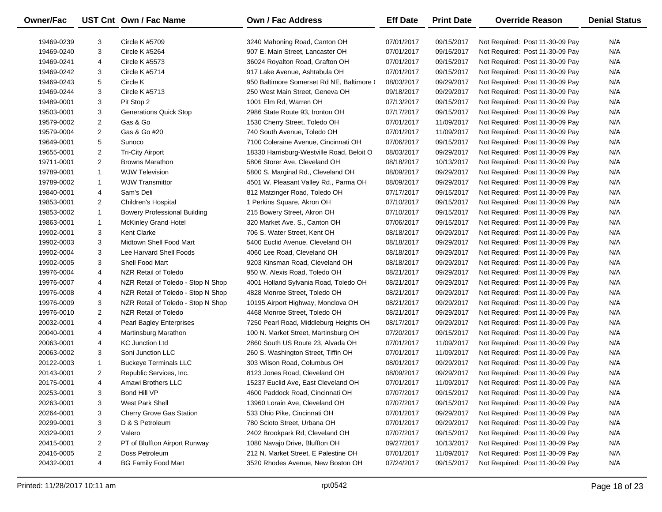| Owner/Fac  |                | UST Cnt Own / Fac Name              | <b>Own / Fac Address</b>                  | <b>Eff Date</b> | <b>Print Date</b> | <b>Override Reason</b>          | <b>Denial Status</b> |
|------------|----------------|-------------------------------------|-------------------------------------------|-----------------|-------------------|---------------------------------|----------------------|
| 19469-0239 | 3              | Circle K #5709                      | 3240 Mahoning Road, Canton OH             | 07/01/2017      | 09/15/2017        | Not Required: Post 11-30-09 Pay | N/A                  |
| 19469-0240 | 3              | Circle K #5264                      | 907 E. Main Street, Lancaster OH          | 07/01/2017      | 09/15/2017        | Not Required: Post 11-30-09 Pay | N/A                  |
| 19469-0241 | 4              | Circle K #5573                      | 36024 Royalton Road, Grafton OH           | 07/01/2017      | 09/15/2017        | Not Required: Post 11-30-09 Pay | N/A                  |
| 19469-0242 | 3              | Circle K #5714                      | 917 Lake Avenue, Ashtabula OH             | 07/01/2017      | 09/15/2017        | Not Required: Post 11-30-09 Pay | N/A                  |
| 19469-0243 | 5              | Circle K                            | 950 Baltimore Somerset Rd NE, Baltimore ( | 08/03/2017      | 09/29/2017        | Not Required: Post 11-30-09 Pay | N/A                  |
| 19469-0244 | 3              | Circle K #5713                      | 250 West Main Street, Geneva OH           | 09/18/2017      | 09/29/2017        | Not Required: Post 11-30-09 Pay | N/A                  |
| 19489-0001 | 3              | Pit Stop 2                          | 1001 Elm Rd, Warren OH                    | 07/13/2017      | 09/15/2017        | Not Required: Post 11-30-09 Pay | N/A                  |
| 19503-0001 | 3              | <b>Generations Quick Stop</b>       | 2986 State Route 93, Ironton OH           | 07/17/2017      | 09/15/2017        | Not Required: Post 11-30-09 Pay | N/A                  |
| 19579-0002 | $\overline{2}$ | Gas & Go                            | 1530 Cherry Street, Toledo OH             | 07/01/2017      | 11/09/2017        | Not Required: Post 11-30-09 Pay | N/A                  |
| 19579-0004 | 2              | Gas & Go #20                        | 740 South Avenue, Toledo OH               | 07/01/2017      | 11/09/2017        | Not Required: Post 11-30-09 Pay | N/A                  |
| 19649-0001 | 5              | Sunoco                              | 7100 Coleraine Avenue, Cincinnati OH      | 07/06/2017      | 09/15/2017        | Not Required: Post 11-30-09 Pay | N/A                  |
| 19655-0001 | $\overline{2}$ | <b>Tri-City Airport</b>             | 18330 Harrisburg-Westville Road, Beloit O | 08/03/2017      | 09/29/2017        | Not Required: Post 11-30-09 Pay | N/A                  |
| 19711-0001 | $\overline{2}$ | <b>Browns Marathon</b>              | 5806 Storer Ave, Cleveland OH             | 08/18/2017      | 10/13/2017        | Not Required: Post 11-30-09 Pay | N/A                  |
| 19789-0001 | $\mathbf{1}$   | <b>WJW Television</b>               | 5800 S. Marginal Rd., Cleveland OH        | 08/09/2017      | 09/29/2017        | Not Required: Post 11-30-09 Pay | N/A                  |
| 19789-0002 | $\mathbf{1}$   | <b>WJW Transmittor</b>              | 4501 W. Pleasant Valley Rd., Parma OH     | 08/09/2017      | 09/29/2017        | Not Required: Post 11-30-09 Pay | N/A                  |
| 19840-0001 | 4              | Sam's Deli                          | 812 Matzinger Road, Toledo OH             | 07/17/2017      | 09/15/2017        | Not Required: Post 11-30-09 Pay | N/A                  |
| 19853-0001 | $\overline{2}$ | Children's Hospital                 | 1 Perkins Square, Akron OH                | 07/10/2017      | 09/15/2017        | Not Required: Post 11-30-09 Pay | N/A                  |
| 19853-0002 | $\mathbf{1}$   | <b>Bowery Professional Building</b> | 215 Bowery Street, Akron OH               | 07/10/2017      | 09/15/2017        | Not Required: Post 11-30-09 Pay | N/A                  |
| 19863-0001 | $\mathbf{1}$   | <b>McKinley Grand Hotel</b>         | 320 Market Ave. S., Canton OH             | 07/06/2017      | 09/15/2017        | Not Required: Post 11-30-09 Pay | N/A                  |
| 19902-0001 | 3              | <b>Kent Clarke</b>                  | 706 S. Water Street, Kent OH              | 08/18/2017      | 09/29/2017        | Not Required: Post 11-30-09 Pay | N/A                  |
| 19902-0003 | 3              | Midtown Shell Food Mart             | 5400 Euclid Avenue, Cleveland OH          | 08/18/2017      | 09/29/2017        | Not Required: Post 11-30-09 Pay | N/A                  |
| 19902-0004 | 3              | Lee Harvard Shell Foods             | 4060 Lee Road, Cleveland OH               | 08/18/2017      | 09/29/2017        | Not Required: Post 11-30-09 Pay | N/A                  |
| 19902-0005 | 3              | Shell Food Mart                     | 9203 Kinsman Road, Cleveland OH           | 08/18/2017      | 09/29/2017        | Not Required: Post 11-30-09 Pay | N/A                  |
| 19976-0004 | 4              | NZR Retail of Toledo                | 950 W. Alexis Road, Toledo OH             | 08/21/2017      | 09/29/2017        | Not Required: Post 11-30-09 Pay | N/A                  |
| 19976-0007 | 4              | NZR Retail of Toledo - Stop N Shop  | 4001 Holland Sylvania Road, Toledo OH     | 08/21/2017      | 09/29/2017        | Not Required: Post 11-30-09 Pay | N/A                  |
| 19976-0008 | 4              | NZR Retail of Toledo - Stop N Shop  | 4828 Monroe Street, Toledo OH             | 08/21/2017      | 09/29/2017        | Not Required: Post 11-30-09 Pay | N/A                  |
| 19976-0009 | 3              | NZR Retail of Toledo - Stop N Shop  | 10195 Airport Highway, Monclova OH        | 08/21/2017      | 09/29/2017        | Not Required: Post 11-30-09 Pay | N/A                  |
| 19976-0010 | $\overline{2}$ | NZR Retail of Toledo                | 4468 Monroe Street, Toledo OH             | 08/21/2017      | 09/29/2017        | Not Required: Post 11-30-09 Pay | N/A                  |
| 20032-0001 | 4              | Pearl Bagley Enterprises            | 7250 Pearl Road, Middleburg Heights OH    | 08/17/2017      | 09/29/2017        | Not Required: Post 11-30-09 Pay | N/A                  |
| 20040-0001 | 4              | Martinsburg Marathon                | 100 N. Market Street, Martinsburg OH      | 07/20/2017      | 09/15/2017        | Not Required: Post 11-30-09 Pay | N/A                  |
| 20063-0001 | 4              | <b>KC Junction Ltd</b>              | 2860 South US Route 23, Alvada OH         | 07/01/2017      | 11/09/2017        | Not Required: Post 11-30-09 Pay | N/A                  |
| 20063-0002 | 3              | Soni Junction LLC                   | 260 S. Washington Street, Tiffin OH       | 07/01/2017      | 11/09/2017        | Not Required: Post 11-30-09 Pay | N/A                  |
| 20122-0003 | $\mathbf{1}$   | <b>Buckeye Terminals LLC</b>        | 303 Wilson Road, Columbus OH              | 08/01/2017      | 09/29/2017        | Not Required: Post 11-30-09 Pay | N/A                  |
| 20143-0001 | $\overline{2}$ | Republic Services, Inc.             | 8123 Jones Road, Cleveland OH             | 08/09/2017      | 09/29/2017        | Not Required: Post 11-30-09 Pay | N/A                  |
| 20175-0001 | 4              | Amawi Brothers LLC                  | 15237 Euclid Ave, East Cleveland OH       | 07/01/2017      | 11/09/2017        | Not Required: Post 11-30-09 Pay | N/A                  |
| 20253-0001 | 3              | Bond Hill VP                        | 4600 Paddock Road, Cincinnati OH          | 07/07/2017      | 09/15/2017        | Not Required: Post 11-30-09 Pay | N/A                  |
| 20263-0001 | 3              | West Park Shell                     | 13960 Lorain Ave, Cleveland OH            | 07/07/2017      | 09/15/2017        | Not Required: Post 11-30-09 Pay | N/A                  |
| 20264-0001 | 3              | Cherry Grove Gas Station            | 533 Ohio Pike, Cincinnati OH              | 07/01/2017      | 09/29/2017        | Not Required: Post 11-30-09 Pay | N/A                  |
| 20299-0001 | 3              | D & S Petroleum                     | 780 Scioto Street, Urbana OH              | 07/01/2017      | 09/29/2017        | Not Required: Post 11-30-09 Pay | N/A                  |
| 20329-0001 | 2              | Valero                              | 2402 Brookpark Rd, Cleveland OH           | 07/07/2017      | 09/15/2017        | Not Required: Post 11-30-09 Pay | N/A                  |
| 20415-0001 | 2              | PT of Bluffton Airport Runway       | 1080 Navajo Drive, Bluffton OH            | 09/27/2017      | 10/13/2017        | Not Required: Post 11-30-09 Pay | N/A                  |
| 20416-0005 | $\overline{2}$ | Doss Petroleum                      | 212 N. Market Street, E Palestine OH      | 07/01/2017      | 11/09/2017        | Not Required: Post 11-30-09 Pay | N/A                  |
| 20432-0001 | 4              | <b>BG Family Food Mart</b>          | 3520 Rhodes Avenue, New Boston OH         | 07/24/2017      | 09/15/2017        | Not Required: Post 11-30-09 Pay | N/A                  |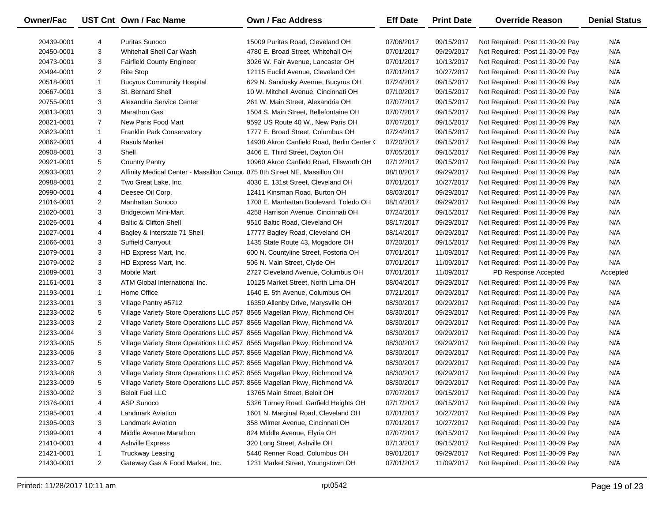| Owner/Fac  |                | UST Cnt Own / Fac Name                                                    | <b>Own / Fac Address</b>                   | <b>Eff Date</b> | <b>Print Date</b> | <b>Override Reason</b>          | <b>Denial Status</b> |
|------------|----------------|---------------------------------------------------------------------------|--------------------------------------------|-----------------|-------------------|---------------------------------|----------------------|
| 20439-0001 | 4              | <b>Puritas Sunoco</b>                                                     | 15009 Puritas Road, Cleveland OH           | 07/06/2017      | 09/15/2017        | Not Required: Post 11-30-09 Pay | N/A                  |
| 20450-0001 | 3              | Whitehall Shell Car Wash                                                  | 4780 E. Broad Street, Whitehall OH         | 07/01/2017      | 09/29/2017        | Not Required: Post 11-30-09 Pay | N/A                  |
| 20473-0001 | 3              | <b>Fairfield County Engineer</b>                                          | 3026 W. Fair Avenue, Lancaster OH          | 07/01/2017      | 10/13/2017        | Not Required: Post 11-30-09 Pay | N/A                  |
| 20494-0001 | 2              | <b>Rite Stop</b>                                                          | 12115 Euclid Avenue, Cleveland OH          | 07/01/2017      | 10/27/2017        | Not Required: Post 11-30-09 Pay | N/A                  |
| 20518-0001 | $\mathbf{1}$   | <b>Bucyrus Community Hospital</b>                                         | 629 N. Sandusky Avenue, Bucyrus OH         | 07/24/2017      | 09/15/2017        | Not Required: Post 11-30-09 Pay | N/A                  |
| 20667-0001 | 3              | St. Bernard Shell                                                         | 10 W. Mitchell Avenue, Cincinnati OH       | 07/10/2017      | 09/15/2017        | Not Required: Post 11-30-09 Pay | N/A                  |
| 20755-0001 | 3              | Alexandria Service Center                                                 | 261 W. Main Street, Alexandria OH          | 07/07/2017      | 09/15/2017        | Not Required: Post 11-30-09 Pay | N/A                  |
| 20813-0001 | 3              | Marathon Gas                                                              | 1504 S. Main Street, Bellefontaine OH      | 07/07/2017      | 09/15/2017        | Not Required: Post 11-30-09 Pay | N/A                  |
| 20821-0001 | $\overline{7}$ | New Paris Food Mart                                                       | 9592 US Route 40 W., New Paris OH          | 07/07/2017      | 09/15/2017        | Not Required: Post 11-30-09 Pay | N/A                  |
| 20823-0001 | $\mathbf{1}$   | <b>Franklin Park Conservatory</b>                                         | 1777 E. Broad Street, Columbus OH          | 07/24/2017      | 09/15/2017        | Not Required: Post 11-30-09 Pay | N/A                  |
| 20862-0001 | 4              | <b>Rasuls Market</b>                                                      | 14938 Akron Canfield Road, Berlin Center ( | 07/20/2017      | 09/15/2017        | Not Required: Post 11-30-09 Pay | N/A                  |
| 20908-0001 | 3              | Shell                                                                     | 3406 E. Third Street, Dayton OH            | 07/05/2017      | 09/15/2017        | Not Required: Post 11-30-09 Pay | N/A                  |
| 20921-0001 | 5              | <b>Country Pantry</b>                                                     | 10960 Akron Canfield Road, Ellsworth OH    | 07/12/2017      | 09/15/2017        | Not Required: Post 11-30-09 Pay | N/A                  |
| 20933-0001 | 2              | Affinity Medical Center - Massillon Campu 875 8th Street NE, Massillon OH |                                            | 08/18/2017      | 09/29/2017        | Not Required: Post 11-30-09 Pay | N/A                  |
| 20988-0001 | $\overline{2}$ | Two Great Lake, Inc.                                                      | 4030 E. 131st Street, Cleveland OH         | 07/01/2017      | 10/27/2017        | Not Required: Post 11-30-09 Pay | N/A                  |
| 20990-0001 | 4              | Deesee Oil Corp.                                                          | 12411 Kinsman Road, Burton OH              | 08/03/2017      | 09/29/2017        | Not Required: Post 11-30-09 Pay | N/A                  |
| 21016-0001 | $\overline{2}$ | <b>Manhattan Sunoco</b>                                                   | 1708 E. Manhattan Boulevard, Toledo OH     | 08/14/2017      | 09/29/2017        | Not Required: Post 11-30-09 Pay | N/A                  |
| 21020-0001 | 3              | Bridgetown Mini-Mart                                                      | 4258 Harrison Avenue, Cincinnati OH        | 07/24/2017      | 09/15/2017        | Not Required: Post 11-30-09 Pay | N/A                  |
| 21026-0001 | 4              | <b>Baltic &amp; Clifton Shell</b>                                         | 9510 Baltic Road, Cleveland OH             | 08/17/2017      | 09/29/2017        | Not Required: Post 11-30-09 Pay | N/A                  |
| 21027-0001 | 4              | Bagley & Interstate 71 Shell                                              | 17777 Bagley Road, Cleveland OH            | 08/14/2017      | 09/29/2017        | Not Required: Post 11-30-09 Pay | N/A                  |
| 21066-0001 | 3              | Suffield Carryout                                                         | 1435 State Route 43, Mogadore OH           | 07/20/2017      | 09/15/2017        | Not Required: Post 11-30-09 Pay | N/A                  |
| 21079-0001 | 3              | HD Express Mart, Inc.                                                     | 600 N. Countyline Street, Fostoria OH      | 07/01/2017      | 11/09/2017        | Not Required: Post 11-30-09 Pay | N/A                  |
| 21079-0002 | 3              | HD Express Mart, Inc.                                                     | 506 N. Main Street, Clyde OH               | 07/01/2017      | 11/09/2017        | Not Required: Post 11-30-09 Pay | N/A                  |
| 21089-0001 | 3              | <b>Mobile Mart</b>                                                        | 2727 Cleveland Avenue, Columbus OH         | 07/01/2017      | 11/09/2017        | PD Response Accepted            | Accepted             |
| 21161-0001 | 3              | ATM Global International Inc.                                             | 10125 Market Street, North Lima OH         | 08/04/2017      | 09/29/2017        | Not Required: Post 11-30-09 Pay | N/A                  |
| 21193-0001 | $\mathbf{1}$   | Home Office                                                               | 1640 E. 5th Avenue, Columbus OH            | 07/21/2017      | 09/29/2017        | Not Required: Post 11-30-09 Pay | N/A                  |
| 21233-0001 | 3              | Village Pantry #5712                                                      | 16350 Allenby Drive, Marysville OH         | 08/30/2017      | 09/29/2017        | Not Required: Post 11-30-09 Pay | N/A                  |
| 21233-0002 | 5              | Village Variety Store Operations LLC #57 8565 Magellan Pkwy, Richmond OH  |                                            | 08/30/2017      | 09/29/2017        | Not Required: Post 11-30-09 Pay | N/A                  |
| 21233-0003 | $\overline{2}$ | Village Variety Store Operations LLC #57 8565 Magellan Pkwy, Richmond VA  |                                            | 08/30/2017      | 09/29/2017        | Not Required: Post 11-30-09 Pay | N/A                  |
| 21233-0004 | 3              | Village Variety Store Operations LLC #57 8565 Magellan Pkwy, Richmond VA  |                                            | 08/30/2017      | 09/29/2017        | Not Required: Post 11-30-09 Pay | N/A                  |
| 21233-0005 | 5              | Village Variety Store Operations LLC #57 8565 Magellan Pkwy, Richmond VA  |                                            | 08/30/2017      | 09/29/2017        | Not Required: Post 11-30-09 Pay | N/A                  |
| 21233-0006 | 3              | Village Variety Store Operations LLC #57 8565 Magellan Pkwy, Richmond VA  |                                            | 08/30/2017      | 09/29/2017        | Not Required: Post 11-30-09 Pay | N/A                  |
| 21233-0007 | 5              | Village Variety Store Operations LLC #57 8565 Magellan Pkwy, Richmond VA  |                                            | 08/30/2017      | 09/29/2017        | Not Required: Post 11-30-09 Pay | N/A                  |
| 21233-0008 | 3              | Village Variety Store Operations LLC #57 8565 Magellan Pkwy, Richmond VA  |                                            | 08/30/2017      | 09/29/2017        | Not Required: Post 11-30-09 Pay | N/A                  |
| 21233-0009 | 5              | Village Variety Store Operations LLC #57 8565 Magellan Pkwy, Richmond VA  |                                            | 08/30/2017      | 09/29/2017        | Not Required: Post 11-30-09 Pay | N/A                  |
| 21330-0002 | 3              | <b>Beloit Fuel LLC</b>                                                    | 13765 Main Street, Beloit OH               | 07/07/2017      | 09/15/2017        | Not Required: Post 11-30-09 Pay | N/A                  |
| 21376-0001 | 4              | <b>ASP Sunoco</b>                                                         | 5326 Turney Road, Garfield Heights OH      | 07/17/2017      | 09/15/2017        | Not Required: Post 11-30-09 Pay | N/A                  |
| 21395-0001 | 4              | <b>Landmark Aviation</b>                                                  | 1601 N. Marginal Road, Cleveland OH        | 07/01/2017      | 10/27/2017        | Not Required: Post 11-30-09 Pay | N/A                  |
| 21395-0003 | 3              | <b>Landmark Aviation</b>                                                  | 358 Wilmer Avenue, Cincinnati OH           | 07/01/2017      | 10/27/2017        | Not Required: Post 11-30-09 Pay | N/A                  |
| 21399-0001 | 4              | Middle Avenue Marathon                                                    | 824 Middle Avenue, Elyria OH               | 07/07/2017      | 09/15/2017        | Not Required: Post 11-30-09 Pay | N/A                  |
| 21410-0001 | 4              | <b>Ashville Express</b>                                                   | 320 Long Street, Ashville OH               | 07/13/2017      | 09/15/2017        | Not Required: Post 11-30-09 Pay | N/A                  |
| 21421-0001 | 1              | <b>Truckway Leasing</b>                                                   | 5440 Renner Road, Columbus OH              | 09/01/2017      | 09/29/2017        | Not Required: Post 11-30-09 Pay | N/A                  |
| 21430-0001 | $\overline{2}$ | Gateway Gas & Food Market, Inc.                                           | 1231 Market Street, Youngstown OH          | 07/01/2017      | 11/09/2017        | Not Required: Post 11-30-09 Pay | N/A                  |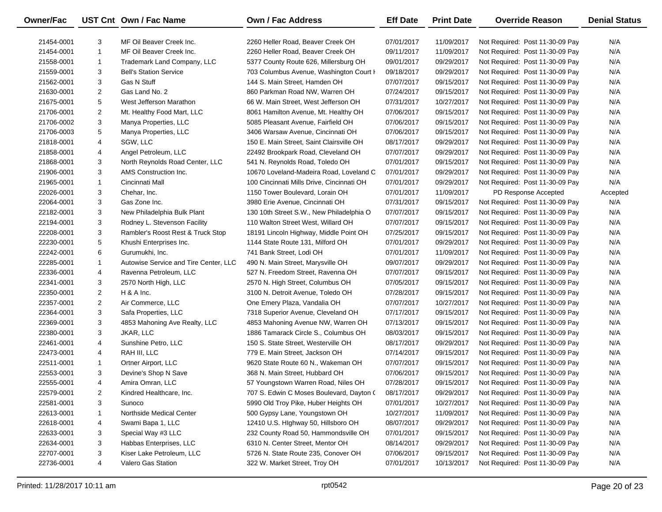| Owner/Fac  |                | UST Cnt Own / Fac Name                | <b>Own / Fac Address</b>                  | <b>Eff Date</b> | <b>Print Date</b> | <b>Override Reason</b>          | <b>Denial Status</b> |
|------------|----------------|---------------------------------------|-------------------------------------------|-----------------|-------------------|---------------------------------|----------------------|
| 21454-0001 | 3              | MF Oil Beaver Creek Inc.              | 2260 Heller Road, Beaver Creek OH         | 07/01/2017      | 11/09/2017        | Not Required: Post 11-30-09 Pay | N/A                  |
| 21454-0001 | $\mathbf{1}$   | MF Oil Beaver Creek Inc.              | 2260 Heller Road, Beaver Creek OH         | 09/11/2017      | 11/09/2017        | Not Required: Post 11-30-09 Pay | N/A                  |
| 21558-0001 | $\mathbf{1}$   | Trademark Land Company, LLC           | 5377 County Route 626, Millersburg OH     | 09/01/2017      | 09/29/2017        | Not Required: Post 11-30-09 Pay | N/A                  |
| 21559-0001 | 3              | <b>Bell's Station Service</b>         | 703 Columbus Avenue, Washington Court I   | 09/18/2017      | 09/29/2017        | Not Required: Post 11-30-09 Pay | N/A                  |
| 21562-0001 | 3              | <b>Gas N Stuff</b>                    | 144 S. Main Street, Hamden OH             | 07/07/2017      | 09/15/2017        | Not Required: Post 11-30-09 Pay | N/A                  |
| 21630-0001 | $\overline{c}$ | Gas Land No. 2                        | 860 Parkman Road NW, Warren OH            | 07/24/2017      | 09/15/2017        | Not Required: Post 11-30-09 Pay | N/A                  |
| 21675-0001 | 5              | West Jefferson Marathon               | 66 W. Main Street, West Jefferson OH      | 07/31/2017      | 10/27/2017        | Not Required: Post 11-30-09 Pay | N/A                  |
| 21706-0001 | $\overline{c}$ | Mt. Healthy Food Mart, LLC            | 8061 Hamilton Avenue, Mt. Healthy OH      | 07/06/2017      | 09/15/2017        | Not Required: Post 11-30-09 Pay | N/A                  |
| 21706-0002 | 3              | Manya Properties, LLC                 | 5085 Pleasant Avenue, Fairfield OH        | 07/06/2017      | 09/15/2017        | Not Required: Post 11-30-09 Pay | N/A                  |
| 21706-0003 | 5              | Manya Properties, LLC                 | 3406 Warsaw Avenue, Cincinnati OH         | 07/06/2017      | 09/15/2017        | Not Required: Post 11-30-09 Pay | N/A                  |
| 21818-0001 | 4              | SGW, LLC                              | 150 E. Main Street, Saint Clairsville OH  | 08/17/2017      | 09/29/2017        | Not Required: Post 11-30-09 Pay | N/A                  |
| 21858-0001 | 4              | Angel Petroleum, LLC                  | 22492 Brookpark Road, Cleveland OH        | 07/07/2017      | 09/29/2017        | Not Required: Post 11-30-09 Pay | N/A                  |
| 21868-0001 | 3              | North Reynolds Road Center, LLC       | 541 N. Reynolds Road, Toledo OH           | 07/01/2017      | 09/15/2017        | Not Required: Post 11-30-09 Pay | N/A                  |
| 21906-0001 | 3              | AMS Construction Inc.                 | 10670 Loveland-Madeira Road, Loveland C   | 07/01/2017      | 09/29/2017        | Not Required: Post 11-30-09 Pay | N/A                  |
| 21965-0001 | $\mathbf{1}$   | Cincinnati Mall                       | 100 Cincinnati Mills Drive, Cincinnati OH | 07/01/2017      | 09/29/2017        | Not Required: Post 11-30-09 Pay | N/A                  |
| 22026-0001 | 3              | Chehar, Inc.                          | 1150 Tower Boulevard, Lorain OH           | 07/01/2017      | 11/09/2017        | PD Response Accepted            | Accepted             |
| 22064-0001 | 3              | Gas Zone Inc.                         | 3980 Erie Avenue, Cincinnati OH           | 07/31/2017      | 09/15/2017        | Not Required: Post 11-30-09 Pay | N/A                  |
| 22182-0001 | 3              | New Philadelphia Bulk Plant           | 130 10th Street S.W., New Philadelphia O  | 07/07/2017      | 09/15/2017        | Not Required: Post 11-30-09 Pay | N/A                  |
| 22194-0001 | 3              | Rodney L. Stevenson Facility          | 110 Walton Street West, Willard OH        | 07/07/2017      | 09/15/2017        | Not Required: Post 11-30-09 Pay | N/A                  |
| 22208-0001 | 3              | Rambler's Roost Rest & Truck Stop     | 18191 Lincoln Highway, Middle Point OH    | 07/25/2017      | 09/15/2017        | Not Required: Post 11-30-09 Pay | N/A                  |
| 22230-0001 | 5              | Khushi Enterprises Inc.               | 1144 State Route 131, Milford OH          | 07/01/2017      | 09/29/2017        | Not Required: Post 11-30-09 Pay | N/A                  |
| 22242-0001 | 6              | Gurumukhi, Inc.                       | 741 Bank Street, Lodi OH                  | 07/01/2017      | 11/09/2017        | Not Required: Post 11-30-09 Pay | N/A                  |
| 22285-0001 | $\mathbf{1}$   | Autowise Service and Tire Center, LLC | 490 N. Main Street, Marysville OH         | 09/07/2017      | 09/29/2017        | Not Required: Post 11-30-09 Pay | N/A                  |
| 22336-0001 | 4              | Ravenna Petroleum, LLC                | 527 N. Freedom Street, Ravenna OH         | 07/07/2017      | 09/15/2017        | Not Required: Post 11-30-09 Pay | N/A                  |
| 22341-0001 | 3              | 2570 North High, LLC                  | 2570 N. High Street, Columbus OH          | 07/05/2017      | 09/15/2017        | Not Required: Post 11-30-09 Pay | N/A                  |
| 22350-0001 | $\overline{c}$ | $H$ & A Inc.                          | 3100 N. Detroit Avenue, Toledo OH         | 07/28/2017      | 09/15/2017        | Not Required: Post 11-30-09 Pay | N/A                  |
| 22357-0001 | $\overline{2}$ | Air Commerce, LLC                     | One Emery Plaza, Vandalia OH              | 07/07/2017      | 10/27/2017        | Not Required: Post 11-30-09 Pay | N/A                  |
| 22364-0001 | 3              | Safa Properties, LLC                  | 7318 Superior Avenue, Cleveland OH        | 07/17/2017      | 09/15/2017        | Not Required: Post 11-30-09 Pay | N/A                  |
| 22369-0001 | 3              | 4853 Mahoning Ave Realty, LLC         | 4853 Mahoning Avenue NW, Warren OH        | 07/13/2017      | 09/15/2017        | Not Required: Post 11-30-09 Pay | N/A                  |
| 22380-0001 | 3              | JKAR, LLC                             | 1886 Tamarack Circle S., Columbus OH      | 08/03/2017      | 09/15/2017        | Not Required: Post 11-30-09 Pay | N/A                  |
| 22461-0001 | 4              | Sunshine Petro, LLC                   | 150 S. State Street, Westerville OH       | 08/17/2017      | 09/29/2017        | Not Required: Post 11-30-09 Pay | N/A                  |
| 22473-0001 | 4              | RAH III, LLC                          | 779 E. Main Street, Jackson OH            | 07/14/2017      | 09/15/2017        | Not Required: Post 11-30-09 Pay | N/A                  |
| 22511-0001 | $\mathbf{1}$   | Ortner Airport, LLC                   | 9620 State Route 60 N., Wakeman OH        | 07/07/2017      | 09/15/2017        | Not Required: Post 11-30-09 Pay | N/A                  |
| 22553-0001 | 3              | Devine's Shop N Save                  | 368 N. Main Street, Hubbard OH            | 07/06/2017      | 09/15/2017        | Not Required: Post 11-30-09 Pay | N/A                  |
| 22555-0001 | $\overline{4}$ | Amira Omran, LLC                      | 57 Youngstown Warren Road, Niles OH       | 07/28/2017      | 09/15/2017        | Not Required: Post 11-30-09 Pay | N/A                  |
| 22579-0001 | 2              | Kindred Healthcare, Inc.              | 707 S. Edwin C Moses Boulevard, Dayton (  | 08/17/2017      | 09/29/2017        | Not Required: Post 11-30-09 Pay | N/A                  |
| 22581-0001 | 3              | Sunoco                                | 5990 Old Troy Pike, Huber Heights OH      | 07/01/2017      | 10/27/2017        | Not Required: Post 11-30-09 Pay | N/A                  |
| 22613-0001 | 1              | Northside Medical Center              | 500 Gypsy Lane, Youngstown OH             | 10/27/2017      | 11/09/2017        | Not Required: Post 11-30-09 Pay | N/A                  |
| 22618-0001 | 4              | Swami Bapa 1, LLC                     | 12410 U.S. Highway 50, Hillsboro OH       | 08/07/2017      | 09/29/2017        | Not Required: Post 11-30-09 Pay | N/A                  |
| 22633-0001 | 3              | Special Way #3 LLC                    | 232 County Road 50, Hammondsville OH      | 07/01/2017      | 09/15/2017        | Not Required: Post 11-30-09 Pay | N/A                  |
| 22634-0001 | 3              | Habbas Enterprises, LLC               | 6310 N. Center Street, Mentor OH          | 08/14/2017      | 09/29/2017        | Not Required: Post 11-30-09 Pay | N/A                  |
| 22707-0001 | 3              | Kiser Lake Petroleum, LLC             | 5726 N. State Route 235, Conover OH       | 07/06/2017      | 09/15/2017        | Not Required: Post 11-30-09 Pay | N/A                  |
| 22736-0001 | 4              | Valero Gas Station                    | 322 W. Market Street, Troy OH             | 07/01/2017      | 10/13/2017        | Not Required: Post 11-30-09 Pay | N/A                  |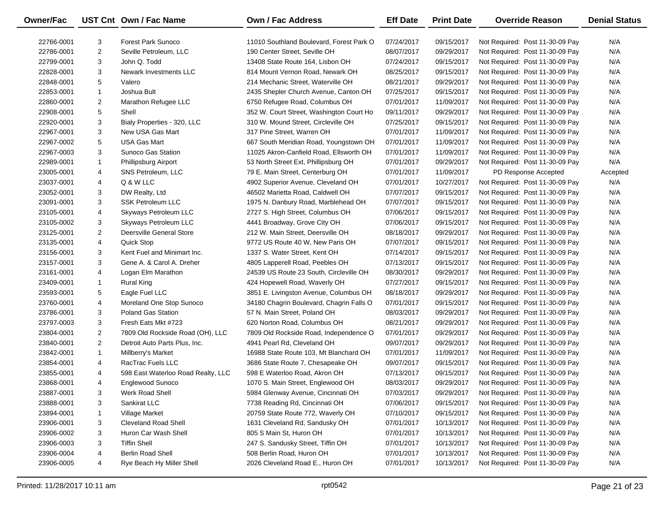| Owner/Fac  |                | UST Cnt Own / Fac Name             | <b>Own / Fac Address</b>                 | <b>Eff Date</b> | <b>Print Date</b> | <b>Override Reason</b>          | <b>Denial Status</b> |
|------------|----------------|------------------------------------|------------------------------------------|-----------------|-------------------|---------------------------------|----------------------|
| 22766-0001 | 3              | <b>Forest Park Sunoco</b>          | 11010 Southland Boulevard, Forest Park O | 07/24/2017      | 09/15/2017        | Not Required: Post 11-30-09 Pay | N/A                  |
| 22786-0001 | $\overline{2}$ | Seville Petroleum, LLC             | 190 Center Street, Seville OH            | 08/07/2017      | 09/29/2017        | Not Required: Post 11-30-09 Pay | N/A                  |
| 22799-0001 | 3              | John Q. Todd                       | 13408 State Route 164, Lisbon OH         | 07/24/2017      | 09/15/2017        | Not Required: Post 11-30-09 Pay | N/A                  |
| 22828-0001 | 3              | Newark Investments LLC             | 814 Mount Vernon Road, Newark OH         | 08/25/2017      | 09/15/2017        | Not Required: Post 11-30-09 Pay | N/A                  |
| 22848-0001 | 5              | Valero                             | 214 Mechanic Street, Waterville OH       | 08/21/2017      | 09/29/2017        | Not Required: Post 11-30-09 Pay | N/A                  |
| 22853-0001 | $\mathbf{1}$   | Joshua Bult                        | 2435 Shepler Church Avenue, Canton OH    | 07/25/2017      | 09/15/2017        | Not Required: Post 11-30-09 Pay | N/A                  |
| 22860-0001 | $\overline{c}$ | Marathon Refugee LLC               | 6750 Refugee Road, Columbus OH           | 07/01/2017      | 11/09/2017        | Not Required: Post 11-30-09 Pay | N/A                  |
| 22908-0001 | 5              | Shell                              | 352 W. Court Street, Washington Court Ho | 09/11/2017      | 09/29/2017        | Not Required: Post 11-30-09 Pay | N/A                  |
| 22920-0001 | 3              | Bialy Properties - 320, LLC        | 310 W. Mound Street, Circleville OH      | 07/25/2017      | 09/15/2017        | Not Required: Post 11-30-09 Pay | N/A                  |
| 22967-0001 | 3              | New USA Gas Mart                   | 317 Pine Street, Warren OH               | 07/01/2017      | 11/09/2017        | Not Required: Post 11-30-09 Pay | N/A                  |
| 22967-0002 | 5              | <b>USA Gas Mart</b>                | 667 South Meridian Road, Youngstown OH   | 07/01/2017      | 11/09/2017        | Not Required: Post 11-30-09 Pay | N/A                  |
| 22967-0003 | 3              | Sunoco Gas Station                 | 11025 Akron-Canfield Road, Ellsworth OH  | 07/01/2017      | 11/09/2017        | Not Required: Post 11-30-09 Pay | N/A                  |
| 22989-0001 | 1              | Phillipsburg Airport               | 53 North Street Ext, Phillipsburg OH     | 07/01/2017      | 09/29/2017        | Not Required: Post 11-30-09 Pay | N/A                  |
| 23005-0001 | 4              | SNS Petroleum, LLC                 | 79 E. Main Street, Centerburg OH         | 07/01/2017      | 11/09/2017        | PD Response Accepted            | Accepted             |
| 23037-0001 | 4              | Q & W LLC                          | 4902 Superior Avenue, Cleveland OH       | 07/01/2017      | 10/27/2017        | Not Required: Post 11-30-09 Pay | N/A                  |
| 23052-0001 | 3              | DW Realty, Ltd                     | 46502 Marietta Road, Caldwell OH         | 07/07/2017      | 09/15/2017        | Not Required: Post 11-30-09 Pay | N/A                  |
| 23091-0001 | 3              | <b>SSK Petroleum LLC</b>           | 1975 N. Danbury Road, Marblehead OH      | 07/07/2017      | 09/15/2017        | Not Required: Post 11-30-09 Pay | N/A                  |
| 23105-0001 | 4              | <b>Skyways Petroleum LLC</b>       | 2727 S. High Street, Columbus OH         | 07/06/2017      | 09/15/2017        | Not Required: Post 11-30-09 Pay | N/A                  |
| 23105-0002 | 3              | Skyways Petroleum LLC              | 4441 Broadway, Grove City OH             | 07/06/2017      | 09/15/2017        | Not Required: Post 11-30-09 Pay | N/A                  |
| 23125-0001 | $\overline{2}$ | Deersville General Store           | 212 W. Main Street, Deersville OH        | 08/18/2017      | 09/29/2017        | Not Required: Post 11-30-09 Pay | N/A                  |
| 23135-0001 | 4              | Quick Stop                         | 9772 US Route 40 W, New Paris OH         | 07/07/2017      | 09/15/2017        | Not Required: Post 11-30-09 Pay | N/A                  |
| 23156-0001 | 3              | Kent Fuel and Minimart Inc.        | 1337 S. Water Street, Kent OH            | 07/14/2017      | 09/15/2017        | Not Required: Post 11-30-09 Pay | N/A                  |
| 23157-0001 | 3              | Gene A. & Carol A. Dreher          | 4805 Lapperell Road, Peebles OH          | 07/13/2017      | 09/15/2017        | Not Required: Post 11-30-09 Pay | N/A                  |
| 23161-0001 | 4              | Logan Elm Marathon                 | 24539 US Route 23 South, Circleville OH  | 08/30/2017      | 09/29/2017        | Not Required: Post 11-30-09 Pay | N/A                  |
| 23409-0001 | $\mathbf{1}$   | <b>Rural King</b>                  | 424 Hopewell Road, Waverly OH            | 07/27/2017      | 09/15/2017        | Not Required: Post 11-30-09 Pay | N/A                  |
| 23593-0001 | 5              | Eagle Fuel LLC                     | 3851 E. Livingston Avenue, Columbus OH   | 08/18/2017      | 09/29/2017        | Not Required: Post 11-30-09 Pay | N/A                  |
| 23760-0001 | 4              | Moreland One Stop Sunoco           | 34180 Chagrin Boulevard, Chagrin Falls O | 07/01/2017      | 09/15/2017        | Not Required: Post 11-30-09 Pay | N/A                  |
| 23786-0001 | 3              | <b>Poland Gas Station</b>          | 57 N. Main Street, Poland OH             | 08/03/2017      | 09/29/2017        | Not Required: Post 11-30-09 Pay | N/A                  |
| 23797-0003 | 3              | Fresh Eats Mkt #723                | 620 Norton Road, Columbus OH             | 08/21/2017      | 09/29/2017        | Not Required: Post 11-30-09 Pay | N/A                  |
| 23804-0001 | $\overline{2}$ | 7809 Old Rockside Road (OH), LLC   | 7809 Old Rockside Road, Independence O   | 07/01/2017      | 09/29/2017        | Not Required: Post 11-30-09 Pay | N/A                  |
| 23840-0001 | $\overline{2}$ | Detroit Auto Parts Plus, Inc.      | 4941 Pearl Rd, Cleveland OH              | 09/07/2017      | 09/29/2017        | Not Required: Post 11-30-09 Pay | N/A                  |
| 23842-0001 | $\mathbf{1}$   | Millberry's Market                 | 16988 State Route 103, Mt Blanchard OH   | 07/01/2017      | 11/09/2017        | Not Required: Post 11-30-09 Pay | N/A                  |
| 23854-0001 | 4              | RacTrac Fuels LLC                  | 3686 State Route 7, Chesapeake OH        | 09/07/2017      | 09/15/2017        | Not Required: Post 11-30-09 Pay | N/A                  |
| 23855-0001 | 4              | 598 East Waterloo Road Realty, LLC | 598 E Waterloo Road, Akron OH            | 07/13/2017      | 09/15/2017        | Not Required: Post 11-30-09 Pay | N/A                  |
| 23868-0001 | 4              | Englewood Sunoco                   | 1070 S. Main Street, Englewood OH        | 08/03/2017      | 09/29/2017        | Not Required: Post 11-30-09 Pay | N/A                  |
| 23887-0001 | 3              | Werk Road Shell                    | 5984 Glenway Avenue, Cincinnati OH       | 07/03/2017      | 09/29/2017        | Not Required: Post 11-30-09 Pay | N/A                  |
| 23888-0001 | 3              | Sankirat LLC                       | 7738 Reading Rd, Cincinnati OH           | 07/06/2017      | 09/15/2017        | Not Required: Post 11-30-09 Pay | N/A                  |
| 23894-0001 | 1              | Village Market                     | 20759 State Route 772, Waverly OH        | 07/10/2017      | 09/15/2017        | Not Required: Post 11-30-09 Pay | N/A                  |
| 23906-0001 | 3              | <b>Cleveland Road Shell</b>        | 1631 Cleveland Rd, Sandusky OH           | 07/01/2017      | 10/13/2017        | Not Required: Post 11-30-09 Pay | N/A                  |
| 23906-0002 | 3              | Huron Car Wash Shell               | 805 S Main St, Huron OH                  | 07/01/2017      | 10/13/2017        | Not Required: Post 11-30-09 Pay | N/A                  |
| 23906-0003 | 3              | <b>Tiffin Shell</b>                | 247 S. Sandusky Street, Tiffin OH        | 07/01/2017      | 10/13/2017        | Not Required: Post 11-30-09 Pay | N/A                  |
| 23906-0004 | 4              | <b>Berlin Road Shell</b>           | 508 Berlin Road, Huron OH                | 07/01/2017      | 10/13/2017        | Not Required: Post 11-30-09 Pay | N/A                  |
| 23906-0005 | 4              | Rye Beach Hy Miller Shell          | 2026 Cleveland Road E., Huron OH         | 07/01/2017      | 10/13/2017        | Not Required: Post 11-30-09 Pay | N/A                  |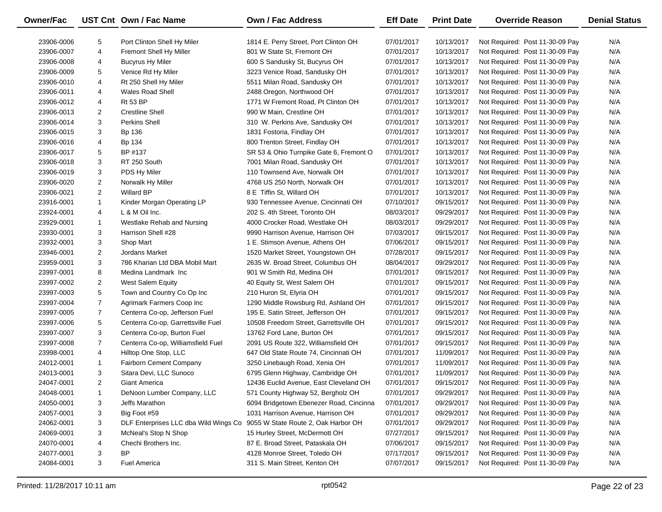| <b>Owner/Fac</b> |                | UST Cnt Own / Fac Name                | <b>Own / Fac Address</b>                | <b>Eff Date</b> | <b>Print Date</b> | <b>Override Reason</b>          | <b>Denial Status</b> |
|------------------|----------------|---------------------------------------|-----------------------------------------|-----------------|-------------------|---------------------------------|----------------------|
| 23906-0006       | 5              | Port Clinton Shell Hy Miler           | 1814 E. Perry Street, Port Clinton OH   | 07/01/2017      | 10/13/2017        | Not Required: Post 11-30-09 Pay | N/A                  |
| 23906-0007       | 4              | Fremont Shell Hy Miller               | 801 W State St, Fremont OH              | 07/01/2017      | 10/13/2017        | Not Required: Post 11-30-09 Pay | N/A                  |
| 23906-0008       | 4              | <b>Bucyrus Hy Miler</b>               | 600 S Sandusky St, Bucyrus OH           | 07/01/2017      | 10/13/2017        | Not Required: Post 11-30-09 Pay | N/A                  |
| 23906-0009       | 5              | Venice Rd Hy Miler                    | 3223 Venice Road, Sandusky OH           | 07/01/2017      | 10/13/2017        | Not Required: Post 11-30-09 Pay | N/A                  |
| 23906-0010       | 4              | Rt 250 Shell Hy Miler                 | 5511 Milan Road, Sandusky OH            | 07/01/2017      | 10/13/2017        | Not Required: Post 11-30-09 Pay | N/A                  |
| 23906-0011       | 4              | <b>Wales Road Shell</b>               | 2488 Oregon, Northwood OH               | 07/01/2017      | 10/13/2017        | Not Required: Post 11-30-09 Pay | N/A                  |
| 23906-0012       | 4              | <b>Rt 53 BP</b>                       | 1771 W Fremont Road, Pt Clinton OH      | 07/01/2017      | 10/13/2017        | Not Required: Post 11-30-09 Pay | N/A                  |
| 23906-0013       | $\overline{2}$ | <b>Crestline Shell</b>                | 990 W Main, Crestline OH                | 07/01/2017      | 10/13/2017        | Not Required: Post 11-30-09 Pay | N/A                  |
| 23906-0014       | 3              | <b>Perkins Shell</b>                  | 310 W. Perkins Ave, Sandusky OH         | 07/01/2017      | 10/13/2017        | Not Required: Post 11-30-09 Pay | N/A                  |
| 23906-0015       | 3              | Bp 136                                | 1831 Fostoria, Findlay OH               | 07/01/2017      | 10/13/2017        | Not Required: Post 11-30-09 Pay | N/A                  |
| 23906-0016       | 4              | Bp 134                                | 800 Trenton Street, Findlay OH          | 07/01/2017      | 10/13/2017        | Not Required: Post 11-30-09 Pay | N/A                  |
| 23906-0017       | 5              | BP #137                               | SR 53 & Ohio Turnpike Gate 6, Fremont O | 07/01/2017      | 10/13/2017        | Not Required: Post 11-30-09 Pay | N/A                  |
| 23906-0018       | 3              | RT 250 South                          | 7001 Milan Road, Sandusky OH            | 07/01/2017      | 10/13/2017        | Not Required: Post 11-30-09 Pay | N/A                  |
| 23906-0019       | 3              | PDS Hy Miler                          | 110 Townsend Ave, Norwalk OH            | 07/01/2017      | 10/13/2017        | Not Required: Post 11-30-09 Pay | N/A                  |
| 23906-0020       | $\overline{2}$ | Norwalk Hy Miller                     | 4768 US 250 North, Norwalk OH           | 07/01/2017      | 10/13/2017        | Not Required: Post 11-30-09 Pay | N/A                  |
| 23906-0021       | $\overline{2}$ | Willard BP                            | 8 E Tiffin St, Willard OH               | 07/01/2017      | 10/13/2017        | Not Required: Post 11-30-09 Pay | N/A                  |
| 23916-0001       | $\mathbf{1}$   | Kinder Morgan Operating LP            | 930 Tennessee Avenue, Cincinnati OH     | 07/10/2017      | 09/15/2017        | Not Required: Post 11-30-09 Pay | N/A                  |
| 23924-0001       | 4              | L & M Oil Inc.                        | 202 S. 4th Street, Toronto OH           | 08/03/2017      | 09/29/2017        | Not Required: Post 11-30-09 Pay | N/A                  |
| 23929-0001       | $\mathbf{1}$   | Westlake Rehab and Nursing            | 4000 Crocker Road, Westlake OH          | 08/03/2017      | 09/29/2017        | Not Required: Post 11-30-09 Pay | N/A                  |
| 23930-0001       | 3              | Harrison Shell #28                    | 9990 Harrison Avenue, Harrison OH       | 07/03/2017      | 09/15/2017        | Not Required: Post 11-30-09 Pay | N/A                  |
| 23932-0001       | 3              | Shop Mart                             | 1 E. Stimson Avenue, Athens OH          | 07/06/2017      | 09/15/2017        | Not Required: Post 11-30-09 Pay | N/A                  |
| 23946-0001       | $\overline{2}$ | Jordans Market                        | 1520 Market Street, Youngstown OH       | 07/28/2017      | 09/15/2017        | Not Required: Post 11-30-09 Pay | N/A                  |
| 23959-0001       | 3              | 786 Kharian Ltd DBA Mobil Mart        | 2635 W. Broad Street, Columbus OH       | 08/04/2017      | 09/29/2017        | Not Required: Post 11-30-09 Pay | N/A                  |
| 23997-0001       | 8              | Medina Landmark Inc                   | 901 W Smith Rd, Medina OH               | 07/01/2017      | 09/15/2017        | Not Required: Post 11-30-09 Pay | N/A                  |
| 23997-0002       | $\overline{2}$ | West Salem Equity                     | 40 Equity St, West Salem OH             | 07/01/2017      | 09/15/2017        | Not Required: Post 11-30-09 Pay | N/A                  |
| 23997-0003       | 5              | Town and Country Co Op Inc            | 210 Huron St, Elyria OH                 | 07/01/2017      | 09/15/2017        | Not Required: Post 11-30-09 Pay | N/A                  |
| 23997-0004       | $\overline{7}$ | Agrimark Farmers Coop Inc             | 1290 Middle Rowsburg Rd, Ashland OH     | 07/01/2017      | 09/15/2017        | Not Required: Post 11-30-09 Pay | N/A                  |
| 23997-0005       | $\overline{7}$ | Centerra Co-op, Jefferson Fuel        | 195 E. Satin Street, Jefferson OH       | 07/01/2017      | 09/15/2017        | Not Required: Post 11-30-09 Pay | N/A                  |
| 23997-0006       | 5              | Centerra Co-op, Garrettsville Fuel    | 10508 Freedom Street, Garrettsville OH  | 07/01/2017      | 09/15/2017        | Not Required: Post 11-30-09 Pay | N/A                  |
| 23997-0007       | 3              | Centerra Co-op, Burton Fuel           | 13762 Ford Lane, Burton OH              | 07/01/2017      | 09/15/2017        | Not Required: Post 11-30-09 Pay | N/A                  |
| 23997-0008       | $\overline{7}$ | Centerra Co-op, Williamsfield Fuel    | 2091 US Route 322, Williamsfield OH     | 07/01/2017      | 09/15/2017        | Not Required: Post 11-30-09 Pay | N/A                  |
| 23998-0001       | 4              | Hilltop One Stop, LLC                 | 647 Old State Route 74, Cincinnati OH   | 07/01/2017      | 11/09/2017        | Not Required: Post 11-30-09 Pay | N/A                  |
| 24012-0001       | $\mathbf{1}$   | Fairborn Cement Company               | 3250 Linebaugh Road, Xenia OH           | 07/01/2017      | 11/09/2017        | Not Required: Post 11-30-09 Pay | N/A                  |
| 24013-0001       | 3              | Sitara Devi, LLC Sunoco               | 6795 Glenn Highway, Cambridge OH        | 07/01/2017      | 11/09/2017        | Not Required: Post 11-30-09 Pay | N/A                  |
| 24047-0001       | $\overline{2}$ | Giant America                         | 12436 Euclid Avenue, East Cleveland OH  | 07/01/2017      | 09/15/2017        | Not Required: Post 11-30-09 Pay | N/A                  |
| 24048-0001       | 1              | DeNoon Lumber Company, LLC            | 571 County Highway 52, Bergholz OH      | 07/01/2017      | 09/29/2017        | Not Required: Post 11-30-09 Pay | N/A                  |
| 24050-0001       | 3              | Jeffs Marathon                        | 6094 Bridgetown Ebenezer Road, Cincinna | 07/01/2017      | 09/29/2017        | Not Required: Post 11-30-09 Pay | N/A                  |
| 24057-0001       | 3              | Big Foot #59                          | 1031 Harrison Avenue, Harrison OH       | 07/01/2017      | 09/29/2017        | Not Required: Post 11-30-09 Pay | N/A                  |
| 24062-0001       | 3              | DLF Enterprises LLC dba Wild Wings Co | 9055 W State Route 2, Oak Harbor OH     | 07/01/2017      | 09/29/2017        | Not Required: Post 11-30-09 Pay | N/A                  |
| 24069-0001       | 3              | McNeal's Stop N Shop                  | 15 Hurley Street, McDermott OH          | 07/27/2017      | 09/15/2017        | Not Required: Post 11-30-09 Pay | N/A                  |
| 24070-0001       | 4              | Chechi Brothers Inc.                  | 87 E. Broad Street, Pataskala OH        | 07/06/2017      | 09/15/2017        | Not Required: Post 11-30-09 Pay | N/A                  |
| 24077-0001       | 3              | <b>BP</b>                             | 4128 Monroe Street, Toledo OH           | 07/17/2017      | 09/15/2017        | Not Required: Post 11-30-09 Pay | N/A                  |
| 24084-0001       | 3              | <b>Fuel America</b>                   | 311 S. Main Street, Kenton OH           | 07/07/2017      | 09/15/2017        | Not Required: Post 11-30-09 Pay | N/A                  |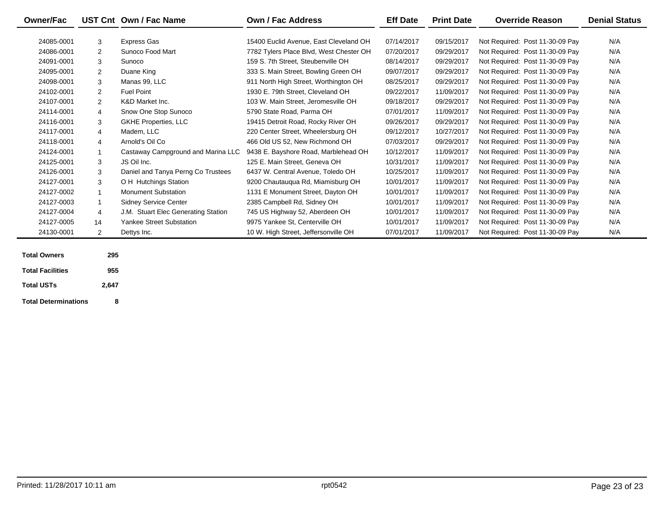| <b>Owner/Fac</b> |                | UST Cnt Own / Fac Name              | <b>Own / Fac Address</b>                | <b>Eff Date</b> | <b>Print Date</b> | <b>Override Reason</b>          | <b>Denial Status</b> |
|------------------|----------------|-------------------------------------|-----------------------------------------|-----------------|-------------------|---------------------------------|----------------------|
|                  |                |                                     |                                         |                 |                   |                                 |                      |
| 24085-0001       | 3              | Express Gas                         | 15400 Euclid Avenue, East Cleveland OH  | 07/14/2017      | 09/15/2017        | Not Required: Post 11-30-09 Pay | N/A                  |
| 24086-0001       | $\overline{2}$ | Sunoco Food Mart                    | 7782 Tylers Place Blvd, West Chester OH | 07/20/2017      | 09/29/2017        | Not Required: Post 11-30-09 Pay | N/A                  |
| 24091-0001       | 3              | Sunoco                              | 159 S. 7th Street, Steubenville OH      | 08/14/2017      | 09/29/2017        | Not Required: Post 11-30-09 Pay | N/A                  |
| 24095-0001       | 2              | Duane King                          | 333 S. Main Street, Bowling Green OH    | 09/07/2017      | 09/29/2017        | Not Required: Post 11-30-09 Pay | N/A                  |
| 24098-0001       | 3              | Manas 99, LLC                       | 911 North High Street, Worthington OH   | 08/25/2017      | 09/29/2017        | Not Required: Post 11-30-09 Pay | N/A                  |
| 24102-0001       | 2              | <b>Fuel Point</b>                   | 1930 E. 79th Street, Cleveland OH       | 09/22/2017      | 11/09/2017        | Not Required: Post 11-30-09 Pay | N/A                  |
| 24107-0001       | 2              | K&D Market Inc.                     | 103 W. Main Street, Jeromesville OH     | 09/18/2017      | 09/29/2017        | Not Required: Post 11-30-09 Pay | N/A                  |
| 24114-0001       | $\overline{4}$ | Snow One Stop Sunoco                | 5790 State Road, Parma OH               | 07/01/2017      | 11/09/2017        | Not Required: Post 11-30-09 Pay | N/A                  |
| 24116-0001       | 3              | <b>GKHE Properties, LLC</b>         | 19415 Detroit Road, Rocky River OH      | 09/26/2017      | 09/29/2017        | Not Required: Post 11-30-09 Pay | N/A                  |
| 24117-0001       | $\overline{4}$ | Madem, LLC                          | 220 Center Street, Wheelersburg OH      | 09/12/2017      | 10/27/2017        | Not Required: Post 11-30-09 Pay | N/A                  |
| 24118-0001       | 4              | Arnold's Oil Co                     | 466 Old US 52, New Richmond OH          | 07/03/2017      | 09/29/2017        | Not Required: Post 11-30-09 Pay | N/A                  |
| 24124-0001       |                | Castaway Campground and Marina LLC  | 9438 E. Bayshore Road, Marblehead OH    | 10/12/2017      | 11/09/2017        | Not Required: Post 11-30-09 Pay | N/A                  |
| 24125-0001       | 3              | JS Oil Inc.                         | 125 E. Main Street, Geneva OH           | 10/31/2017      | 11/09/2017        | Not Required: Post 11-30-09 Pay | N/A                  |
| 24126-0001       | 3              | Daniel and Tanya Perng Co Trustees  | 6437 W. Central Avenue, Toledo OH       | 10/25/2017      | 11/09/2017        | Not Required: Post 11-30-09 Pay | N/A                  |
| 24127-0001       | 3              | O H Hutchings Station               | 9200 Chautauqua Rd, Miamisburg OH       | 10/01/2017      | 11/09/2017        | Not Required: Post 11-30-09 Pay | N/A                  |
| 24127-0002       |                | <b>Monument Substation</b>          | 1131 E Monument Street, Dayton OH       | 10/01/2017      | 11/09/2017        | Not Required: Post 11-30-09 Pay | N/A                  |
| 24127-0003       |                | <b>Sidney Service Center</b>        | 2385 Campbell Rd, Sidney OH             | 10/01/2017      | 11/09/2017        | Not Required: Post 11-30-09 Pay | N/A                  |
| 24127-0004       | $\overline{4}$ | J.M. Stuart Elec Generating Station | 745 US Highway 52, Aberdeen OH          | 10/01/2017      | 11/09/2017        | Not Required: Post 11-30-09 Pay | N/A                  |
| 24127-0005       | 14             | <b>Yankee Street Substation</b>     | 9975 Yankee St, Centerville OH          | 10/01/2017      | 11/09/2017        | Not Required: Post 11-30-09 Pay | N/A                  |
| 24130-0001       | $\overline{2}$ | Dettys Inc.                         | 10 W. High Street, Jeffersonville OH    | 07/01/2017      | 11/09/2017        | Not Required: Post 11-30-09 Pay | N/A                  |

| <b>Total Owners</b>         | 295   |  |
|-----------------------------|-------|--|
| <b>Total Facilities</b>     | 955   |  |
| <b>Total USTs</b>           | 2.647 |  |
| <b>Total Determinations</b> | ឧ     |  |